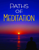# PATHS MEDITATION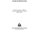# **PATHS OF MEDITATION**

*A collection of essays on different techniques of Meditation according to different faiths.*



SRI RAMAKRISHNA MATH MYLAPORE MADRAS 600004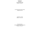Published by Adhyaksha Sri Ramakrishna Math Mylapore, Chennai-4

© Sri Ramakrishna Math, Chennai All rights reserved

> XII-2M 3C-11-2010 ISBN 81-7120-144-X

Printed in India at Sri Ramakrishna Math Printing Press Mylapore, Chennai-4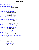## **CONTENTS**

[Meditation](#page-5-0) according to the Trinity

[Prologue:](#page-10-0) Why Meditate

[Meditation](#page-13-0) According to the Bhagavata -*Swami Siddhinathananda*

Meditation according to Swami [Vivekananda](#page-17-0) -*Swami Ananyananda*

[Meditation](#page-24-0) according to Patanjali -Swami *Harshananda*

Meditation according to [Yogavasishtha](#page-28-0) -*prof*. *B. Kuppuswamy*

The place of [Meditation](#page-34-0) in Advaita Vedanta -*Dr*. *T.M.P. Mahadevan*

Meditation according to [Ashtanga-Yoga-](#page-38-0)*Swami Vijnananda*

Meditation in [Christianity](#page-43-0) *—Swami Nityabodhananda*

[Meditation](#page-48-0) according to Spanish Mystics -*Swami Paratparananda*

[Meditation](#page-54-0) and the Intelligent Aspirant -*Swami Sastrananda*

Meditation and Spiritual [Enlightenment](#page-60-0) -*Dr Anima Sen Gupta*

[Meditation:](#page-65-0) A Scientific Appraisal -Dr. *Sampooran Singh*

Meditation according to Mazdayasna [\(Zorastrianism\)](#page-69-0) *-Dr. B. S. Surti*

[Meditation](#page-77-0) according to Sufism -*Swami Prabhananda*

[Worship](#page-84-0) in Islam -*Md. Zainulabedeen* Sadhana in Sri Madhva's [Philosophy](#page-88-0)

-Dr. *P. Nagaraja Rao*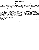# **PUBLISHER'S NOTE**

We have great pleasure in placing before our readers this short symposium on Paths of Meditation.

Originally contributed as articles for the 1979 Special Number of the *Vedanta Kesari,* these essays present an interesting cross section of the diverse theories and techniques relating to the art and science of Meditation. The writers are not only specialists, each in his own field, but speak from deep personal experience. They write, therefore, not like scribes but with authority.

Meditation is not escapism. It is neither an imposition nor a luxury. It is as indispensable for the spiritual life as breathing is for the physical. To meditate is to open the door of the mind to the spaciousness that is our birthright. Devoid of meditation, one is like a blind man in a world of light and colour and loveliness. Our prayer is that this handy volume may serve as an eye-opener to all seekers of the supreme fulfilment.

Sri Ramakrishna Math, Madras. Kalpataru Day, 1-1-1980 Publisher

—o—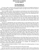## **MEDITATION ACCORDING TO THE TRINITY**

## **IN THE WORDS OF SRI RAMAKRISHNA**

<span id="page-5-0"></span>If a man is able to weep for God, he will see Him. He will go into Samadhi. Perfection in yoga is Samadhi. A man achieves Kumbhaka without any Yogic exercise if he but weeps for God. The next stage is Samadhi.

There is another method—that of meditation. In the Sahasrara, Siva manifests himself in a special manner. The aspirant should meditate on Him. The body is like a tray; the mind and Buddhi are like water. The Sun of Satchidananda is reflected in this water. Meditating on the reflected sun one sees the Real Sun through the grace of God.

The first stage is that of the beginner. He studies and hears. Second is the stage of the struggling aspirant. He prays to God, meditates on Him and sings His names and glories. The third stage is is that of the perfect soul. He has seen God, realized Him directly and immediately in his inner consciousness. Last is the stage of the supremely perfect, like Chaitanya. Such a devotee establishes a definite relationship with God, looking on Him as his Son or Beloved.

The heart is a splendid place. One can meditate there or in the Sahasrara. There are rules for meditation given in the scriptures. But you may meditate wherever you like. Every place is filled with Brahman-Consciousness, Is there any place where It does not exist? Narayana in Bali's presence covered with two steps the heavens, the earth and the interspaces. Is there any place left uncovered by God? A dirty place is as holy as the bank of the Ganges. It is said that the whole creation is the Virat, the Universal Form of God.

There are two kinds of meditation, one on the formless God and the other on God with form. But meditation on the formless God is extremely difficult. In that meditation you must wipe out all that you see or hear. You contemplate only on the nature of your inner self. Meditating on His inner self Siva dances about. He exclaims, "What am I? What am I?" This is called the Siva Yoga. While practising this form of meditation one directs one's look to the forehead. It is meditation on the nature of one's inner self after negating the world, following the Vedantic method of Neti, Neti.

There is another form of meditation known as the Vishnu Yoga. The eyes are fixed on the tip of the nose. Half the look is directed inward, and the other half outward. This is how one meditates on God with form. Sometimes Siva meditates on God with form, and dances. At that time he exclaims 'Rama, Rama' and dances about. God is born as man for the purpose of sporting as man. Rama, Krishna and Chaitanya are examples. By meditating on an Incaranation of God one meditates on God Himself.

When I meditated during my Sadhana, I used to think of the unflickering flame of a lamp set in a windless place.

In deep meditation a man is not at all conscious of the outer world.

A person can achieve such single-mindedness in meditation that he will see nothing, hear nothing. He will not be conscious even of touch. A snake may crawl over his body but he will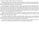not know it. Neither of them will be aware of the other.

In deep meditation the sense organs stop functioning, the mind does not look outward. It is like closing the gate of the outer court in a house. There are five objects of the senses; form, taste, smell, touch and sound. They are all left outside.

At the beginning of meditation the objects of the senses appear before the aspirant. But when the meditation becomes deep they no longer bother him. They are left outside. How many things I saw during meditation ! I vividly perceived before me a heap of rupees, a shawl, a plate of sweets and two women with rings in their noses. 'What do you want?' I asked my mind. 'Do you want to enjoy any of these things?' 'No', replied the mind, 'I don't want any of them. I don't want anything but the Lotus Feet of God .'

Nangta used to tell me how a Jnani meditates. Everywhere is water; all the regions above and below are filled with water; man, like a fish, is swimming joyously in that water. In real meditation you will actually see all this.

Do you know another way a Jnani meditates? Think of infinite Akasa, and a bird flying there, joyously spreading its wings. There is the Chidakasa, and Atman is the bird. The bird is not imprisoned in a cage; it flies in the Chidakasa. Its joy is limitless.

Do you know what one feels in meditation? The mind becomes like a continuous flow of oil —it thinks of one object only, and that is God. It does not think of anything else.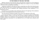## **IN THE WORDS OF THE HOLY MOTHER**

Meditate and pray to the particular aspect of the Divinity revealed to you. The meditation begins in the heart and ends in the head. Neither Mantra nor scripture is of any avail. Bhakti or devotion alone accomplishes everything.

Continuous meditation will make the mind so steady that you will not feel inclined to give it up. When the mind is not in a mood to meditate, do not force it to do so. In such conditions, get up from the seat of meditation after making prostrations. Real meditation is of a spontaneous nature.

If meditation is not possible do Japa. Realization will come through Japa. If the meditative mood comes, well and good; but by no means do it by force.

One must practise meditation and Japa. That removes the impurities of the mind.

As one gets the fragrance of a flower by handling it, as one gets the smell of sandalwood by rubbing it against a stone, in the same way one gets spiritual awakening by constantly thinking of God. Sit for meditation in the morning and evening. Keep your head cool and practise meditation and prayer. It is very difficult to do so. It is rather easy to dig the earth with a spade.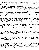## **IN THE WORDS OF SWAMI VIVEKANANDA**

When the mind has been trained to remain fixed on a certain internal or external location, there comes to it the power of flowing in an unbroken current, as it were, towards that point. This state is called Dhyana.

The meditative state is the highest state of existence.

When by the previous preparations, it becomes strong and controlled and has the power of finer perception, the mind should be employed in meditation. This meditation must begin with gross objects and slowly rise to finer and finer, until it becomes objectless.

When one's Self is meditated upon as zero, and bereft of quality, that is called Abhava. That in which one sees the Self as full of bliss and bereft of all impurities, and one with God is called Mahayoga. The Yogi, by each method, realizes the self.

The multiplicity of waves gives place to unity and one wave is left in the mind. This is Dhyana, meditation.

Whenever the Yogi meditates, he can keep out all other thoughts; he becomes identified with that on which he meditates. When he meditates, he is like a piece of crystal. Before flowers the crystal becomes almost identified with the flowers. If the flower is red, the crystal looks red, or if the flower is blue the crystal looks blue.

Dharana is holding the mind on to some particular object. An unbroken flow of knowledge in that object is Dhyana.

If the mind can be fixed on the centre for twelve seconds it will be a Dharana, twelve such Dharnas will be a Dhyana, and twelve such Dhyanas will be a Samadhi.

With every sense and every organ active, have you that tremendous peace so that nothing can disturb you? Standing in Market Street waiting for the car with all the rush going on around you, are you in meditation—calm and peaceful? In the cave are you intensely active there with all quiet about you? If you are, you are a Yogi; otherwise not.

Take some holy person, some great person whom you revere, some saint whom you know to be perfectly non-attached, and think of his heart. That heart has become non-attached, and meditate on that heart; it will calm the mind.

Meditation is the removal of attachment; it is perfected by the suppression of the modifications. Also by non-attachment and practice, meditation is perfected.

The greatest help to spiritual life is meditation (Dhyana). In meditation we divest ourselves of all material conditions and feel our divine nature. We do not depend upon any external help in meditation.

Meditation is a constant remembrance (of the thing meditated upon) flowing like an unbroken stream of oil poured from one vessel to another.

When the Jiva is sought to be united with Brahman, it is best; when meditation is practised, it is medium; repetition of name is the lowest form, and external worship is the lowest of the low. You must try to combine in your life immense idealism with immense practicality. You must be prepared to go into deep meditation now, and the next moment you must be ready to go and cultivate those fields.

After initiation there should be in the aspirant after truth, Abhyasa or repeated attempt at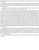practical application of the Truth by prescribed means of constant meditation upon the chosen ideal.

Meditation is the one thing. Meditate, the greatest thing is meditation. It is the nearest approach to spiritual life—the mind meditating. It is the one moment in our daily life when we are not at all material—the soul thinking of itself, free from all matter, this marvellous touch of the soul.

Meditation is the focussing of the mind on some object, If the mind acquires concentration on one object, it can be so concentrated on any object whatsoever.

First, the practice of meditation has to proceed with some one object before the mind. Once I used to concentrate my mind on some black point. Ultimately, during those days I could not see the point any more, or notice, that the point was before me at all—the mind used to be no more—no wave of functioning would rise, as if it were all an ocean without any breath of air. In that state I used to experience glimpses of superconscious truth. So I think, the practice of meditation even with some trifling external object leads to mental concentration. But it is true that the mind very easily attains calmness when one practises meditation with anything on which one's mind is most apt to settle down. This is the reason why we have in this country so much worship of the images of gods and goddesses. The fact however is that the objects of meditation can never be the same in the case of all men. People have proclaimed and preached to others only those external objects to which they held to become perfected in meditation. Oblivious of the fact, later on, that these objects are aids to the attainment of perfect mental calmness, men have extolled them beyond everything else. They have wholly concerned themselves with the means, getting comparatively unmindful of the end. The real aim is to make the mind functionless, but this cannot be done unless one becomes absorbed in some object.

When the meditation is deep one sees many wonderful things. While meditating at the Baranagore Math, one day I saw the nerves Ida and Pingala. One can see them with a little effort. Then when one has a vision of the Sushumna one can see anything one likes. If a man has unflinching devotion to the Guru, spiritual practices—meditation and Japam, etc.,—come quite naturally; we need not struggle for them. The Guru is Brahma, the Guru is Vishnu, and the Guru is Siva Himself.

As churning brings out the butter in the milk, so Dhyana brings the realization of Brahman in the Soul.

 $-0-$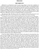#### **PROLOGUE**

#### **WHY MEDITATE**

<span id="page-10-0"></span>Meditation is a portmanteau word. It means many things to many men. A plethora of concepts get packed in that one elastic expression. Meditation spans an astonishingly broad spectrum of mental functions from the grossest scheming to the finest non-thinking. A Hitler meditates on the extermination of the entire Jewish race; a politician meditates on ways and means of topping the polls and feathering his own nest; a Gandhi meditates on the establishment of Rama Rajya and the settlement of all conflicts through non-violence; a Yogi meditates to gain perfect control over the turbulent senses; and Siva meditates for no reason whatsoever ! What then is the focus of meditation? What is its quintessence?

The dictionary helps. We find in it the term 'meditation' derived from the Latin word 'MEDITARI' which means 'to heal'. Meditation is part of the science and art of healing.

To meditate is to set in motion processes that lead to the restoration of one's well-being physical, mental, spiritual. We are only too painfully conscious what an incredible bundle of ailments and grievances each one of us is. Whatever facade we may manage to put up, inside it is all agony and frustration. *'Duḥkhālayam, aśāśvatam'* says the Lord in the Gita, characterising this life of ours. The world we live in is sorrow's shrine. It echoes and re-echoes with the mocking laughter of transitoriness. The whole life is a ceaseless struggle to ward off misery and gain a bit of pleasure. As Swami Vivekananda has aptly put it, misery is like rheumatism—you exorcise it from one limb only to find it firmly ensconced in another. There seems to be a rigid law of Conservation of Misery. The sum total of human suffering appears to be constant. Remove sorrow from one field of life, presto! it greets you with another face in another field. Can this iron chain be broken? Can we have happiness untainted by misery? Is it possible to enjoy unqualified bliss? Meditation says, 'Yes'. It accepts the mighty challenge and promises to heal our wounds. It can assist us to overcome handicaps and grow into wholeness. With the file of meditation the iron chain of suffering can be snapped asunder. We need not remain pathetic little fragments of humanity; if we take the trouble, we can through meditation blossom into joyous integrated beings.

In the last analysis happiness and sorrow reside in the mind. It is the mind that is the cause of man's bondage, it is the mind that is the cause of his freedom. Using the mind we have been able to achieve the vast wonders that constitute modern civilization. But with the same mind we suffer untold agonies of hatred and war, want and fear. This mind is an Alladin's lamp that can conjure into existence comforts and luxuries galore, but it can also raise Frankensteinian monsters that make life a nightmare. Meditation is the technique for diverting the wayward destructive mind into planned, constructive channels. It is the moderator that converts the devastating atom bomb into the creative atomic reactor. The nuclear reaction that takes place in both the devices is the same. But whereas the immense energy generated by the atom bomb destroys like a river in flood, the controlled release of power in the atomic reactor is like a well dammed river that helps us to irrigate land and produce electricity. Meditation turns a curse into a blessing. It is the alchemy that transmutes the dross of everyday life into the gold of unalloyed bliss. The master-key of meditation opens all the doors in the grand mansion of the soul.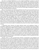How then to meditate? Meditation is at once simple and difficult. It requires no special equipment, it costs nothing. But you must have a *mind* to meditate. The will produces the way. There should be a tremendous urge, an intense concern that the *summum bonum* should be realised in this very life. There can be no instalment plan in gaining the Infinite. Here and now, with no conditional clauses in small print, we must have that for which we have assumed this life. We must attain the Ultimate without any dilly-dallying, free from all reservations. Given that irrepressible eagerness, each one of us can soar on the wings of meditation to realms of breath- bereaving loveliness and power.

What are the methods to be adopted in meditation? Are there proven procedures that can deliver the goods? Fortunately, yes. Sadhakas and savants, saints and seers ancient and modern, of the East and of the West, have elaborated different systems and tested many techniques that bring fulfilment. In fact there is no religion or philosophy of the spirit that does not lay down its own series of steps for meditating. Buddhism, for instance, is based on the supreme enlightenment gained by the Buddha in meditation. The Noble Eight-fold Path, which summarises the Buddhist way of life, is climaxed by meditation 'in which alone perfection lies, and through which alone can one with patient toil unveil the inner world of Reality.' The various schools of Buddhism have prescribed different but precise steps for reaching the threshold of Nirvana. Zen again is derived from the Sanskrit *dhyana.* Its steps lead to *satori* or living experience. The Ashtanga Yoga of Patanjali and the percepts of the Christian churches are all systematised meditations. This volume presents a representative cross-section of the diverse paths of meditation laid down by various schools of spiritual striving.

A distinction must, however, be drawn between prayer and meditation. Prayer is essentially a supplication to an external Being or Power. It is a yearning of the heart for things it lacks. It is importuning a Higher Potency to fulfil our wants and desires. But meditation has no element of begging in it. It is a reorientation of the mind for producing the knowledge by which all that is rightly needed is acquired. It is a purified mind calling upon the wisdom that dwells within. While prayer is addressed to an outside Power, meditation seeks conscious union with the Truth inside. Desire is the motive force for all action. But whereas in prayer the desire is self-centred, in meditation one 'attaches one's belt to the Power-house of the universe', as R.W. Trine puts it. The contemplative works, not for himself but *bahujanahitāya, bahujanasukhāya,* for the welfare of the many, for the happiness of all. In meditation the dew drop merges in the Shining Sea.

Likewise, there is a line of demarcation between concentration and meditation. By concentration we mean the preliminary exercises in one-pointedness of thought which must of necessity precede success in meditation. Before an instrument can be used it must be forged properly. The mind with which contemplation is achieved must first be trained to develop the power of converging all its energies at any required point. Not that concentration *per se* has any ethical or spiritual value. It is indeed a common requisite for progress in any field of art or science. A ballerina has to go through many physical exercises to make her limbs sufficiently pliable. The fencer repeats postures and motions till he acquires precision of aim. The mind likewise has to be disciplined by a series of exercises till it becomes a search-light that can be focussed wherever desired and can be switched on or off at will. But the concentration thus attained is neutral. Like any instrument it can be used for good purposes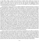or bad. With a knife a surgeon saves the life of a patient; with a knife you can also cut another's throat. With fire we can warm ourselves, cook our food and produce articles of utility in the factory; with the same fire we can also destroy our neighbour's house. Concentration gives us power, it is up to us to put it to the highest use. And the highest use of a concentrated mind is in meditation.

Concentration is only a process. It is useful in daily life at all levels, but has no moral or spiritual significance. Meditation, on the contrary, produces a state of consciousness in which the spiritual point of view alone counts. The techniques of concentration can be taught openly, they can be sold for money. No more reverence need be attached to such information than, say, to instructions about physical culture. In meditation, however, the aspirant enters another world. It is a dimension in which there is a revolutionary transvaluation of values. Motives become of paramount importance and purity of character an essential postulate. It is forbidden not only to sell but even to use for personal ends the knowledge and power meditation brings. In meditation one treads on holy ground. One may speak of one's achievements in concentration with anyone else. But what one experiences in meditation has to be kept an utmost secret. It is caviare to the general Our spiritual adventures are not to be worn on our sleeves for daws to peck at. This is why we find many of our scriptures adding a stern foot note: 'What I have taught you is the secret of secrets. It is not to be imparted to the faithless'. When we first read such vetoes we are apt to wonder why so much fuss is made about something that looks commonplace. The fact is that the commonplace look of spiritural experiences is highly deceptive. An atom is invisibly small but within it is packed energy that can wipe away a Hiroshima or Nagasaki. The power that meditation brings is divine in its intensity and so has to be handled with the greatest care and keenest wisdom. Hence also the importance of meditating in loneliness. We are advised to meditate in the darkness of the night, not only because it ensures an undisturbing environment, but also in order that other people may not know of our meditating. Meditation should not be a public performance but a private pursuit. The more secret it is, the more sacred it proves.

A tree is known by its fruit and the touchstone of meditation is its effect on character. Meditation leads to a spiritual rebirth, a return to the child state in the sense of an honesty of thought and speech and a simple directness of action. With it goes an astounding width of vision and an unfathomable inner quietude. To realise the marvellous impact of meditation on the individual's personality we need go no farther than to Sri Ramakrishna whose whole half-century of sojourn on earth was an object lesson in the contemplative way. The least an earnest aspirant can do is to tread in the footsteps of that Child of the Divine Mother, in whose presence every one, man and woman, young and old, felt the upsurge of supernal joy.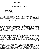## **MEDITATION ACCORDING TO THE BHAGAVATA**

*By*

#### **SWAMI SIDDHINATHANANDA**

<span id="page-13-0"></span>*Tasmāt sarvātmanā tāta nigṛhāṇa mano dhiyā Mayi āveśitayā yukta etāvān yogasamgrahaḥ* [Bh. XI.23.61]

'Do thou restrain by all means thy fickle mind, my son, by thy superior intelligence set steady on Me. This is the sum and substance of all Yoga'. So spake the Lord to Uddhava.

Meditation means reflection, derived, according to the Chambers' Dictionary, from the Latin *meditari* probably cognate with the Latin root *mederi,* meaning to heal. So, meditation is the science of healing in its origin. Most ailments are mental and physical, and then there are the purely mental ones. Primarily the component that needs healing is the mind. So meditation is identical with Yoga which is defined as the prevention of mental modifications. Mental modifications are the root cause of all misery and their eradication is the science of Yoga. Arresting of the ripples is only the negative aspect of the process; the positive aspect is the reflection on the witnessing Self which is ever present. Self awareness is the goal of Yoga and the means is meditation. Dhyana is the term used by the Yoga system for meditation. Dhyana has various degrees of intensity; they are called Dharana, Dhyana, and Samadhi. Dharana is the process of placing the mind on the object of meditation to the exclusion of contrary thoughts. When the mental flow becomes steady and deep, it is Dhyana. When the object of meditation alone remains to the exclusion of all else, it is Samadhi. Samadhi is the end and the other two, the process.

In Dhyana or meditation, there are three factors: the meditator, the process of meditation and the object of meditation. Of these three, the first two are constant factors in any form of meditation. The possibility of difference, if any, is only in the object. Here also, there cannot be any real difference in the object but, only in the conception of the object. When one sneaks of 'Meditation according to the *Bhagavata'*, the qualification on 'Meditation' can apply only to the object. For, in meditation, whether it be according to the *Bhagavata* or the Yoga Sutras, the person and the process are the same. The objects may differ. The Yoga Sutras suggest a few such as God, a flame, a saint and so on. The *Bhagavata* elaborates this to infinite proportions and at the same time provides a supreme, sublime person as the object of meditation.

Meditation is the soul of spiritual life. A life without meditation is like a horse without reins or a boat without rudder. That science has been perfected by Patanjali. All types of aspirants have adopted that method with suitable modifications to attain their goals. Mind is the object of attack for all. It is an internal instrument evolved by the soul out of subtle matter. Subtle matter by association with the luminous soul becomes live and serves both its father, the soul and its mother, Nature, *i.e.,* the body. Though it was intended to be a loyal servant of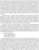the soul, it played foul and started serving the demands of its material parent, with the result that the soul has been caught in interminable woes and worries. It is like the filament of an electric bulb claiming the luminosity to itself. Rightly has it been compared to a drunk and maddened monkey. It is this monkey thas has to be tackled. The strange part of it is that the hero and the villain are the same mind. The mind has to be trained to conquer itself. It is almost an impossible task and often, very exasperating. Arjuna was perfectly right when he compared the attempt at controlling the mind to binding the mighty wind. Krishna's reply acknowledged the hazard involved and at the same time struck a positive and optimistic note. It is a slow, steady and prolonged process. 'Watch and wait' is its watchword. The secret of success lies in patience and steadiness. In spiritual life, the method is more important than the end. Once the end is fixed on, one can forget it; the whole attention may then be directed to the means. The sustained struggle itself is practically the end so far as an aspirant is concerned.

The monkey has to be taught to obey the bidding of the master. Mind has to be made aware that it is only a servant and that the master is someone above it. In the path of knowledge, the mind is required to dwell on the Ultimate, incomprehensible Reality. By definition, the Ultimate Reality is beyond mind. To assign the mind to grasp the infinite is asking for the impossible. Even the wise lose their way in that path, says the Bhagavata. Patanjali's path, though very systematic, is difficult of attainment, for it is almost impossible to possess all the prerequisites. It is a frontal encounter with the mind. Either it plays truant or cracks. The *Bhagavata* has a smooth and effective way for the purpose.

Concentration is the essence of meditation. It is well known that the mind gets easily concentrated on matters of its liking. Objects of the senses are charming and the mind naturally flows towards them. Give it something more charming and it will automatically flow in that direction. Instead of trying to stem a strong current abruptly, cut a channel on the upper reaches and divert the flow through it, and you can regulate the water to turn a turbine to produce light and power. That is the method that the *Bhagavata* proposes and hence its popular appeal. That takes into account the needs and limitations of the mind, and therefore it is a truly psychological approach.

*Asti bhāti priyam rūpam nāma ca ityamśa-pancakam ādya-trayam brahma-rūpam jagad-rūpam tato dvayam*

Being, knowing, bliss, form and name are the five constituents of the Totality. The first three are Brahman and the last two the changing world. Philosophically the world is called Maya. Mind is Maya individualised. It operates in the *mayic* field. Its field is the phenomenal world. Endow Brahman with a *mayic* cover and the mind will apprehend it. Invest the Satchidananda with a name and a form and the mind can grasp it. That is why Narada instructed Vyasa, the author of the *Brahmasutras* to sing the glories of the Incarnations of God. The *Bhagavata* provides innumerable forms of God for meditation, all sublime and enchanting. Not only that, it allows free play to all human emotions. Emotion directed to divinity is devotion. The Bhagavata approves of establishing any kind of emotional relation with divinity; paternal or maternal, fraternal or filial, erotic or esoteric relations to the divine are adopted. Nay even an antagonistic way to God is recognised. All the demons of the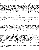*Bhagavata* are deeply devoted to God and their apparent antagonism is an expression of their impatience to go back to the feet of God. In intensity of feeling, perhaps they may rank on a par with the bucolic lasses of Vrindaban. The advantage in adopting an emotional and personal relation to God is that the mind will dwell on Him constantly without cessation. It will be spontaneous, smooth and incessant meditation. The devotee dwells ever in the presence of God. There is no formality in this path. It is meditation with eyes open. Wherever his eyes set, there he espies his Beloved. The Gopis were always in sublime peace, a state of divine intoxication. Suka was ever in bliss, Narada was at all times in divine inebriation. Prahlada was soaked in bliss divine for ever. Mira, the great saintly singer, is said to have been brought up by her grandparents as she lost her parents early in life. Her grandfather was a devout man. He used to sing and dance in the name of God and lose himself in meditation. The little girl was fascinated and perplexed. She asked her grandpa why he was shouting and jumping at times and sitting like a stock at other times. How to explain the mysteries of devotion to a tiny tot? He said he was praying and meditating. What is praying, and what is meditating, demanded Mira. Her grandpa said: 'When we talk to God, it is prayer and when God talks to us, it is meditation'. Mira's whole life was a continuous dialogue between her Soul and her Beloved.

Well, Mira's way is the *Bhagavata* way, a continuous pre-occupation of the Soul with God. The afflicted man, when at his wit's end, turns to God and pours out his Worries and cares, submits his complaints and prays for succour. That is the stage of the Soul speaking to God. When man feels utterly helpless and cries quarter, God opens his portals and man remains mute. These are the various stages of meditation.

In Book XL Ch. 23 of the *Bhagavata* there is the story of a Brahmana, who was miserliness personified and hated by one and all. Fate deprived him of all his wealth, and he became a mendicant and was insulted and tortured by the people. Learning his lesson through bitter experiences, he became cool and composed. There is a beautiful philsophical passage attributed to him. Among other things he says: 'These people are not the cause of my misery, nor the angels nor God, nor the stars, nor fate nor time. Mind is the prime cause and the whole wheel of life turns and twirls because of the mind. It sets in motion the strong desires. The Jiva embraces the mind and gets entangled and enchained in worldly affairs. All spiritual disciplines such as fasts and vigils, charity and dutifulness purity and poverty, all these have only one goal in view, namely the control of the mind: for, the highest Yoga is concentration of the mind. If once the mind is controlled, of what use are charity and other virtues? And if the mind is not under control, what availeth one the observance of charity, poverty and the like? All the gods are under the control of the mind; the mind is not under the control of anyone. Mind is a terrible god, stronger than the strongest. He who has it under his control is verily the God of gods. Without subjugating this relentless foe, man falls foul of fellow-men. Identifying himself with the body which is nothing but a mental construct, he roams about deluded in this endless darkness. I shall take to the path the ancient sages have trodden. I shall serve the Lord's feet and shall cross this shoreless ocean of Samsara.'

The normal haunts of the mind are the world of the senses. Give it something better and sweeter and it will take to it.

*Viṣayān dhyāyataścittam viṣayeṣu viṣajiate*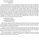#### *mām anusmarataścittam mayi eva pravilῑyate Bh.* XI. 14. 27.

'The mind that dwells on sense-objects gets stuck in them. The mind that remembers Me constantly, gets dissolved in Me,' says Krishna to Uddhava. That is the mode of meditation advocated by the *Bhagavata.* Ordinarily, meditation is the despair of aspirants, for, the mind does not relish any sort of restraint. But then, sweeten the emotion with devotion, and meditation becomes sweet and spontaneous. Prahlada told his friends: 'It isn't very difficult to please the Lord, for He is within one and all and is visible everywhere.' He was looking through the eyes of love. When his teachers asked him who turned his head to Hari, Prahlada replied: 'As the iron filings fly to the magnet, so does my mind run to the feet of the Wielder of the discus.' When meditation is cultured in the medium of love, it is easy, sweet and lovely. Then look anywhere, you will see the wonder child of Vraja playing around. Tune your soul to Vrindaban, you will hear the sweet strains from Krishna's flute. If only you love Him sufficiently, you can constantly live and play with Him.

*Komalam kūjayan veṇum śyamaloyam kumārakaḥ vedavedyam param brahma bhāsatām purato mama*

May He of hue welkin-blue, He, the Supreme Soul of all the Vedas, dance before me playing on His divine flute'. That is the prayer of the devotee: that is the vision he craves for. And that is the meditation according to the *Bhagavata,* a sweet and constant awareness of the ever playful and the ever blissful Supreme Lord.

Attune your ears to Vrindaban like the Gopis; you will hear the call of Krishna through his flute. Pluck at the lute of your heart with loving abandon, like Narada; Hari will come running into your heart. Open your Soul to the Lord like Prahlada; you will see Hari everywhere. Meditate on the Lord like Sri Suka and you are ever in the presence of God.

The finale of meditation is spiritual illumination and its language is silence. A peace that passeth understanding is its subjective content and an irenic, elusive smile, its visible indication. 'Silence is Brahman' say the Seers.

—o—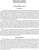## **MEDITATION ACCORDING TO SWAMI VIVEKANANDA**

*By*

#### **SWAMI ANANYANANDA**

#### **Introduction**

<span id="page-17-0"></span>It is being increasingly recognized by modern psychologists that meditation should form part and parcel of the daily life and routine of man, in order to provide a counter-balance to the intensely active mode of life he lives in the pretent-day world. Meditation calms the mind, brings self-composure, and enables one to concentrate one's mental powers. By selfconscious effort, one can develop those virtues and graces that bring affection in human hearts, smoothen their inter-relationships, and provide a sound basis for mutual amity and understanding. Last but not the least, regular practice of meditation enables men and women to bend their energies in the pursuit of Truth and eventually to attain spiritual beatitude and the peace that passeth all understanding.

According to Swami Vivekananda, 'religion is the manifestation of the divinity already in man'. Meditation is the means and the method by which the soul unveils the layers of ignorance covering it and discovers the essential divinity of its own being, by a three-fold process of *śravana* (hearing), *manana* (reflection), and *nididhyāsana* (meditation), being equipped with what is known as *sadhana chatushtaya* (four-fold pre-requisites of spiritual life). This can be described as spiritual unfoldment leading to Self-knowledge. This, however, is the language of the *jnani* or Vedantin (philosopher treading the path of knowledge or *jnana).*

In the language of the *bhakta* (devotee), meditation is a process in which the individual soul pours out its own being into the divine, like the unbroken flow of oil poured from one vessel to another, and empties itself in the latter, as the river flowing into the sea. It finds itself safe and secure under the protection of the divine, in being held fast in the bosom of the divine. In this case, meditation acts as a link to establish a connection between the individual soul(*jivatman*) and the Super Soul(*Paramatman*).

#### **What Is Meditation?**

'What is meditation?' asks Swami Vivekananda, and answers himself: 'Meditation is the power which enables us to resist all this (manifold manifestation of alluring names and forms, which distract our minds from our chosen path). Nature may call us, "Look, there is a beautiful thing !" I do not look. Now she says "There is a beautiful smell; smell it !" I say to my nose, "Do not smell it", and the nose doesn't. "Eyes, do not see !" Nature does such an awful thing—kills one of my children and says, "Now, rascal, sit down and weep ! Go to the depths !" I say, "I don't have to". I jump up. I must be free. Try it sometimes. In meditation, for a moment, you can change your nature. Now, if you had that power in yourself, would not that be heaven, freedom? That is the power of meditation'. ( *The Complete Works of Swami Vivekananda,* IV, p. 248).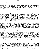'How is it to be attained? In a dozen different ways. Each temperament has its own way. But this is the general principle: get hold of the mind. The mind is like a lake, and every stone that drops into it raises waves. These waves do not let us see what we are. The full moon is reflected in the water of the lake, but the surface is so disturbed that we do not see the reflection clearly. Let it be calm. Do not let nature raise the wave. Keep quiet, and then after a little while she will give you up. Then we know what we are. God is there already, but the mind is so agitated, always running after the senses. You close the senses, and yet you whirl and whirl about', *(ibid).*

Meditation is concentration of mind and its innate powers. The untrained mind is scattered (*vikshipta*), as it runs after every sensation obtained through the sense organs. The mind needs to be weaned from those contacts with the senses and then collected together, concentrated into a single force, and directed towards a lofty object that is pure, holy, and spiritually uplifting—no matter whether it is personal or impersonal. Swamiji says: "Meditation is the gate that opens that (infinite joy) to us. Prayers, ceremonials, and all other forms of worship are simply kindergartens of meditation. You pray; you offer something. A certain theory existed that everything raised one's spiritual power. The use of certain words, flowers, lights brings the mind to that attitude, but that attitude is always in the human soul, nowhere else. People are all doing it; but what they do without knowing, do knowingly. That is the power of meditation". *(ibid.,* p. 249).

The embodied soul has forgotten its real nature. Rather, it is not aware of it. By concentration and meditation, the soul can realize its true nature. One of the methods advocated is the purification of thought, word, and deed (*trikarana-suddhi*). It is a slow and gradual process. It sounds funny, but none the less cannot be denied, that whenever we try to sit quiet and collect our mind, and think of concentrating it on some elevating ideal, our mind rebels and refuses to obey at first, and flies here, there, and everywhere, except to the object of concentration.

Swamiji portrays to us the pitiable plight of this 'maddened monkey' in his *Rajayoga:* 'How hard it is to control the mind! Well has it been compared to the maddened monkey. There was a monkey, restless by his own nature, as all monkeys are. As if that were not enough, some one made him drink freely of wine, so that he became still more restless. Then a scorpion stung him. When a man is stung by a scorpion, he jumps about for a whole day: so the poor monkey found his condition worse than ever. To complete his misery, a demon entered into him. What language can describe the uncontrollable restlessness of that monkey? The human mind is like that monkey, incessantly active by its own nature; then it becomes drunk with the wine of desire, thus increasing its turbulence. After desire takes possession comes the sting of the scorpion of jealousy at the success of others, and last of all the demon of pride enters the mind, making it think itself of all importance. How hard to control such a mind !'*(C.W.,* I, p. 174).

In order to succeed in this task of controlling the mind and attaining concentration on a particular object that is spiritually elevating, Swamiji's prescription is *pratyāhāra,* which he describes in these words: 'The first lesson, then, is to sit for some time and let the mind run on. The mind is bubbling all the time. It is like the monkey jumping about. Let the monkey jump as much as he can; you simply wait and watch. Knowledge is power, says the proverb, and that is true. Until you know what the mind is doing, you cannot control it. Give it the rein;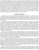many hideous thoughts may come into it; and you will be astonished that it was possible for you to think such thoughts. But you will find that each day the mind's vagaries are becoming less and less violent, that each day it is becoming calmer. In the first few months, you will find that the mind will have a great many thoughts; later, you will find that they have somewhat decreased; and in a few more months, they will be fewer, until at last the mind will be under prefect control, but we must patiently practise every day. As soon as the steam is turned on, the engine must run; as soon as things are before us, we must perceive; so a man, to prove that he is not a machine, must demonstrate that he is under the control of nothing. This controlling of the mind and not allowing it to join itself to the centres is *pratyāhāra.* How is this practised? It is a tremendous work, not to be done in a day. Only after a patient, continuous struggle for years can we succeed'(*C.W.*, I. pp. 174-75).

#### **The Object of Meditation**

Commenting on the sutra *'Yathābhimatadhyānādvā'* (Yoga-Sutra, I, 39), 'Or by the meditation on anything that appeals to one as good', Swamiji warns us: 'This does not mean any wicked subject, but anything good that you like, any place that you like best, any scenery that you like best, any idea that you like best, anything that will concentrate the mind' (C.W., pp. 227-28).

Stating that there are various stages of meditation, he points out how the first would be the gross, the second the fine, and then on to the still finer objects. The objects of meditation can be both, personal and impersonal. If it be personal, usually it is the form of a god or a goddess, an Incarnation of God or a god- man, or a perfected being who has attained the consummation of spiritual life. The name and form of such beings play an important role in the process of meditation. Contemplation on the form *(rūpa)* of the chosen ideal (*ishtadevatā)* and repetition of the name (*nāma*) of that being constitute the essential acts of meditation of the personal type. The need of a guru (spiritual teacher) is considered to be the *sine qua non* in this method.

There is also an impersonal form, a symbol, regarded as most sacred and ancient, which has come down to us from the dim ages of Vedic antiquity, and is still held in high veneration and as holy by all the religious sects and schools in India. It is the sacred mono-syllable *Aum,* popularly written as *Om.* Swamiji considers it the 'holiest of all holy words, the mother of all names and forms' (C. *W.* III. p. 57). He goes on to say, 'the whole universe may be supposed to have been created' out of this eternal *Om* (*ibid.)*

*'Om* is the only possible symbol which covers the whole ground, and there is none other like it. .... If properly pronounced, this *Om* will represent the whole phenomenon of soundproduction, and no other word can do this; and this, therefore, is the fittest symbol of Sphota, which is the real meaning of the *Om.* And as the symbol can never be separated from the thing signified, the Om and the Sphota are one. And as the Sphota, being the finer side of the manifested universe, is nearer to God and is indeed the first manifestation of divine wisdom, this *Om* is truly symbolic of God'*(ibid.,* pp. 57-58).

Again: 'These word-symbols, evolved out of the deepest spiritual perception of sages, symbolize and express, as nearly as possible the particular view of God and the universe they stand for. And as the *Om* represents the Akhanda, the undifferentiated Brahman, the others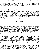represent the Khanda or the differentiated views of the same Being; and they are all helpful to divine meditation and the acquisition of pure knowledge'(*ibid.,* p. 59).

In the light of what has been stated above, we can really understand the unique position accorded to the *mantra* (sacred name of a god or formula) and the *japa* (its repetition) in the different religious systems and spiritual practices the world over.

In this context, it is worthwhile to recall the *Yoga-Sutra* (I. 28), *'Tajjapastadarthabhāvanam*'—'The repetition of this *(Om)* and meditation on its meaning (is the way)' Explaining this *sutra,* Swamiji says: 'Why should there be repetition? We have not forgotten the theory of *samskāras,* that the sum total of impressions lives in the mind. They become more and more latent, but remain there; and as soon as they get the right stimulus they come out, molecular vibration never ceases ...... When the vibrations of the *chitta* subside, its molecular vibrations go on; and when they get the impulse, come out again. We can now understand what is meant by repetition. It is the greatest stimulus that can be given to the spiritual*samskāras.* "One moment of company with the holy makes a ship to cross this ocean of life". Such is the power of association. So this repetition of Om, and thinking of its meaning, is keeping good company in your own mind. Study, and then meditate on what you have studied. Thus light will come to you; the Self will become manifest'(*C.W.,* I.pp. 219-20).

#### **Aids to Meditation**

An aspirant needs a conducive and congenial environment to practise meditation. Swamiji's advice is: 'Those of you who can afford it will do better to have a room for this practice alone. Do not sleep in that room; it must be kept holy. You must not enter the room until you have bathed, and are perfectly clean in body and mind. Place flowers in that room always; they are the best surrounding for a Yogi; also pictures that are pleasing. Burn incense morning and evening. Have no quarrelling, nor anger, nor unholy thought in that room. Only allow those persons to enter it who are of the same thought as you. Then gradually there will be an atmosphere of holiness in the room, so that when you are miserable, sorrowful, doubtful, or your mind is disturbed, the very fact of entering that room will make you calm...... The idea is that by keeping holy vibrations there the place becomes and remains illumined. Those who cannot afford to have a room set apart can practise anywhere they like' (*ibid.,* p. 145).

The *Bhagavad Gita* prescribes the *modus operandi* for meditation as follows in the sixth chapter, entitled 'Dhyana Yoga': 'Having set in a clean place his firm seat, neither too high nor too low, covered with sacred grass *(kuśa)* a deerskin, and a cloth, one over the other; there taking his place on the seat, making his mind one-pointed and controlling his thought and sense, let him practise Yoga for the purification of the soul. Holding the body, head, and neck erect and still, looking fixedly at the tip of his nose, without looking around, serene and fearless, firm in the vow of celibacy (divine life), subdued in mind let him sit, harmonized, his mind turned to Me and intent on Me alone'(VI. 11-14).

In addition to the prescription of the *Gita* delineated above, we can profit by Swamiji's own suggestion also in this regard: 'Sit in a straight posture, and the first thing to do is to send a current of holy thought to all creation. Mentally repeat, "Let all beings be happy; let all beings be peaceful; let all beings be blissful". So do to the East, South, North, and West. The more you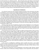do that the better you will feel yourself. .... After doing that, those who believe in God should pray—not for money, not for health, nor for heaven; pray for knowledge and light; every other prayer is selfish. Then the next thing to do is to think of your own body, and see that it is strong and healthy; it is the best instrument you have. Think of it as being as strong as adamant, and that with the help of this body you will cross the ocean of life. Freedom is never to be reached by the weak. Throw away all weakness. Tell your body that it is strong; tell your mind that it is strong; and have unbounded faith and hope in yourself'(C. *W.,* I. 145-46).

#### **Impediments to Meditation**

It is relevant to quote here the warning sounded by Swamiji to those who take to the Yoga of meditation, out of curiosity and seeking something mysterious out of it: "Anything that is secret and mysterious in the systems of Yoga should be at once rejected. The best guide in life is strength. In religion, as in other matters, discard everything that weakens you; have nothing to do with it. Mystery-mongering weakens the human brain. It has well-nigh destroyed Yoga —one of the grandest of sciences. From the time it was discovered, more than four thousand years ago, Yoga was perfectly delineated, formulated, and preached in India. It is a striking fact that the more modern the commentator the greater the mistakes he makes, while the more ancient the writer the more rational he is. Most of the modern writers talk of all sorts of mystery. Thus Yoga fell into the hands of a few persons who made it a secret, instead of letting the full blaze of daylight and reason fall upon it. They did so that they might have the powers to themselves'*(ibid.,* p. 134.)

Pointing out the main aim of meditation, Swamiji remarks: 'Meditation is one of the great means of controlling the rising of these (thought) waves. By meditation, you can make the mind subdue these waves; and if you go on practising meditation for days, and months, and years, until it has become a habit, until it will come in spite of yourself, anger and hatred will be controlled and checked'*(ibid.,* p. 242-43).

In each and every one of us, there are what are called six internal enemies. These are born with us: *kāma* (desire), *krodha (anger), lobha* (greed), *moha* (delusion), *mada* (pride), and *mātsarya* (jealousy). These are powerful impulses native to every embodied human being, and belong to the very flesh of humanity. Most often, we are under their sway; we are helpless, as it were. To master them by keeping them under check and eventually to sublimate them is the aim of all spiritual struggle. In this, meditation and self-reflection will help us a great deal. This is the teaching of every religious system and every spiritual discipline: to sublimate them and derive help from them, and not to suppress them. Suppression may lead to undesirable consequences and psychological complications and disorders. Instead of helping one, such a situation may create unforeseen hindrances. Hence sublimation is advocated as the best means.

In this process of sublimation, meditation comes in handy and serves a very useful purpose. In short, spiritual life means the sublimation of these 'six internal enemies' which drag us out, lead us away from our set goal of perfection, and make us fritter away our vital energies for no earthly or heavenly benefit !

The *Yoga-Sutra* enumerates several impediments on the path of yoga: 'Disease, mental laziness, doubt, lack of enthusiasm, lethargy, clinging to sense-enjoyments, false perception,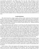non-attaining concentration and falling away from the state when obtained, are the obstructing distractions' (I. 30). Commenting on this *sutra,* Swamiji explains these distractions one by one: '*Disease*—This body is the boat which will carry us to the other shore of the ocean of life. It must be taken care of. Unhealthy persons cannot be Yogis. *Mental laziness* makes us lose all lively interest in the subject, without which there will neither be the will nor the energy to practise. *Doubts* will arise in the mind about the truth of the science, however strong one's intellectual conviction may be, until certain peculiar psychic experiences come, as hearing or seeing at a distance etc. These glimpses strengthen the mind and make the student persevere. *Falling away from the state when obtained*—Some days or weeks when you are practising, the mind will be calm and easily concentrated, and you will find yourself progressing fast. All of a sudden, the progress will stop one day; and you will find yourself, as it were, stranded. Persevere. All progress proceeds by such rise and fall'*(C.W.,* I. p. 221).

#### **Fruitful Meditation**

The mind of man has a unique capacity, which no other creature has. The human mind operates on two levels—the higher and the lower. The higher reflects divinity. It is ennobling. The lower reflects animality. It is degrading. Another feature of the human mind, which has no parallel, is its inherent quality of itself becoming both, the subject and the object. It can play a dual role simultaneously ! The mind can, and does, divide itself into two—objectify itself and study it also. It is a curious mixture.

Human beings possess what is known as conscience. It is this special possession of man that warns him at critical times. But man, as he is constituted, pays little or no heed to the warnings or the gnawing of conscience. The result is that, in spite of these warnings, he indulges in wicked deeds and becomes more and more roguish and vicious. He degrades himself and becomes a curse to his fellowmen. On the other hand, one who is wakeful to the inner workings of one's mind and listens to the voice within pays heed to the caution sounded by this conscience in time. He guards himself against possible pitfalls, conducting himself in accordance with the established social moral code. He engages himself in working for the good and welfare of others among whom he lives and functions. By such acts, he himself becomes noble and proves to be a blessing to others as well. Let us listen to what Swamiji has to say on this point: 'The mind uncontrolled and unguided will drag us down, down, for ever rend us, kill us; and the mind controlled and guided will save us, free us'(*C. W.,* VI. p. 30).

Swamiji's advice to us is to meditate in silence. About the power of silence, he says: 'Truth cannot be partial; it is for the good of all. Finally, in perfect rest and peace, meditate upon It; concentrate your mind upon It; make yourself one with It. Then no speech is needed; silence will carry the truth. Do not spend your energy in talking, but meditate in silence; and do not let the rush of the outside world disturb you. When your mind is in the highest state, you are unconscious of it. Accumulate power in silence, and become a dynamo of spirituality'*(C.W.,* pp. 60-61).

Be the witness ! That is the trumpet-call of Swamiji, when he says: 'Say when the tyrant hand is on your neck, "I am the Witness! I am the Witness !" Say, "I am the Spirit ! Nothing external can touch me." When evil thoughts arise, repeat that, give that sledge-hammer blow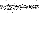on their heads," I am the Spirit ! I am the Witness, the Everblessed ! "I have no reason to do; no reason to suffer; I have finished with everything; I am the Witness' (C. *W.*, V. p. 254). Further: "It is all play. .... Play ! God Almighty plays. That is all You are the almighty God playing. .....It is all fun. Know it and play. That is all there is to it. Then practise it. The whole universe is a vast play. All is good because all is fun. .....Do not be miserable! Do not repent: What is done is done. If you burn yourself take the. ....consequences Be sensible. We make mistakes; what of that? That is all in fun. They go so crazy over their past sins, moaning and weeping and all that. Do not repent! After having done work, do not think of it. Go on! Stop not! Don't look back! What will you gain by looking back?" *(C.W.,* II. pp. 470-71).

Let us close this exposition with Swamiji's own immortal and inspiring exhortation: 'Arise ! Awake ! And stop not till the goal is reached.'

—o—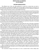## **MEDITATION ACCORDING TO PATANJALI**

## **SWAMI HARSHANANDA**

<span id="page-24-0"></span>The diffused rays of the sun, when gathered to a point by a convex lens, can start a devastating fire. A powerful searchlight can reveal any object, towards which it is turned on. In the same way, when the forces of the mind, normally diffused or even confused, are gathered together and concentrated, can give us knowledge and power.

However, this concentration of mind involves a very arduous process. As in the case of any other science, art or craft, this also has to be learnt from competent teachers and practised assiduously. One of the all-time great teachers of this science and art, is the sage Patañjali. His "Yoga Sutras" is a basic text embodying a systematic treatment of this subject.

As in the case of other Indian philosophical systems, here also *kaivalya* or liberation is set forth as the goal of life. But unlike, in those systems, Patañjali cares little for philosophical disquisitions and goes straight to the practical means of achieving it. Mind being the chief means in this process, he has dealt with the subject of its composition, function and control. According to him, the mind is as much a product of the three *guṇas (sattva, rajas* and *tamas)* as the body or the external physical objects, though it has much finer vibrations. It normally functions in the form of *vṛttis* (waves or modifications).

Swami Vivekananda compares the mind to a lake. When the water of the lake is absolutely calm and steady, one can see the reflection of one's face in it, or a piece of stone lying at its bottom. When the water is disturbed by waves, this will not be possible. In the same way when our mind is rising in the form of *vṛttis* it is not possible to get a true picture of our real self. If and when, as a result of practising yoga, we successfully eliminate all the *vṛttis,* we will certainly have a vision of our true self, the spirit behind our mind, our personality.

Patanjali defines yoga as *citta-vrittinirodha*, suppression of the modifications of the mind. Since these *vṛttis* are innumerable, will it ever be possible to control them and suppress them? Patañjali being endowed with a practical and scientific attitude, assures us that it is possible to do so. How? Though, individually, there appear to be any number of these *vṛttis* category wise there are only five ! He classifies them as: *pramāṇa* (true cognition), *viparyaya* (false cognition), *vikalpa* (verbal cognitions), *nidrā* (deep sleep) and *smṛti*(memory).

*Pratyakṣa* (direct perception), *anumāna* (inference) and *āgama* (verbal testimony or scriptural testimony) constitute true cognition. False cognition is wrong knowledge of things, and includes doubts as also uncertain cognitions. Verbal cognition arises by hearing a word which has no corresponding reality. Sleep stands for dreamless sleep and is due to the preponderance of *tamas* in the *citta,* which *tamas* is the cause of absence of ordinary perception at that time. Memory is the reproduction of past experiences without any alteration or innovation. All other cognitive mental states can be included under these heads.

After conceding the possibility of controlling and suppressing these mental modifications, Patañjali reveals the age-old (open?) secret of achieving this: *abhyāsa* (repeated practice) and *vairāgya* (dispassion).

The tremendous energy of the waters of a river is wasted when it flows wildly, often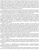bringing untold sufferings to the people living on its banks. When a dam is constructed across it, this energy is conserved. It is then guided through channels and canals or pipes for irrigation or generation of power. In exactly the same way the mad rush of the mental energies which are being wasted through the senseless enjoyment of sensual pleasures must be halted by cultivating dispassion towards these sense objects and the energies thus saved should be directed towards the self or God within. *Vairāgya* and *abhyāsa* mean just this and nothing more ! However Patañjali advises us to practise yoga constantly, continuously and with feeling, and warns us not to expect quick results!

Man by nature is averse to hard and sustained effort. He always seeks for short-cuts. Hence Patañjali provides for that too ! He declares out of infinite compassion for mankind, that by devotion and self-surrender to God (*Iśvarapraṇidhāna*) one can get complete control over the mind resulting ultimately even in *samādhi*(super-conscious experience).

Any person who wishes to have a strong and healthy body, must have a basic know ledge of diseases which destroy this health. After all, prevention is better than cure ! So anyone desirous of practising yoga, must b aware of the obstacles to yoga so that they cat be avoided or remedied. Patañjali lists 9 obstacles to yoga: (1) *vyādhi* (physical sickness) (2) *styāna* (languor); (3) *saṁṡaya* (doubts and misgivings); (4) *pramāda* (heedlessness) , (5) *ālasya* (sloth); (6) *avirati* (absence of dispassion); (7) *bhrāntidarṡana* (hallucinations); (8) *alabdhabhūmikatva* (non-attainment of the stage of communion in spite of effort); (9) *anavasthitatva* (instability).

*Vyādhi* should be overcome by proper medicines, treatment and diet, *styāna* by discrimination and will-power, *saṁṡaya* by faith in the scripture, the guru and oneself *pramāda* by eternal vigilance, *ālasya* by healthy physical activity, *avirati* by reflecting on the transient and evil nature of sense-pleasures and *bhrāntidarśana* by right perception. The last two, *viz., alabdha-bhūmikatva* and *anavasthitatva* are more serious obstacles encountered in the higher stages of *sādhanā*. Just as rat-holes in an agricultural field drain away all water, in the same way, deep-rooted evil *saṁskāras* (impressions left over by past-life experiences) nullify all efforts at spiritual progress. Guidance from the Guru or advanced souls as also prayer and self-analysis will help to locate and eradicate these *saṁskāras.*

This preliminary knowledge should suffice the beginning of yogic practice which itself consists of eight graded steps: 1. *yama* (restraint): 2. *niyama* (culture): 3. *āsana* (posture): *4. prāṇāvāma* (control of psychic *prāna):* 5. *pratyāhāra* (withdrawal of *senses):* 6. *dhāraṇā (*fixed attention): 7. *dhyāna* (meditation): 8. *samādhi* (perfect concentration resulting in superconscious experience).

*Yama* is a moral discipline and consists of: *ahiṁsā* abstention from all kinds of injury to life;*satya* (truthfulness in thought, word and deed); *asteya* (non-stealing); *brahma- carya* (control of carnal passions) and *aparigraha* (non-acceptance of gifts, more than necessary for sustenance).

*Niyama* consists in cultivating *śauca* (cleanliness), *santoṣa* (contentment), *tapas* (austerity of body, speech and mind), *svādhyāya* (study of scriptures) and *ῑśyara-praṇidhāna* (surrendering the fruits of actions to God).

It is to be noted here that *yama* and *niyama,* the basic ethical disciplines, have been, placed at the very foot of the ladder of yogic ascension. This implies that those who have not given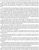up evil ways of life, cannot aspire to become yogis! Misdeeds and meditation cannot co-exist!

*Āsana* is a discipline of the body, and consists in the adoption of steady and comfortable postures for the sake of meditation. This is achieved through releasing the physical and mental tensions and through the contemplation on the *ananta*, the infinite sky. The steadiness of the body thus achieved is conducive to the steady flow of mind towards the ideal.

An excited mind throws the breathing out of rhythm. A calm and quiet mind, on the other hand, is invariably accompanied by rhythmic breathing. This fact from our experience gives us a very useful and practical hint to control the mind. Practice of rhythmic breathing, and even stopping the breath for some time in a systematic way, will help bring the mind under control. This is exactly the principle behind *prāṇāyāma. Prāṇa* is actually the life-force permeating the whole world and manifests itself in our bodies as the bio-chemical and nervous energy. This energy is connected with the breath on the one side and with the mind on the other. Hence, control and regulation of breath gradually leads to the control and regulation of the mind itself. The process itself consists of *recaka* (exhalation), *pūraka* (inhalation) and *kuṁbhaka* (retention), in certain fixed proportions.

It is interesting to note that the great sage Patanjali has finished all about  $\bar{a}$ sana and *prāṇāyama,* about which so much fuss is often made, in only eight *sūtras.* It must be remembered that the object of practising these two disciplines as also the others, is to obtain *samādhi* and that one gets a right to practise them only after scrupulously following moral discipline and culture as enjoined by *yama* and *niyama.*

The next step is *Pratyāhāra,* the withdrawal of senses from their respective external objects, keeping them under the control of the mind. When the senses are effectively controlled, they follow not their objects, but the mind, itself. So, in this state, the mind is not disturbed by sights and sounds coming through the eyes and the ears, but makes these senses follow itself, and see and hear its own object.

These five disciplines are regarded as *bahiraṅga-sādhana* (external sides) of yoga, whereas the next three, (*dhāraṇā, dhyāna* and *samādhi*, are classified as *antaranga- sādhana* (internal means).

*Dhāraṇā* is the fixing of attention on a definite locus, such as the lotus of the heart, the light in the brain, the tip of the nose or the tongue, or on an external object like the moon or the image of gods and so on.

When *dhāraṇā* ripens so that the flow of the thought-current becomes unbroken, it becomes *dhyāna.* Here the mind hovers round the object of meditation. There is still the consciousness of the trio—the ego-sense, the object of meditation and the process of meditation.

When again *dhyāna* becomes perfect and the mind is so deeply absorbed in the object that it loses itself and has no awareness of itself, the state attained is called *samādhi.* In this state, only, the object of meditation will. be shining in the mind and the yogi is not even aware of the thought process involved in it. Even the ego-sense is completely subjugated.

In the state of *samādhi,* which is an intuitive and superconscious experience, the object of meditation will reveal all its secrets to the yogi. If the yogi can make his own self or *Iśvara* the object of meditation after learning about them from the *Sāñkhya* (an allied philosophical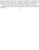system declaring the knowledge of the self as the means of liberation), he will get *kaivalya* (liberation). Patañjali calls these two *sāmādhis* respectively, as *saṁprajñāta* and *asaṁprajñāta.* In the former, the object of meditation is known in its entirety. In the latter, nothing outside the self is known *(samprajñāta=*well known, *asaṁprajṅāta=*not known).

This process of yoga and meditation as prescribed by Patañjali can be easily adopted to the path of Bhakti also. In the latter case, the *Iṣṭadevatā* (the chosen deity) becomes the object of meditation.

—o—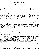## **MEDITATION ACCORDING TO YOGAVASISHTHA**

### **PROF. B. KUPPUSWAMY**

#### <span id="page-28-0"></span>*1. Assumptions of Vasishtha*

According to the *Vāsishtha,* Brahman, the Absolute, manifests itself in the world. Everything originates out of, exists in and finally merges into, the Brahman. He gives the analogy of the waves in the ocean. The waves arise, exist, and merge into the ocean. The difference between the world and the Brahman is due to ignorance and will cease to be believed in the enlightened state (Vl-a. 49. 32). Similarly he held that the mind is not different from the Absolute. The limited and relative forms called the mind originate from and merge into the Brahman (III. 100.23). Again, according to Vasishtha every object of the world is the being of consciousness and the being of consciousness is the being of the world (III. 14.74).

The second assumption of Vasishtha is that all living beings and all human beings, strive for happiness (VI. 188.20). The only trouble is that we seek happiness in wrong places. The animals and many human beings seek happiness by satisfying the bodily needs and by striving for sense-joys. However, the sense-enjoyments are pleasant only at the beginning. They have an inevitable end (V. 22.30). All pleasures terminate in pain (V. 49.6). Freud, the great psychoanalyst, called this the pursuit of *pleasure-principle,* typical of children. Vasishtha asserts that things by themselves are neither pleasant nor unpleasant. It is our attitude towards the objects and experiences that make them agreeable or disagreeable. The same object, say a sweet, is very pleasant when one starts eating. But with more of them, disgust towards them ensues (Vl-a. 44.2-3).

So, Vasishtha concludes that when all desires are given up by the heart one experiences joy within (V. 74.24). One must give up notions like 'may this be mine' and 'may this not come to me.' In other words, real happiness arises with self-realization. It arises when the mind is at peace; that is, when the mind is not functioning at the level of 'wants' and 'don'ts'.

#### 2. *Manas, Karma and Vasana*

*Manas,* mind, is ever-active like the ripples in the motionless ocean. The ocean is like the *chit,* the pure consciousness, or Brahman. That is, the *chitta,* the mind, has evolved from the *chit,* the pure consciousness. The nature of manas is *karma,* activity. Thus according to Vasishtha, karma is nothing but the activity of the manas. Each activity of manas is determined by its preceding activity and determines, in its turn, the succeeding activity. Thus the cessation of karma leads to the cessation of manas— *karma nāśe mano-nāśaḥ* (III. 95). This is the unique theory of Karma of Vasishtha, namely that Karma is mental activity. According to him, when *manas* arises from Brahman, *karma* also arises simultaneously (III. 95. 1-12). That is, it is impossible to conceive of *manas* without *karma.* The two are the same. According to Vasishtha the terms *manas, chitta, vāsanā,* and *karma* refer to the same. They are merely varied names (II. 9. 13-21).

What about *vāsanā? Vāsanā* is the root desire, the root inclination in the *manas.* All action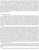or active agency is associated with *vāsanā.* It is the presence of *vāsanā* that brings about the sense of agency, *kartṛtva* and sense of enjoyment, *bhoktṛtva.* Those who are free from *vāsanā* are free from attachment. They are active without being attached to the fruit of activity. That is, *vāsanā* and *karma* are, as Dasgupta (History of Indian Philosophy Vol. II, 1932) puts it, "more or less like the potential and actual states of the same activity" (p. 255) Vasishtha assumes that there are two distinct groups of *vāsanās* operating in the *manas,* one leading to the good of the individual and the group and the other leading to the evil of the individual and the group. It is the duty and the task of the individual to rouse the good *vāsanās* and overcome the evil *vāsanās.* (II. 9.25-31). It is Vasishtha's conviction that man is a free agent and it is for him to choose the course of action which contributes to his own good and the good of the group in which he lives.

#### 3. *Prāṇa and its control*

According to Vasishtha, the *chitta* transforms itself into *cittavṛttis,* the mental states or mental modifications, due to two reasons. One of these is the *parispanda*, the vibration of the *prāṇa.* The other is the *vāsanā,* the strong and deep-rooted desires and inclinations. It is the *prāṇa-spandana,* the vibration of the *prāṇa,* that leads to the manifestation of the thoughts and the world- appearance. Consequently, the cessation of the vibration of *prāṇa* means the cessation of all cognitive functions. There is also a close relationship between *prāṇa-spanda* and *vāsanā. Prāṇa* is set in motion through *vasana* and *vasana* is created and stimulated into activity by *prāṇa-spanda.* The cessation of the *chitta,* the cessation of all the cognitive functions, is possible through *prāṇāyāma,* regulation of breath and *dhyāna,* meditation. (V 91. 20-27).

In the purvardha of the Nirvana Prakarana, Vasishtha relates the story of Kaka Bhusunda (VI.a. Chs. 24-26). Bhusunda is the venerable old crow, who instructs Vasishtha about *prāṇa.* The body is compared to a house and *ahamkāra,* the ego, to the householder. A description is given of *rechaka,* the outgoing breath, *puraka,* the breathing in and *kumbhaka,* the interval between the two. Also there is a description of the two *nāḍis, iḍā* and *pingalā,* the left and right columns of the spinal cord with *sushumn*a in the centre. There is also the statement that the *prāṇa* forces are responsible for the breathing, the movement of the eyes, the digestion of food and the power of speech (Via. 25. 6-11). Dasgupta observes, "It is curious to note in this connection that in the whole literature of the Ayurveda, there is probably no passage where there is such a clear description of the respiratory process" (ibid, p. 258 footnote). It is asserted that when there is cessation of the two operations of breathing in and breathing out, there is an unbroken continuity of *kumbhaka.* There is also the assertion that all the functions of breathing are due to the movement of *chitta* (Via. 25. 61-74). Earlier it is said that *chitta* and the movement of the breath and body are one and the same, inseparable like the snow and its whiteness (V. ch. 78).

It is said that there are two ways of destroying the chitta, one by the cessation of mental states through *prāṇāyāma,* and the other by right knowledge. From the movement of *prana,* there is the movement of the *chitta* and from the movement of the *chitta* there is knowledge, *samvid.*

The control of the movement of *prāṇa* may be achieved through concentrating one's mind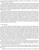on one subject or through long inhalation associated with meditation or the practice of *kumbhaka,* retention of breath.

When Vasishtha asks Bhusunda to describe. the nature of *prāṇa vāyu,* he is informed that it is *spanda śakti,* the ever-moving vibration energy and that it functions in all the three states of waking, dream and deep sleep, that is, in all states of consciousness. It is said that all the three processes of inhalation, exhalation and retention of breath, occur without any effort (VI a. 251-11). It is pointed out that the person who pays attention to these three processes in a deliberate way is a Yogi. He gradually develops a contempt for all other activities and sense pleasures (Via. 25. 20-24).

Bhusunda asserts that by resorting to *praṇa samādhi* in this manner, he was able to attain *chitta viśrānti,* mental peace. This is *ātma samādhi.* He experiences this peace whether he is stationary or moving about, whether he is awake, dreaming or asleep. He is in communion with the Absolute and is never concerned with the past or anxious about the future. He says that he will be in the *sushupti* state even while he is awake and active. (VI a. 26. 1-10). He has *samadrishti,* he looks on all as being equal. Whether it is a piece of wood (*kāshtam*) or a coquettish woman *(vilāsini*), a mountain or a blade of grass *(tṛṇa),* they are all the same. As a result, he says, he is ever happy. He further says that he never thinks of a person as a friend or *relative (bandhu)* or as an alien *(para).* He is able to look upon every one as the manifestation of the *chit,* the pure consciousness (VI. a. 26. 20-21). So he feels close, intimate and friendly towards every person. (VI a. 26. 34-35).

#### 4. *Control of Mind*

According to Vasishtha, the World-experience is a delusion. He gives the analogy of the illusion of a circle of fire caused by the swinging round and round of torch (V. 78.1). As noted above, he asserts that there are two ways of overcoming this world delusion, namely, Yoga and Jnana. (V. 78.8). He asserts that Atmajnana, knowledge of self, leads to the control of mind. Jnana, he says, consists in having the conviction that the Absolute is beginningless (*anādi*) and endless *(anānta*), that it is eternal and self-luminous. When this *jnāna* arises, *ajnāna,* nescience is destroyed. When *ajnāna* is destroyed there is *mano-nāśa,* the destruction of the mind. With it all the *manovṛttis,* the mental processes and the experience of forms and perceptions, automatically vanish. It is the mind that is responsible for the functioning of the various organs of sense and actions (the *jnānendriyas* and *karmendriyas).* When there is control over the mind, all the organs of sense and action are automatically under control (V. 80. 15-20). Desires, then, will have no hold on one. When the desires are not there, the question of joys and sorrows does not arise at all(Y. 80. 38-42).

When this Jnana arises, one is not disturbed by the functioning of the mind. Experiences will come and go in the manner of the waves of the sea which arise and disappear (V. 81. 11-14). In that condition, man has neither the desire to acquire nor the desire to reject. He becomes free from likes and dislikes (V. 86. 10).

Some persons try to calm the mind with the help of drugs. Vasishtha condemns these efforts. He also condemns the desire to acquire and exhibit *siddhis,* supernormal powers (V. 89. 12-16).

Vasishtha says that the *chitta-sattā,* the apparent reality of the mind, is responsible for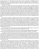world experience. So *chitta-nāśa,* the destruction of the mind leads to enlightenment. An enlightened person is not affected either by external or internal wants. He will be like a mountain that is unaffected by the winds. So long as one thinks about the seen *(the dṛśya),* he is steeped in foolishness.

Vasishtha told Rama that the world experience and the round of worldly activities *(samsara)* is due to the wheel of delusion *(maya chakra*); the hub of this wheel of delusion is the mind, the *chitta.* So the task of the individual is to utilize his intelligence or wisdom *(buddhi)* and make the mind stable. When the mind is stabilized through deliberate effort, the movement of the wheel of Maya will be arrested. When one attains that stability, all suffering and sorrow will vanish. It is *chitta nirodha,* the restraint of the mind, that is the supreme remedy for the disease of the wheel of worldly activities *(samsāra*). When the mind, the *chitta,* without being engaged in thinking of the past and the future, is concerned with the present in an effortless way and with detachment, then it becomes *achit,* free from concern and anxiety. When the *chit,* the consciousness, is free from *chitta,* the mind, it becomes *śuddhātmā,* pure self.

Rama asked Vasishtha to enlighten him about the seed of worldliness (*samsāra būja*). The seed, he replies, is the body and the mind. The sprout is the *vāsanā,* the impressions in the mind which determine the further mental processes and consequent worldliness. So that supreme well-being (*sreyas*) consists in controlling the mental processes (*chitta vṛttis).* When such control is attained, the seed will be burnt (*dagdha būja*) and powerless to sprout (V. 91.1-46). So long as the mind is active, the *vāsanās,* the impressions, will be powerful. When there i s *mano nāśa* (the destruction of the mind and mental concerns), *vāsanā kshaya* will ensue. The past impressions and predilections will become powerless to influence the conduct of the individual(V. 91.54-55).

Self-knowledge, the company of the good, the relinquishment of predictions, the control of breath, are all necessary to attain victory over the mind (V. 92. 35-36).

This is why Vasishtha warns that mere control of the body through Hatha Yoga, without a control of the mind and without the attainment of self-knowledge, is futile (V. 92. 38-48).

According to Vasishtha the term Yoga stands for the practice in self-realisation. The term Yoga stands for (a) the deep affirmation of One Reality (*ekatattvatabhyāsaḥ),* (b) stopping the movement of the *prāṇas,* the vital currents (*prāṇānām vilayaḥ*) and the control of mind (*manovinigrahaḥ*). (VIa. 69. 27). Success in any one of them leads to success in the others also. However, he prefers the control of mind as the easiest and the best. Of all the three methods of realisation, the control of mind is the best, because it is easily effected and leads to peace soon. (VI a. 69. 29).

Vasishtha is emphatic that the mind can be controlled and dissolved by one's own efforts and not by penances, pilgrimages, learning, sacrifices, etc. (VI b. 163.8). The important and effective means for control of the mind is the eradication of egoistic feeling. Egoism (*ahambhāva*) arises with the identification of the self with some particular aspect of the Infinite and the Absolute, whether it is the body, or the family, or the nationality, etc. It is *ahamkāra,* self-affirmation, that is the root of the tree of mind. This has to be destroyed (VI a. 94.13). This self-affirmation will die when we realise that it is unreal from the point of view of the Absolute. He asserts that when the nature of the ego is known, it will vanish. Let a man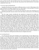who is already peaceful, self-controlled and free from sensual pleasures and selfish desires, Vasishtha says, sit on a soft seat and utter the *pranava,* Om, and feel that he is the entire cosmos (VI a. 128. 1-25).

#### 5. *The seven stages of self-Realization*

Vasishtha describes the seven stages in different sections: a) in the 118th chapter of the third Prakarana, the Utpatti Prakarana, b) the 120th chapter of the purvardha of Nirvana prakarana, and c) in the 126th chapter of the same prakarana.

Putting them all together we can describe the progressive path of the individual as he ascends from particular conscious states to the state of pure consciousness in the following way:

The first stage consists of *subheccha*, the aspiration to transcend the worldly preoccupations and engage himself in the study of the relevant books. The second stage consists in *vicharana,* critical inquiry regarding the nature of the self, the world and the Brahman. The third is the development of *asanga bhāvanā* the affirmation of one's being detached from worldly pursuits and enjoyments. When *asanga* detachment, is cultivated, the aspirant will be peaceful and happy. The fourth stage is *vilapana*, in which all desires are annihilated. The fifth stage is that of *asamsakti,* in which one becomes detached from the objective world. As a result of this arises the sixth stage, *padārtha abhāvanā,* the realisation that the things of the world are unreal, that is, are not permanent. The seventh and final stage is that of *turtya*, the stage of liberation here and now, which is free from all agitations and is characterized by *samatva,* equanimity and *samadarśana,* looking on all persons with an equal eye. Such a person has no concern with differences in age, sex, status, etc. This is the stage of the *jivanmukta*, the liberated man. The first three stages correspond to the *jāgrat*, the waking state, the fourth corresponds to the *svapna*, the dream stage, and the fifth and sixth correspond to the *sushupti* state, the state of deep sleep. The last stage is the culmination, in which all his desires, thoughts and actions have been burnt up and so leave no *vāsanās,* no traces or impressions, which generate further desires, thoughts and actions.

#### **6.** *Concluding Remarks*

It is clear from the above that Vasishtha's views regarding Yoga are quite different from the views of Patanjali and others. As noted above, he looks upon Yoga as the method which enables one to transcend the finitude of world-experience. *Samsarottarane yuktiryogaśabdena kathyate*—Yoga is the method of crossing over the Samsara (VIa 13.3). Jnana, selfknowledge, is the only means for attaining this. It is the conviction that Brahman alone is the Reality. *Jnāna,* thus, is not a mere intellectual affair. It is not mere knowledge. In fact, he calls a man of knowledge a *Jnāna- bandhu.* He is not a *Jnānin.* He asserts that a Jnanabandhu is one who studies scriptures merely to earn his livelihood. In this he is like an artisan, a skilled craftsman, rather than an artist. He does not make any effort to practise what he has learnt. His knowledge does not manifest itself in his actions. He just follows the injunctions of the Sruti. His aim is not self-realization. (VI b. 21. 3-8). The ideal of Yoga, according to Vasishtha, is to be in the *turiya* state, the fourth state, which is the realisation of bliss which is the nature of pure consciousness. (VI a. 128. 50-51).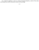As a result his emphasis is more on control of breath *prāṇāyāma,* control of the mind, *manovinigrahaḥ,* and the attainment of *jnāna* self-knowledge.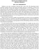## **THE PLACE OF MEDITATION IN ADVAITA VEDANTA**

#### **DR. T. M. P. MAHADEVAN**

<span id="page-34-0"></span>Vedānta is not only a teaching of truth but also a way of life. The Upanishads which constitute Vedanta teach not only about the Reality referred to as *Brahman* or *Atman,* but they also prescribe in detail the methods by which *Brahman* is to be realized, i.e., to be experienced as the sole Reality. According to the Upanishads as expounded by Sankara: "The Absolute Spirit is the non- dual Reality; the world of phenomena is an illusion; the so-called individual soul is the Absolute Itself, and no other." The world appears to be real because of ignorance which binds the soul to the recurring cycle of birth and death. Knowledge of the non- dual *Brahman-Atman* (the Self free of limitations) effects release of the soul from restrictions superimposed on it, by removing ignorance. Release is only another name for the eternal Self *(Brahman-Atman).*

Release which is the goal as taught in the Upanishads is not what-is-to-be accomplished. The expression that it is "attained" is but figurative and only from our limited standpoint of diversity. It is from this point of view that we say, knowledge must be "gained" etc. Actually knowledge is not acquired, for acquiring implies activity and anything caused by activity is by nature bound to be perishable.

It is true, however, that action may precede knowledge. For example one may act by turning the head towards the sun, but what is subsequently seen is not the result of an action but what is already there. In this sense, paths towards Release can be considered to consist of *karma,* disinterested service without expecting rewards, *bhakti,* devotion to a chosen Deity, and *jnana,* the way of inquiry. To follow the discipline of inquiry, which is the path of knowledge, certain qualifications are necessary. Sankara lays down these as the qualifications: Discrimination of the eternal from the non- eternal phenomena; nonattachment to the enjoyment of fruit (of endeavours) here or in a here-after; the possession in abundance of virtues such as calmness and equanimity, and the longing for release.

It is obvious that these qualifications of eligibility to follow the path of knowledge are difficult to obtain. What one should basically achieve is perfect mind-control. Mind-control is achieved through concentration and meditation. Meditation, it must be remembered, is a mental act and is different from knowledge. It is prescribed for those who are not yet ready for the path of knowledge. The benefit of meditation is that it arrests the current of the mind which courses its way to objects of sense, and causes it to concentrate on *Brahman.* Meditation on *Brahman* may be compared to a delusion which becomes fruitful. A delusion which yields a fruitful result is called *samvadibhrama. visamvadibhrama,* its opposite, is a delusion which does not lead to any fruitful consequence. Let us illustrate this by an example: The light of a lamp and the light of a gem may both be mistaken for a gem. Both are cases of delusion; but the person who mistakes the lamp light for a gem, approaches but gains nothing; while the one who mistakes the light of a gem for a gem itself, gets the gem. Meditation on *Brahman* is like the latter. There is meditation on *Brahman* with attributes (*saguna*) and there is also the meditation on *Brahman* without attributes (*nirguṇa). Brahman* as such is unconditioned, without attributes, without qualifications *(nirguna)*. It is the same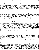Reality as endowed with attributes that is called God when viewed in relation to the empirical world and souls. *Brahman* is the same as *nirguṇa* (attributeless) and as *saguṇa* (with attributes). There are no two *Brahmans* as wrongly alleged by some critics. Even when God is referred to as the lower *(apara) Brahman,* what is meant is not that *Brahman* has become lower in status as God, but that God is *Brahman* looked at from the lower level of relative experience. These are two forms (*dvirupa*) of *Brahman* and not two *Brahmans; Brahman* as-It-is-in-Itself, and *Brahman* as-It-is-in-relation-to-the-world. The former is the unconditioned *Brahman,* the latter is *Brahman* as conditioned by nomenclature, configuration and change.

Superior to meditation on *Brahman* with attributes is meditation on *Brahman* without attributes. The criterion by which superiority of a particular method is determined is its relative proximity to *Brahman-*knowledge. Judged by this standard, meditation on the attribute less *Brahman* is superior to the remote methods like the performance of rites and formal worship. Just as a delusion that turns out to be fruitful becomes very much like knowledge at the time of yielding fruit, even so meditation on *Brahman* without attributes, when it matures, becomes like knowledge at the time of release.

Meditation on the attribute less *Brahman* usually takes the form of meditation on the sacred syllable *Om,* referred to as *praṇava* Gaudapada, the illustrious predecessor of Sankara, explains the method of meditating on the significance of *Om* in his verse, commentary on one of the Upanisads, the Mandukya-Upanisad. *Om* is the sound which is indicative of *Brahman.* It is inclusive of all sounds; and hence it is the support of the world of speech *(vāk-prapañca).* And of all that is denoted by sound, the ground is *Brahman.* So, for purposes of meditation the sound *Om* is made to stand for the Self or *Brahman.* Of all the symbols, the sound *Om* has come to be regarded as the most important and fruitful. The Kathopanishad says, "The word (or goal) which all the Vedas declare, that which penances proclaim, and desiring which people lead an austere life, that word (or goal) I tell thee in brief: It is *Om."* The Mundakopanishad compares the *praṇava* (the syllable Om) to the bow, the individual soul to the arrow, and *Brahman* to the target, and says that the target is to be unerringly hit. Thus is union with *Brahman* attained. The ϐifth question of the Prasnopanishad relates to the meditation on *Om* as a means to the Realization of the higher and the lower *Brahman,* i.e., the unconditioned *Brahman* and *Brahman* as conditioned. It is stated there that by means of *Omkāra* the wise one arrives at the Highest, which is quiescent and free from decay, death and fear.

The use of *Praṇava-dhyāna* or meditation on *Om* is, thus, well recognized in the Upanishads. In fact, the Mandukya starts by saying that its object is to expound the significance of *Omkāra*, and sketches the method of identifying the components of the sound *"Om"* with the aspects of the Self, and thereby realizing the truth of non-duality. There are four *mātrās* or morae of *Om* corresponding to the four phases of the Self. The four *mātrās* are a, u, m, and the fourth which is really *amātrā* or the mora-less part which is represented by the point (*bindu*) of the *anusvara.* The phases of the Self are *Viśva, Taijasa, Prājña* and the *Turῑya;* the first three stand for the Self in waking, dream and sleep respectively, and the fourth is the Self *per se.* The principle of the meditation on *Om* is to equate the *mātrās* with the phases. Gaudapada calls the knowledge or equation *mātrāsampratipatti, (i.e.,* knowing the *mātrās* to be identical with the phases) and *omkārasyapādaśovidyā* (knowledge of the morae of *Om* as the phases of the Self). Now, if two things are to be identified or compared there must be some similarity between them. Mandukya and, following it, the Karika, give reasons in each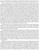case for the identification of the phases of the Self with the *mātrās*. And the reasons, it is advisable to remember, are intended only for helping concentration on the significance of *Om.*

The first of the *mātrās* is *a* and the first of the phases is *Viśva*. These two are to be regarded as identical because of the common quality of being the first *(ādi)* as well as that of pervading *(āpti).* Of the sound components of *Om, a* is the first; so also of the aspects of the Self, *Viśva* is the first. And just as *a* is pervasive of all speech, *Viśva* is pervasive of the universe. In the case of the second *mātrā u,* and the second phase of the Self, *Taijasa,* the common qualities are exaltation (*utkarṣa*) and intermediateness *(ubhayatva).* The exaltation of u is due to its being subsequent to *a.* Similarly *Taijasa* is exalted over *Viśva* because of its superior order. *U* is intermediate between *a* and *m*; and *Taijasa* is between *Viśva* and *Prājña.* The common features that constitute the basis for the identification of m and *Prājña* are being the measure*(miti* or *māna)* and the locus of mergence *(apiti* or *laya).* In repeating *Oṁ* again and again, *a* and *u* merge into and emerge from *m,* as it were. Here *ṁ* is said to be the measure of the other two *mātrās. Prājña* is the measure of *Viśva* and *Taijasa* because these two evolve out of it in creation and enter into it in dissolution; the worlds of waking and dream get resolved in sleep, and from sleep they emerge again. The second common quality is *laya* or disappearance; just as *a* and *u* end in *m, Viśva* and *Taijasa* disappear in *Prājña.* It will be clear that the letters *a, u* and *m* are employed in this meditation as mnemonics. Each letter stands for the first letter of the words signifying certain features of the Self in its manifestation as *Viśva, Taijasa* and *Prājña.* The second quality of *Prājña* is the only exception. Thus *a* stands for *ādi* and *āpti; u* for *utkarṣa* and *ubhayatva;* and *m* for *miti* or *māna.*

The fourth *mātrā* is, as we said already, *amātrā.* It is the silence into which the sound *Om* culminates. It is the *Om* without the distinction of parts. It has not even a name, and therefore it does not come under the purview of empirical usage. It is the *Turiya,* Self or Pure Consciousness which transcends the distinctions involved in the forms of *Viśva* and *Taijasa,* and the seed of plurality implicit in *Prājña.*

The Mandukya-upanishad eulogizes the meditation on the identity of the *mātrās* and the phases of the Self by specifying the fruit which each stage in the meditation yields. He who knows Vaisavnara, *(i.e., Viśva)* as *a*, says the Upanishad, obtains all desires and becomes first among the great. He who knows the identity of *Taijasa* with *u* exalts or increases the continuity of knowledge and becomes equal or of the same attitude towards all and in his family none who does not know *Brahman* is born. He who knows the one-ness of *Prājña* and *m* measures the whole world,*(i.e.*, knows its true nature) and becomes the place of its mergence, *(i.e.,* he becomes the Self which is the cause of the universe). He who knows the mora-less *Oṁkāra* in its fullness as signifying the *Turiya* realizes the Self and does not return to empirical life.

Meditation or *upāsanā* is defined thus by Sankara: the process of taking hold of some stay or *ālambana*, established as such in the sacred texts, and directing a continuous flow of even modes of the mind towards it, without the intervention of any other cognition contrary to it, i s *upāśanā.* There must be some point of attention for concentration. This is the *ālambana* (support). It is of service in steadying the thought-current and making it flow in one direction. The *pratikas* or images are useful in this way. The centrifugal tendency of the mind is arrested, and it becomes unflickering and one pointed like the flame of a lamp kept in a still place. The images which are wrongly called idols have a place in spiritual discipline because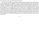they help to direct the mind of The aspirant Godward.

That *Praṇava* or *Omkāra* has the pride of place among the symbols of the invisible Spirit, we have already stated. Its significance and the method of meditation thereon have also been explained. Gaudapada concludes his exposition of *Praṇava-yoga* by praising it and those who practise it. "The mind should be yoked to *Praṇava,* for *Praṇava* is *Brahman* in which there is no fear. For him who is ever identified with *Pranava* there is no fear anywhere. *Pranava* is the lower *Brahman;* it is the higher also. It has no cause; there is nothing besides it, nothing outside it. Nor is there anything that follows from it. *Praṇava* is immutable. It is the beginning, the middle and the end of all. He who knows *Praṇava* thus attains the Self. *Om* is to be known as the Lord present in the heart of all. Having understood the all- pervading *Om,* the wise one does not grieve about anything. *Omkāra* is without measure *(amātrā),* and is without limits *(ananta-mātrā);* It is That in which all duality ceases, It is bliss. He who knows this is a saint, and no other."

—o—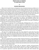# **MEDITATION ACCORDING TO ASHTANGA-YOGA**

### *by*

# **SWAMI VIJNANANDA**

Man is ever in search of peace and happiness; but real and perennial peace and bliss are to be found in one's self alone and not in the sensate objects of pleasure. Our self is of the nature of pure being, consciousness and bliss. It is our essential nature; but the self is enveloped by ignorance, by the sheaths of body and mind, by our worldly passions, desires and activities. One has to practise yoga in order to pierce through these psychic strata and reach one's self. Absolute control and sublimation of mental states is the only way to become aware of the self. This control and, sublimation are brought about by Abhyasa, Vairagya and meditation.

Abhyasa means continued effort to steady the mind and Vairagya or non-attachment means self-mastery obtained by giving up all desires. Non-attachment brings about tranquillity of mind. With a tranquil mind, concentration and meditation become easy. Meditation with a concentrated mind illumines the self. Meditation is an integral part of spiritual life. It is a direct means to spiritual enlightenment. When a man takes to meditation, he takes the path that leads directly to deliverance.

Meditation is an important limb of Ashtanga-yoga. Ashtanga-yoga is not a science of enquiry (pariksha-sastra); but is a science of instruction (upadesa-sastra). So, it is more practical than speculative in its intent and content. It is not based on mere theory or hypothesis; but on facts that have been tested and proved. Ashtanga-yoga is a practical mode of discipline in which the self achieves independence and liberation. It is not concerned with problems of philosophy. Neither is it burdened with logical intricacies. Its only interest lies in helping man to free himself from ignorance, from bondage of body and mind, from the stress and strain of life and to achieve peace and happiness.

The key-word in Ashtanga-yoga is the term yoga. Though the word 'yoga' may mean several things, it specially and specifically means meditation in Ashtanga-yoga. Through meditation the self or the soul becomes liberated from the shackles of the mechanism of the body and mind. Mind is less binding than the gross body. Like the body it is also a form of matter. The goal of yoga is to completely extricate the spirit from every vestige of matter, be it body or mind.

Man in his essential nature is not the complex of body and mind. He is a spirit inhabiting a body. He has forgotten his spiritual nature. Due to ignorance, he identifies himself with the body and mind. As a result, he feels miserable and wretched. He is suffering from conflicts and is not at peace either with himself or with the world. By means of meditation man realises his true nature and remains in it. His ties with the body and mind become severed and he attains to serene peace and unalloyed bliss.

There are five obstacles to yoga. They are ignorance (avidya), self-consciousness (asmita), attachment (raga), aversion (dvesha) and desire to cling to life (abhinivesa). To consider what is non-eternal as eternal, what is impure as pure, what is painful as pleasant, etc., is ignorance. Ignorance is the basic obstacle from which all the other obstacles stem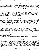forth. Erroneous identification of the self with the body and mind is self-consciousness. Attachment means that which makes a man dwell upon what is pleasurable and aversion means that which makes a man dwell on what is painful. The instinctive desire to cling to life and dread of death constitute what is called abhinivesa.

Since the self is enveloped by the sheaths of body and mind, impurities pertaining to them are to be eliminated before one can have a vision of the self. Patanjali prescribes Ashtangayoga, *i.e.*, yoga consisting of eight limbs for the purification of the mechanism of the body and mind and for gaining a direct vision of the self. The eight limbs are yama, niyama, asana, pranayama, pratyahara, dharana, dhyana and samadhi. The first five are the external limbs while the latter three are internal.

The first two, yama and niyama are meant to chasten and direct our will in the right direction. Cultivation of these two is very necessary for higher life-because they together constitute the moral foundation upon which the whole of spiritual sadhana is based. Without these two, no spiritual sadhana becomes effective.

Yama comprises five virtues; ahimsa, satya, asteya, brahmacharya and aparigraha. Ahimsa means abstaining from harming others in any way at any time. It virtually means renunciation of hatred towards all beings. A spiritual sadhaka should not injure any being either by word, deed or thought. This becomes possible by the cultivation of (a) maitri or friendliness towards those who are happy (b) karuna or compassion towards those who are unhappy, (c) delight in the company of the virtuous people and (d) indifference towards the wicked.

Satya means speech and mind corresponding to the reality of things. It should be cultivated for the good and happiness of all and not for hurting the feelings of anybody. Satya ceases to be so if anybody is hurt by it. An aspirant should not indulge in falsehood or unnecessary talk.

Asteya means abstaining from appropriating things not sanctioned by the sastras or belonging to others. Brahmacharya is sex-purity in thought, word and deed. It is the most essential virtue in spiritual life. Aparigraha consists in non-acquisition of things. An aspirant has to possess only as much as is necessary to keep his body and mind in a fit condition to carry on spiritual practice without being hindered by hunger or disease.

These categorical imperatives are to be observed under all circumstances irrespective of time, place and exigency.

Next come the disciplines collectively called niyamas. They are saucha, santosha, tapas, svadhyaya and Iswarapranidhana.

Saucha means physical cleanliness and mental purity. Regular bath keeps the body clean and remembrance of God makes the mind pure. Santosha or contentment consists in being satisfied and happy with what one gets by due exertion and in not coveting more. Tapas or austerity does not consist in unnecessarily violating one's body or mind. It consists more in bearing the pairs of opposites like heat and cold, pain and pleasure, etc., with equanimity than in self-infliction. Svadhyaya consists in the study of scriptures that are conducive to one's liberation. Iswarapranidhana or devotion to God consists in offering oneself and one's actions to the Supreme Teacher.

Now we come to the next limb of yoga called asana or posture. An easy and steady posture which will enable the sadhaka to practise meditation without feeling any mental strain or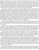physical discomfort and at the same time which will not lull the mind to sleep is to be adopted. A steady posture with limbs of the body remaining restful is *sine qua non* for meditation. If the posture is unsteady and limbs are restless, the mind and the senses also become restless and unmanageable. It is a matter of common experience that concentration and contemplation become easy and smooth when sitting in a steady and easy posture. Asana is an aid to mental equilibrium and poise. When asana is perfected fickleness of mind ceases. That asana which is steady and pleasant is considered to be the most suitable.

Then comes pranayama, the control of breath. Pranayama helps in restraining and regulating breath. Breathing and mind are closely connected. Whenever the mind is disturbed, the breathing becomes irregular. Rhythmic breathing calms down the mind. Prana on the physical plane appears as breathing which on the subtle plane is connected with the functioning of mind. By controlling prana on the physical plane the waves of the mind are controlled. This is pranayama. It is said in the Patañjali yoga-sastra that pranayama destroys the ignorance caused by our past karma. It must be noted that though pranayama is an integral limb of yoga, it is, according to Patañjali, a psycho-somatic means for a spiritual end. When pranayama is practised under the supervision of a competent teacher, it conduces to good health; but when practised haphazardly and unscientifically, it is very likely to produce mental and physical disorders. So, one has to practise it with great care.

The next step in Ashtanga-yoga is pratya- hara, *i.e.,* withdrawing the sense-organs from sense-objects with the help of the mind. The sense-organs obey and follow the mind. If the mind is self-controlled, it can easily control the sense-organs and withdraw them from the sense-objects.

Now we come to dharana. It consists in fixing the mind on an object. The object may be internal like a lotus imagined in the heart or may be external like the flame of a lamp. The mind is accustomed to wander about; so, it is not easy to fix the mind on an object internal or external. Repeatedly, the mind strays away from the object. But by repeated practice and perseverance and by cultivation of detachment, the mind can be made to stick to an object.

Dharana matures into dhyana or meditation. Meditation consists in an unbroken flow of thought towards the object of concentration. In meditation, the mind remains fixed for a while on the object of concentration. It is like pouring of oil from one vessel to another in a steady uninterrupted flow. In the process of meditation a succession of similar thoughts flow in the mind without any contrary or dissimilar thoughts interfering in the middle.

When meditation becomes continuous and constant, mind takes the form of the object of meditation itself. This state is called samadhi. This is the culminating stage of Ashtanga-yoga. In this state the self becomes liberated from its conditioned existence. This samadhi is called samprajnata samadhi because there is consciousness of object in this samadhi. There is another samadhi called asamprajnata samadhi or objectless samadhi. In this there is no consciousness of object; but it is not void because there is pure consciousness in it. This state is also known as nirvikalpa samadhi. In this state, a yogi remains in his real nature. It is a state of supreme peace and bliss.

The object or chosen ideal of meditation could be impersonal or could be personal *i.e.,* a person invested with holiness and divinity. Meditation on the impersonal is rather difficult. The mind cannot operate except through name and form. Any symbol of God or form of God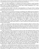which appeals to the heart of the sadhaka would be the ideal object for meditation. The object or chosen ideal may be imagined to be seated in the lotus of the heart.

There are many impediments to meditation like physical ailments, mental lassitude, doubt as to the utility of meditation, sense-attractions, non-attainment of concentration, etc. These must be warded off. Moderation in food, sleep, activity, wakefulness, etc., is also essential. Exciting foods should be eschewed.

A simple and sure faith in God and a total dependence on His grace help in making meditation and spiritual life easy and smooth. Meditation becomes all the more smooth and joyous when there is love for God.

Meditation serves two purposes. By means of meditation the sadhaka devotes himself to his chosen ideal; secondly, by means of meditation the sadhaka becomes able to penetrate to the core of the Reality. As many people seem to think, meditation is not a process of discursive reasoning. It is a means of concentration by which the sadhaka seeks to elevate his consciousness. By means of regular practice of meditation, the sadhaka becomes able to gain more and more concentration and to approximate more and more closely to the ideal of perfection. If the meditation is well established in the sadhaka, it ceases to be mere meditation. It acquires the character of perception. The object or the chosen ideal of meditation becomes the object of perception. This state, called samadhi, liberates the soul from the meshes of the body and the mind. It is a state of infinite joy and supreme peace that passeth understanding.

There is no need even for those who have no faith in dogmatic religion to despair of the conflicts and complexities of their life. They need not feel that their lives are in vain and devoid of any meaning. Yoga and meditation help men to solve their problems of life and to make their lives meaningful, purposeful and peaceful. Meditation is a real science and so it is universal. Anybody, whether believing in God or not, whether of the orient or of the Occident, can study it and practise it.

Integration of personality is the panacea for all of our ills of life. Meditation helps to bring about this integration of personality. It is well known that man has the three faculties of thought, will and feeling. When these are at variance with each other we feel disturbed in mind and suffer from conflicts. But when thought, will and feeling act in unison, we feel at peace with ourselves. So, thought, will and feeling are to be co-ordinated with each other and made to work in a spirit of harmony if we are to feel at ease and happy. Aberrations of thought, will and feeling are responsible for the lack of harmony and for the consequent disintegration of personality. So, these aberrations are to be consciously rectified and the whole mind should be harmoniously unified if integration of personality is to take place. Meditation helps us to correct the wayward vagaries and aberrations of thought, will and feeling and to purify, to unify and to harmonise our mind and thus to bring about integration by directing our thought, will and feeling towards our chosen ideal of meditation. Also, meditation gives a higher orientation to our thought, will and feeling; and exalts them.

Meditation is a manifold blessing. Man suffers from so many fears and frustrations. Swami Vivekananda says that ignorance of our spiritual nature, Atman, is the root cause of all our fears and frustrations. Ignorance creates a feeling of inherent weakness in man. Atman is the embodiment of strength. So, the best way of getting rid of our fears and frustrations is to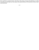know and feel our spiritual nature, the Atman. The purpose of yoga and meditation is to help us to discover and realise our true nature, the Atman and thus to rid ourselves of all our fears and frustrations.

 $-0-$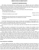## **MEDITATION IN CHRISTIANITY**

## **SWAMI NITYABODHANANDA**

The Hindu and Jewish-Christian traditions grew up on different soils and in different spiritual climates. Nevertheless, common points like union with the God-head or God in the impersonal and personal aspects as the goal of human destiny and ways to the goal such as meditation and prayed make our study of absorbing interest.

The term 'meditation' is used a few times in the Psalms of the old Testament.

"How much I love Thy Law

It is the object of my meditation."

(Psalm 119, 97)

"O Eternal, I meditate on your works."

(Psalm 143, 5)

Invoking the *name* of the Eternal is also mentioned in the old Testament: "He (the Eternal) is always close to us whenever we invoke His name."

(Deuteronomy II. 4, 7.)

In the New Testament the terms prayer, worship and contemplation bring together the various shades of meaning that Yoga- Vedanta gives to the term meditation. And when we say this, meditation should be understood both as act and attitude.

In St. John IV. 22, Jesus says, "God is Spirit; they that worship Him must worship Him as Spirit."

When the spirit is mentioned for the second time, it denotes the attitude of the worshipper. Only when the worshipper spiritualises himself, can God be worshipped as Spirit which reminds the Hindu of the Hindu dictum "*devo bhūtvā devam yajet*" To worship God one should become God, as pure as God. The various purifications or *śuddhis* are implied.

Prayer figures greatly as effective means to union with God with the early pillars of Christianity like St. Augustine. But more systematic meditation-material comes to us with mystics like St. John of the Cross and St. Theresa of Avila. St. John of the Cross speaks of the four 'Nights' as four purifications necessary for the final mystical union and also of the ten steps of the Ladder of Perfection. This we shall consider later on. Then comes the Philokalia tradition with detailed instructions of prayer-meditation on the heart, so that the heart absorbs the Lord and the Lord the heart. With these preliminary remarks we can proceed further.

## **Jesus and prayer-meditation**

Luke XI, suggests that there was evidence in Jesus's praying of an unusual closeness to God. Jesus prayed alone and sometimes prayed the whole night. 'Alone' may mean in solitude as is evidenced in the instructions Jesus gave: "When you pray, enter into thy closet and when thou hast shut thy door, pray to thy Father which is in secret, and the Father which seeth in secret, shall reward thee openly.'' (Matthew VI-6). The insistence on 'secret' may be understood as the secret depth of the heart where one has to retire and into which depth God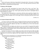sees.

In the Lord's prayer, which Jesus bequeathed to humanity, there is the power of realizing the Kingdom in the present moment of prayer as also of the daily spiritual sustenance, faith hope and love, symbolized by the daily bread.

## **Testimony of the Disciples**

John I.14 says ''We contemplated his (Jesus's) glory, full of Grace, and Truth." This contemplation-meditation should be understood as an echo of the contemplation to which Jesus himself refers when he says: "God is spirit and those who want to contemplate Him in truth should do so in spirit."

The result of this contemplation or communion with him is the acquisition of Light. In his first epistle John says: "If we say that we have communion with Him and walk in darkness, we lie. But if we walk in the light as He is in the Light, we have communion with Him and one with another......"

(1 John, 6, 7).

## **St. Francis of Assisi (1182-1226)**

St. Francis of Assisi, the tallest tower of mediaeval Christian mysticism has left behind a great treasure of his prayers and meditations. What he speaks of his vision of two lights a few days before receiving the stigmata, may help in our meditation too. To his close associate Brother Leon he says:

"During that prayer two lights were shown to me: one in which I recognized God; and the other in which I recognized myself. And when I asked God who I was in comparison with Him, I plunged deep in contemplation where I felt the infinite depth of God's bounty as also the sad abyss of my spiritual misery."

So long as St. Francis saw the two 'lights', peace did not descend into him. When the light in which he saw himself as creature disappeared and became one with the Divine light the night before he received the stigmata, then only complete union with Christ became a living reality.

The prayer he has transmitted to us is absolutely inspiring at all moments:

"O Lord make me an instrument of your Peace:

so that

Where there is hatred, I can bring love Where there is offence, I can bring pardon Where there is discord, I bring union Where there is error, I bring truth Where there is doubt, I bring faith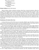Where there is despair, I bring hope Where there is darkness, I bring light Where there is sorrow, I bring joy.

### **Meister Eckhart**(early 14th Century)

Meister Eckhart, called a scholastic mystique rather than a mystical scholastic, offered us very Advaitic meditations. For him the experience of 'purely existing' that we have in selfidentity is the highest where Pure Being and experience of God mix and mingle. "In that unconditioned Being which is above God I was myself and what I am now, I knew myself. Therefore I am my first cause and in it all things were born. I am at the same time my eternal being and temporal being. It is to realize this immortal birth that I am born. I shall never die, I am the cause of all things." All this reminds us of the *'Aham Brahmāsmi'* (I am Brahman) of the Upanishads.

### **Meditations of St. John of the Cross**

St. John of the Cross (1542-1591) was pre-eminently a Bhakti-yogin. His Ishtam was Jesus Christ and his relationship with the Ishtam was that of *mādhyurya,* that of the Gopis with Sri Krishna; St. John was the bride thirsting for union with his beloved Christ.

He practised and taught four stages of purification to come to that union, stages which he called in a special sense 'Nights'. When the lights that guide human understanding and love are extinguished, God's light enters into man. This is a blinding light and a blinding day. But what is night for the unregenerate man is day for the regenerate.

The first meditation is on the purification of the senses by withdrawal from their objects and by a godward turn given to them. "The appetite is the mouth of the will' and when the appetite of the senses is nourished by Sattvic food, then the will becomes Sattvic and pure and by a pure will constant remembrance of God is easily acquired.

This meditation of St. John compares well with the *pratyāhāra* which is the fifth step in the ladder of Patanjali's eight-step yoga. The withdrawal of the organs from their objects by the conviction that all forms are in the mind, is *Pratyāhāra.*

The second Sanjuaniste meditation is on the purification of understanding through faith. Clarifying the notion the mystic doctor says: 'In this stage the soul remains for long hours lost in oblivion, beyond time and united with celestial intelligence. The soul feels the savour of love without knowing what it loves in particular, a general amorous knowledge. God at this stage plunges us in obscure faith. Faith at this stage cannot be analyzed or known by our superior intelligence, not even by the faculty that distinguishes between being and non-being. From henceforth faith becomes the light and guide of our soul. St. John says that at this stage the soul acquires the resemblance of God *(sādharmya).*

The third meditation is on the purification of memory by hope, the hope of salvation. We are all so deeply attached to our personal memories and this attachment shuts off the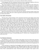memory which God has placed in us, the memory of His free Nature, Salvation.

In the language of the Gita cleansing of memory by Grace is gaining recognition of the true nature of the Self and loosening all the ties of the heart. (Gita, XVIII. 73).

The fourth meditation according to St. John of the Cross is purification of the will by love, the night of the will by love. The act of loving God is an act of will, an openness of will; It is neither emotion nor intellect that is involved in this act. To love by sentiment is shallow; to love by emotion leads us to feebleness and to emotionalism. To love by intellect is dry. But to love by the will to live and to love, which God has placed in us, is to pour out our whole being into God and be transformed into His being *(Ātmasamarpaṇa).*

When the momentum to love God comes from the will then of the two wills, of man's and of God's, there will be only one. In order to gain this momentum the will must be cleansed of joy, hope, pain and fear.

### **The Ladder of Perfection**

The first step is a kind of languor of love. Having lost all taste for the things of the world the soul finds neither help nor taste nor comfort nor rest in anything. Renunciation of all gratification of the senses, memory and imagination is the second and third step. The agonizing pain of separation is the fourth step. The fifth is a very high state of impatient union. This state of intense passionate love of excruciating agony of the soul is expressed in the first stanza of the 'Song of Songs'. The sixth step is the joy of betrothal, the first stage of equality of love with God. The seventh prolongs that state of union. The intense love makes him climb the eighth step. The ninth step is for St. John the perfect state. The Holy Spirit infuses in the aspirant a supreme love of sweetness and bliss. This state quickly leads the soul to the tenth degree of the ladder wherein the soul experiences total union with God and the saint adds at this stage that the soul is ready to leave the body: the soul is God 'by participation'. It is a stage of 'clear vision' wherein the soul is totally assimilated with God. The ten steps show complimentarity with the stages through which the mystic soul passes through as indicated in St. Theresa's writings: (1) Prayer of quiet, (2) Prayer of full union, (3) Prayer of Ecstasy, (4) Prayer of transforming union. St. Theresa was a contemporary of St. John of the Cross.

### **The Philokalia Meditation**

The Philokalia is a collection of writings of the Fathers from the earliest times after the Declaration of Constantine the Great. The word 'Philokalia' means love of the beautiful, the exalted, the good. More precisely it contains an interpretation of the secret life in Lord Jesus Christ (which is the truly Christian life, that develops and rises to perfection through prayer of the heart.

'A true sanctuary is a heart free from thoughts, made active by the Spirit. For there all is said and done spiritually' (*Philokalia*, p. 38). 'Plunging thought into light, so that thought itself becomes light, the mind guided by the Spirit traces words in the pure hearts of those who listen. Then it understands the words: "And they shall be all taught of God" (John VI, 45)'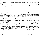### (*Philokalia p.* 42).

What is the prayer used by the tradition? "Lord Jesus Christ, Son of God, have mercy upon me!"

"If one, instead of all other thoughts, forces to have only this one constant prayer within, if one continues to do this with one's whole attention, then in time it will open for him the way to the heart." (.*Philokalia,* p. 34).

### **How to practise prayer**

"In the morning force your mind to descend from the head to the heart and hold it there, calling ceaselessly in mind and soul: 'Lord Jesus Christ, have mercy upon me.' Let the memory of Jesus combine with your breath—then will you know the profit of silence" (Ibid. p. 85).

"The beginning of every action pleasing to God is calling with faith on the life-saving name of our Lord Christ, as He Himself said: 'Without Me ye can do nothing' (John XV, 5), together with 'the peace and love which accompany this calling'" (Ibid. p. 194).

"In quality, prayer is communion (co-existence, merging into one being) and union of man with God. In action, it is what the world stands by, reconciliation with God, the mother of tears and again their daughter, propitiation for sin, a bridge over temptations, a wall against sorrows...." (Ibid. p. 201).

Students of Yoga-Vedanta are quite conversant with its teaching that celebrates the importance of the heart in spiritual practices. The term in Sanskrit for heart is *hṛdayam* which literally means 'where the Lord resides.'

To Arjuna's question: "How shall I, ever meditating, know Thee, O Yogin, in what several aspects art Thou to be thought of by me?" (Gita X, 17) the Lord replies: "I am the Self, O Gudakesa, seated in the heart of all beings.." (Gita X, 20).

Sri Sankara in his commentary on the verse says: "You should think of Me as the innermost self, seated in the heart within of all beings. He who is unable to think of Me as the Self should think of Me in those things which are mentioned in the Vibhuti Yoga of the 10th chapter of the Gita."

(1) "He that heareth my word and believeth in Him that sent me *hath* ever-lasting life." (John V. 24). The accent is on *hath* and not wilt have. Hearing is not simply with the ears but with the heart.

—o—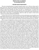# **MEDITATION ACCORDING TO SPANISH MYSTICS**

## <span id="page-48-0"></span>**SWAMI PARATPARANANDA**

The most outstanding figures among the Spanish mystics are St. Theresa of Jesus and St. John of the Cross. They were contemporaries and lived in the sixteenth century. Both of them belonged to the Carmelite Order and were instrumental in the toning up of and reforming the Order to which they belonged and which was then in a declining state. St. Theresa also founded sixteen convents and fourteen monasteries and in her position as directress of a large number of novitiates had to constantly write letters to guide them in their spiritual path. These letters along with an autobiography which the saint was asked to write by her confessors, have been published in book-form.

St. John of the Cross was a well-learned person who has left behind some beautiful verses depicting the spiritual ascent of the soul and its union with God. Explaining the significance of these verses he has written a long commentary which has served as a source of inspiration and guidance to the earnest seekers of the Christian community during the last two centuries.

<span id="page-48-2"></span><span id="page-48-1"></span>When one goes through these works one rarely comes across the word "meditation" and when it occurs it is used in the sense of imagination, ideation or phantasy.<sup>[1](#page-52-0)</sup> Yet, its usefulness and efficacy as a preparatory stage, are not deprecated or discarded. However, the Spanish mystics speak much of mental prayer and contemplation, as means to union with God, which may be, for all practical purposes, interpreted as meditation as we understand the word nowadays. For example, to St. Theresa prayer is not simply a mere utterance of some words but an intimate conversation with the Beloved. In a letter to the nuns she says: "Try to think and understand, my children with whom you are talking or going to talk. Even in a thousand lives of ours we shall not be able to know in what way the Lord deserves to be treated, this Lord in whose presence even the angels tremble. Everything is subject to Him, He can do anything and His mere wish is action. It is reasonable that we take delight in His grandeurs and be aware to whom we are espoused and what grand life will be ours." [2](#page-52-1) Here she compares the Lord to a beloved husband and says that one who has taken up the spiritual path is already married to Him. Then she places before the nuns the duties of a truly devoted wife in the world and how their own life and thoughts should be: "In this world when a woman marries, she knows to whom, his status in life and what he is. Now, my children, we who are already married to Him before the formal ceremony and are to be taken to His abode, shall we not think of Him? Those who are married to men here do not discard these thoughts. Why then, should we not try to know who this person is, who his father, what is that land where he will take us, what are the riches that he promises to give and so on? Also, in what way shall we be able to please him and in what way we shall transform our state to conform with that of his? In the world, a woman, who desires to be devoted to her husband, is not required to know everything else than these things even if the husband be a very low person. Should we then give lesser importance to our Lord than they do to men? Further, if the husband is of a jealous nature and wishes that the wife have no contact with anyone, it will be strange indeed that she should not think how best to satisfy him in this respect, for in him are all the things that one could desire! To know and understand these truths is mental prayer."<sup>[3](#page-53-0)</sup>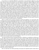As we know, it is extremely difficult to concentrate on any particular subject for a long time unless we have a keen interest in it. And interest or taste for a thing unfolds itself only when we find ourselves involved in, feel an intimate relationship with, or affinity to, the subject. In the spiritual world too this theory or rule applies; so in thinking of God or meditating on Him, one has to establish a certain relationship with Him, if one has to make rapid progress. The mental prayer, as described above by St. Theresa, for the reason just mentioned, can be termed as a type of meditation. It helps the individual to dive deep into the mystery of the divine relationship and be aware of the benefit he receives in developing such an attitude of mind. The natural bent of the human mind is to seek a return for whatever one does, even a philanthropist is moved to act by some hidden motive, for example by a desire for name and fame. So unless man gets convinced that the sacrifice he is going to make, by discarding the things of the world and giving up even the appetite for them, will bring him in the long run, immense benefit, he will not take to spiritual life in the real sense of the term. Hence arises the necessity for deep reflection over the lasting gain that one gets from one's constant contact with God. The purpose of the mental prayer cited above is to maintain one's mind continually on God which is also "what meditation signifies. For this reason it may not be an error to call such a kind of prayer as meditation.

There is another form of prayer practised, in almost all religions, viz. vocal prayer. The Christians have a prayer which begins with the words: "Our Father who are in Heaven" and so on taught by Jesus himself. Advising the nuns as to how one should practise this prayer St. Theresa says: "The Master taught us by setting an example that this prayer be repeated in solitude, although it was not necessary for him. From this it is be understood that it is not possible to talk with God and the world at the same time, i.e., praying to God and simultaneously listening to what is being talked about or to think of things of the world, though sometimes and in some cases this latter cannot be avoided because of the infirmity of the body or illness. Others should try to be alone when they pray, so that they could be aware with whom they are and what response the Lord has to their prayers. Do you think that He is silent because we do not hear Him? Well does He respond to the heart when we ask from the bottom of our heart. And it is of much benefit that we should consider that it is to each one of us individually that the Lord teaches this prayer and that the teacher is never so far from the disciple as to necessitate the latter to call him aloud, rather he is always very near to the disciple. For this reason my advice to you is that it is good for you that you repeat this prayer of the Lord in a proper manner and with diligence.

"You will say that this type of praying amounts to reflection or meditation, and that you are not able to do it or do not want to do it, but to pray vocally: because you have little patience and are ill disposed to take any trouble, which latter are necessary in the beginning, for the withdrawal of the mind. You are right if you stipulate that the above form of praying amounts to mental prayer, but I certainly do not known how you can separate the vocal prayer from the mental, if the former is to be practised well, knowing or being conscious with whom we are talking."<sup>[4](#page-53-1)</sup> She adds that one should try to pray with caution and with the introspection cited above as not to end in something superficial and unhelpful. "I have proved it," she continues, "and found that the best way is to try to have the thoughts directed towards Him to whom the words are addressed." [5](#page-53-2)

<span id="page-49-1"></span><span id="page-49-0"></span>Here we find that even while practising vocal prayer, the Spanish mystics exhort that it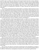should be done in solitude and with the mind turned towards God. Such a prayer well done, they say, dulls all the outgoing tendencies or faculties of the mind such as understanding, memory and will. That is to say the intellect refrains from seeking to understand the external objects, the memory desists from bringing to the surface of the mind thoughts that would divert its attention from the main purposeor object in view, i.e. God, and the will abstains from wanting to do anything that contradicts or affects adversely the spiritual life of the individual.

"The self then understands that the Divine Master is teaching it without having recourse to words, suspending the functioning of the faculties of the mind. For if these latter were to be active they will do more harm than good. Then they enjoy without understanding how; the soul is enwrapt in love, but does not know how it loves; knows that it enjoys what it loves but does not understand how it enjoys. Well does it understand that it is not that kind of enjoyment that the common or ordinary intellect conceives; and, the will merges in the soul without knowing how, but at the same time able to perceive that this good is not something that could be achieved by all the efforts that one can do in this world. It is a gift of the Lord of the world and the heaven. This, my children, is perfect contemplation." [6](#page-53-3)

<span id="page-50-0"></span>To understand better what has preceded and what is to follow it is necessary to know some of the principal concepts of the Spanish mystics. St. John of the Cross speaks of the spiritual night as the immediate means for the union of the soul with the Divine. The soul has, according to them, three potencies of faculties, viz., understanding, memory and will, whose supernatural objectives are the three theological virtues, faith, hope and charity or love, respectively. These three virtues are the means by which the soul unites with God, each one creating a vacuum and darkness in its respective faculty: faith in understanding or intellect, hope in memory and charity or love in the will. The understanding is to be perfected in the darkness of faith, memory in the vacuum of hope and the will buried in the lack of all sensual love, to go towards God. When these faculties are perfected in the above-said manner, one can clearly perceive what a great necessity there is that the soul, to travel safely in this spiritual path, should pass through this dark night, leaning on these three virtues, which empty it of all the things of the world. For the soul can unite with God in this life neither through reasoning, nor by enjoyment, nor through imagination, nor through any other sense organ, but only through faith, hope and love. Faith tells us what we cannot understand by the intellect or reasoning, and even if the intellect comes to grasp the certainty of the things manifested through faith, it is not able to understand clearly, rather finds itself groping in darkness.

Hope of uniting with God, without doubt, empties and darkens all memory of things of this world and the next, because hope is always of something one does not have and does not see. Charity empties the will of its resolutions to gain or obtain all external objects; it compels us to love God above all things, which cannot be done except through severing the love to these and directing it all to God. Thus these three virtues put the soul in the darkness and emptiness of all things of the world. And this is the dark spiritual night referred to above as the immediate means for union with God—to be blind towards things of the world, to renounce them totally.

Now we have seen what are vocal prayer, mental prayer and contemplation according to the Spanish mystics and how the firs two go side by side: to be practised simultaneously, to be effective. The third one, contemplation, is meant for a very few and is a gift from God.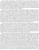How to practise vocal prayer is next dealt with. First of all one should examine one's conscience and do other purificatory acts. "Then, my children," advises St. Theresa to her nuns, "seek company, because you are alone. What company is better than that of the Master, who taught the prayer that you are going to recite? Imagine that the Master is beside you and you will discover with what love and kindness He is teaching you. Be not without such a friend as long as you can. If you get habituated to bring Him near to you and He perceives that you do it with love and are trying to content Him then He will never fail you; certainly He will help you in all your efforts, He will be with you everywhere." [7](#page-53-4)

<span id="page-51-0"></span>The practice recommended here helps to put the mind in a state of concentration. Even an aspirant who is not able to discriminate or reason about theological problems is asked to cultivate this habit. For, to fix the mind on one subject for a long time is a difficult task and cannot be accomplished without years of hard practice. Admonishes St. Theresa her novitiates: "I do not ask you that you develop profound and intricate reflections about the Lord; do not ask you anything more than that you look at Him. What is it that impedes you to direct, even though it is for some moments if not more, your soul's eyes towards this Lord? Well can you look at things very ugly, and can you not look at the most beautiful thing that can be imagined? Your Lord, my children, never takes His compassionate eyes off you, even though you might have acted a thousand times vilely against Him. Is it then too much to ask that you take off your eyes from the external objects and direct them, some times at least, toward Him? Listen , He does not expect anything else from you, than this much."<sup>[8](#page-53-5)</sup>

<span id="page-51-1"></span>"Further, in the world they say that if a woman were to be considered as devoted to the husband, she should manifest sorrow in his sorrow, and happiness in his happiness, though in reality she may not feel so. Look, from what servileness you have been saved. But this sympathy the Lord truly shows towards us; He assumes the role of the servant and desires you to be the mistress, to serve you at your pleasure. If you are cheerful you will see Him in His glorious state of resurrection, majestic, handsome, victorious and cheerful, like one who, in a battle, has conquered a great kingdom which He desires to give you along with Himself. Is it then too much to expect of you that you look at Him, once in a way; Him who gives you so liberally?"<sup>[9](#page-53-6)</sup> These, says the saint, should be one's thoughts while praying.

<span id="page-51-2"></span>What is the prayer that helps the soul to draw within itself? Jesus prayed: "Our Father that art in Heaven" and so on. Commenting on this St. Theresa asks: "Do you think that it is of little importance to know what is Heaven and where to seek your heavenly Father? I tell you that for dispersed minds it is most important to understand this, not only to believe in but try to know it through experience; because it is one of the things that influences the understanding and helps to withdraw the soul into itself. You know that God is everywhere, omnipresent. It is evident, they say, that wherever the king is, there his court is; similarly, where God is, is Heaven. No doubt, you can believe that where God is, there all grandeur is. St. Augustine says that he searched for God in many places and finally found Him within himself. Do you think it is of no consequence for one with a dispersed mind to know this truth and perceive that it is not necessary to go to Heaven to speak with the Eternal Father, or to be sumptuously feasted by Him; that it is not even necessary to speak aloud? In however low a voice one may speak He will certainly hear us, for He is very near; one does not require wings to go in search of Him. What one has to do is to retire into solitude and see Him within oneself; treat such a good Guest as one's own and not as a foreigner, and with great humility speak to Him as one's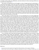<span id="page-52-2"></span>own father, relate to Him one's difficulties, and seek solutions for these, knowing well that one is not fit to be a child of His." [10](#page-53-7)

This prayer, accompanied by such thoughts as above, though practised vocally, helps to control the mind within a short time and does much good. It is called gathering of thoughts because the soul withdraws all its faculties and enters into itself with the Beloved, God. "The Divine Master comes to it within a much shorter time than by any other method, and blesses it with silent prayer. There the mind absorbed in itself can think of Christ's Passion, imagine there His presence and not tire itself trying to seek Him on Mt. Calvary and so on. Those who could in this way shut themselves up in this small heaven of their soul, where dwells He who made it as also this earth, and accustom not to look at nor be where the senses would be distracted, should be sure that they are treading an excellent path and will not fail to drink the water of the fountain of life." They are like those who go by boat, which with a little favourable wind reaches its destination in a few days.

Those who begin to practise thus have, so to say, already put to sea; who, though they have not left the land for ever, do what they can to free themselves from it by gathering their senses into the mind, at least during those moments. If the gathering of the senses is real and genuine, one feels it clearly because of the transformation that occurs in oneself: the self seems to rise beyond this play of the world, to become aware of better times and feels like a person who enters a fort to defend himself from the adversaries. Further, by such a withdrawal they shut their eyes to the things of the world, i.e., these latter have no power of attraction for such a man. On the other hand his inner eyes open to the wonders of the self. Thus whoever treads this path, if his prayer is constant, will overcome the lure of the worldly objects, defeat the baser instincts of the body and strengthen his mind. And though in the beginning one cannot feel this change it being so slow as to be imperceptible, yet if one persists in one's effort, say the Spanish mystics, one would clearly feel, how the mind gains control over the senses. They may go out again but would not be able to do any harm as before, because they go out as prisoners on parole or obedient subjects, who return immediately they are called back. With the repeated gathering of the senses by this method of prayer, God pleases to dispose that the soul be in perfect contemplation or total absorption.

Let us conclude with an idea that the Spanish mystic placed before the novitiates to help them withdraw their minds into themselves: "Suppose within you there is a palace with immense riches, edifices of gold, inlaid with precious stones, in short, lit for such a Lord, and that you are responsible for its structure (indeed, there is no structure of such beauty as a pure soul, full of virtues, which shine like gems) and that in it dwells the great King, who has condescended to be your Father and seated on the precious throne of your heart. This may appear to be childish, but is necessary for us so that we may grasp firmly the fact that there is something in us more precious than all the precious things that we see in the world outside. Let us not presume that we are empty within. I consider it impossible that we could give ourselves up to the ephemeral things, if once we become conscious of the presence of such a Guest within, because we shall then see how paltry these things of the world are."

#### *References*

<span id="page-52-0"></span>[<sup>1.</sup>](#page-48-0) San Juan de la Cruz, Obras Completas Vol. II page 98. Pub: Editorial Calomino, La Plata, Argentina. 1945 Edition.

<span id="page-52-1"></span>[<sup>2.</sup>](#page-48-1) Obras de Santa Teresa de Jesus, page 431, published by Apostolado de la Prensa, S.A., Velazquez 28, Madrid. Spain. 1948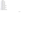Edition.

- <span id="page-53-0"></span>[3.](#page-48-2) ibid. P. 4 3 1.
- <span id="page-53-1"></span>[4.](#page-49-0) Ibid. P. 436
- <span id="page-53-2"></span>[5.](#page-49-1) Ibid. P. 437
- <span id="page-53-3"></span>[6.](#page-50-0) Ibid. P 438
- <span id="page-53-4"></span>[7.](#page-51-0) Ibid. PP. 43 8 - 3 9
- <span id="page-53-5"></span>[8](#page-51-1) Ibid. P. 440
- <span id="page-53-6"></span>[9.](#page-51-2) Ibid. pp. 440-41
- <span id="page-53-7"></span>1 [0.](#page-52-2) I b i d. P. 4 4 7.
- 11. Ibid. PP. 449 4 5 0.

 $-0-$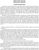# **MEDITATION AND THE INTELLIGENT ASPIRANT**

### **SWAMI SASTRANANDA**

A young man comes rushing in for an immediate interview. Reason? His examination is closing in, he can't get his mind to his studies and wants to be taught meditation. An elderly official, just retired from government service and very much agitated, seeks instructions regarding meditation. The next time he appears after a long interval he is no more agitated. Effect of practising meditation? No. After two days he could get re-employed! Men and women, confronted by problems and sufferings—often self- created—distraught and desperate, wish to try 'meditation' as a possible and instant remedy for their ills—whether physical, mental, social or economic.

Meditation is surely in great demand today, as a panacea for a variety of ills and evils and so it is not surprising that there has been a mushroom growth of 'Yogis' or 'masters', organizations and courses catering to these customers; it is not surprising that it has also become a large-scale business, and export-oriented as well. Besides, the occult and romantic expectations from meditation have made it an attraction for the sophisticated and so-called educated even more than for others who are considered superstitious. Undoubtedly meditation and the Yogi have acquired a glamour and glitter, which makes it all the more essential to sift out and understand, as far as we can, what are the facts and what is right and correct.

**\* \* \***

What is meditation? What is its real goal and purpose? What constitutes its right and fruitful path?

"The greatest help to spiritual life is meditation. In meditation we divest ourselves of all material conditions and feel our divine nature. We do not depend upon any external help in meditation," says Swami Vivekananda, the master Yogi of modern times, whom his Guru Sri Ramakrishna used to term as a *Dhyāna-Siddha,* a past-master in meditation. At the very beginning of Patan- jali's "Yoga-sutras", the basic traditional authority on the Yoga of Meditation, we find it clearly stated: "Yoga is the stopping or elimination of thought-waves. And then one is established in one's own glorious, essential nature." Elsewhere, meditation is explained by other teachers as a continual thought-current directed towards a particular worthy object, and to the exclusion of all other thoughts.

From the above statements certain facts stand out clearly:

i) Meditation is a very high state, bordering on the divine, if not actually so.

ii) Its main goal is not so much concentrating the mind on anything 'else'; not so much acquisition of any object or state, however covetable otherwise, external to oneself. It is taking off all and every thought of the external, to cease depending on the external, to come back to one's own essential blissful core and rest in it, free from any kind of dependence, want, fear, doubt or discontent.

iii) All that the earnest aspirant should aspire after, or all that is worth aspiring is deep within oneself, an integral, inalienable part of oneself. As such, all his effort should be directed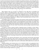towards extricating the mind and its thoughts from getting involved in, and running after, the petty, transient external world, the 'non-self'. And then one should direct the mental energy thus mobilised, the thought- stream resulting from it, to one's inmost self where it will rest. Time and direct experience will reveal that this inmost self is the gateway to all that man really aspires after, to all that he really needs; it is the gateway to all the peace and happiness he eternally hankers after, to all the power, knowledge and joy that he seeks; it is the gateway to the seat of all the 'gods' he may be trying to propitiate or praying to—and to 'God', the Supreme Spirit, who is the highest object of the devotee's love and devotion.

What happens when one succeeds in meditation of the right kind is beautifully and succintly stated by the *Bhagavad-Gita:* "One rejoices in one's Self. One experiences that ultimate and pure happiness, which is beyond the range of the senses. Having gained that, one finds there is no greater gain to enquire after. Established therein, even the heaviest of sorrows are not able to shake him. This Yoga, in fact, takes one beyond even contact with pain. And it is this Yoga (and 'meditation' or 'Dhyana' which immediately leads to it) that is to be practised with resolute enthusiasm."

**\* \* \***

An intelligent aspirant will always be able to discriminate clearly and make out what is the real goal of any Sadhana and what constitutes the proper means. The goal of true meditation is the experience of complete freedom or total independence which makes one deeply calm and contented, of unalloyed inner bliss which manifests as spontaneous love and service, and an illumined understanding which eliminates all doubt and fear. When one has attained to these virtues, what else is he but 'divine'? And all that works and helps towards this would constitute the means.

So wealth or creature comforts, health or longevity, powers of intellect or other talents, enjoyments of the most intense pleasures and even the possession of psychic powers—each and all of them can never be the end in themselves; they cannot be the 'goal' one seeks in Meditation. Rightly and discriminately used, they may serve as temporary stepping stones or passing 'mile-stones' on the path, at best. But he who, forgetting the great and sublime goal of freedom, independence and pure bliss, seeks to make meditation a means to lesser ends is misguided, an object of pity. He is bound to end up in ultimate frustration, though for a brief while he may think that something wonderful has been achieved and for which others too may glorify him.

The genuine, wise aspirant will, therefore, never consciously seek the petty and passing things which the ignorant go after, will not encourage the presence of such seekings while meditating and will never offer prayer for such things. His seeking and prayers will be only for light, more light, for truth, higher truth and for real freedom which makes him rise above all limitations.

Worldly problems and situations have to be countered at their own appropriate level. Most often the remedies to our sufferings lie in a more intelligent, understanding of the situation, avoidance of unhealthy habits and ways of life, and cultivation of healthy ones. But people fail to do what is to be done at the appropriate level and ignorantly seek easy and instant remedy through 'meditation' or 'prayer'.

**\* \* \***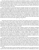Even the genuine aspirant has to realise that meditation requires a reasonably healthy body and nerves. And he will have to keep them in constant good repair by proper control and care regarding his food, sleep, work and recreation. Meditation requires the finest and most powerful component of human energy; it is not just a process of relaxing, forgetting and retiring. Good, positive habits are very essential and that not just for a day or two, but over years and years, perhaps a life-time.

As such the tendency to seek instant and easy remedies and short-cuts to spiritual 'boons' should be relentlessly eschewed. One should constantly remember the wholesome advice given by Patanjali: "Thoughts have to be controlled by practice and non-attachment. Practice means continuous struggle to keep the thoughts restrained. And this practice becomes firmly grounded only by long, constant and enthusiastic effort." The key to success in Sadhana is love and enthusiasm for the objective to be achieved as well as for the path to be trodden, and not a grudging, strained and impatient approach which is ever thinking how soon all the bother would be over. There is no holiday in spiritual life, no retirement. Who would ever seek a holiday from that which is after one's own heart? The right aspirant, on the other hand, would feel bad were he to be forced to take a holiday or retire from it.

**\* \* \***

Among the many obstacles which one encounters when taking to the path of meditation, not a few of them are the result of either lack of the needed preliminary equipment and preparation or of wrong approaches. In this context, it would be well to note specially that in Patanjali's eight-stage scheme of Yoga, meditation is the seventh stage, just before the grand culmination of *samādhi,* and the aspirant is naturally expected to have reasonable grounding in the earlier six stages before reaching the seventh.

Leaving aside the third and fourth stages relating to posture and rhythmic breathing (which because of their physical nature have received attention out of proportion to their importance in, and, relevance to, the entire Yoga scheme), one should pay special attention to the first and second, and fifth and sixth stages. The first two steps dealing with ethical virtues and inner purity are the very foundations of Yoga—without which no worthwhile superstructure can be built. They lay down that one who proceeds on the path of meditation should be inclined, naturally or by practice, towards truth, non-injury or kindness, nonacquisitiveness or greedlessness, and chastity; to cleanliness, contentment, readiness for an austere life of striving, and a humble spirit of self-surrender to God.

An assiduous practice of these virtues is indispensable; for on the one hand their absence makes right meditation impossible; on the other, even if one does not take up meditation, in themselves they are great assets for man to succeed in any walk of life, sacred or secular. When we bear this in mind, it becomes clear how misleading and dangerous certain selfstyled teachers of Yoga can be when they either play down, ignore or brazenly declare as unnecessary, the need for moral and ethical purity. One who is well-grounded in these virtues classed under *yama* and *niyama* is already halfway on the road to success; and perfection in them easily leads him on to *samādhi* itself. Such a one is bound to be a blessing to oneself and to society.

The fifth and sixth stages, termed, *pratyāhāra* and *dhāraṇā* are also very important for the aspirant. In fact, what most people try to do, when they are said to be 'meditating' can, at best,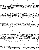come only under these two heads. *Pratyāhāra* is the detaching and withdrawing of the senses from their external objects; it is the checking of mental energy from its dissipating outward movements. And *Dhāraṇā* is the focussing or concentrating of the mental or psychic energy thus saved on some worthy object. It will be obvious to any thinking person that if he is not reasonably grounded in the virtues of *yama* and *niyama,* he will not, or cannot, detach himself from the undesirable pulls of the external world, and as such not much energy will be available for concentration. And remember, only sustained and intense concentration of a high order can lead on to real 'meditation'.

Apart from the unfitness of the morally impure person to achieve any degree of meditation, even his efforts at concentration may lead to adverse results including strain, breakdown, and also undesirable social consequences.

Many of us freely mix and interchange the terms 'concentration' and 'meditation'. In this context, it may be noted that 'concentration' of mind, again, is a means and not the end. There is concentration and concentration, good and bad. A person's thoughts, when subject to lust or anger or greed, are concentrated indeed. Many vicious persons and enemies of society can have very concentrated minds. It is those without moral purity, but with power of concentration, who turn out to be demons, our mythological *Rāvanas* and the like. Even if one can concentrate the mind without moral purification, the concentrated energy will go to feed only the vices, as in an unweeded garden most of the water and manure supplied will go to nourish the weeds, useless or poisonous, and the regular plants will remain starved or smothered. So what is needed is concentration *with* purity, never *without.*

Actually many of the complaints of those who try to practise concentration and meditation arise from this direction, *viz.*, lack of sufficient purity, of clean and healthy body and nerves, of sense-control. Meditation as such is not only no strain, but intensely refreshing and joy-generating. The strain one experiences in Sadhana is due to the downward pulls caused by uncontrolled senses and wrong life-habits. The solution lies not in diluting or giving up 'meditation' but in having more and more personal purity, of control over senses and habits.

**\* \* \***

Even to aspirants, well qualified, certain doubts and difficulties present themselves. What is to be the object of concentration, whether a black dot or a candle-flame? 'within' or 'without'? and in which 'centre?' While some of the details and proper directions should be obtained only through personal communication with one's spiritual guide, some general observations would not be out of place. All 'objects' of concentration are only aids to concentration and not the goal. An inner object is better than an outer, and a living one better than a non-living. Best of all is a holy personality. The purpose of concentration is not a strained focussing of thought, but rather the elimination of the many and distracting thoughts and then finally even the division of thinker, object and thought. A successful concentration will unify the thought and focus it on a worthy object; in right meditation this unified thought will mature and ripen and finally dissolve into pure consciousness, which transcends all objects, outer or inner.

The aim of spiritual meditation, again, is not just focussing of the mind on anything and everything but on only that which helps in the unfoldment of holy virtues and the divine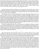attributes like infinite purity, truth, knowledge, bliss and freedom. As such a holy personality, living, radiant and blissful would be a most desirable subject for meditation. One may start with an external representation, such as a picture or image but before long the 'chosen ideal' should go inside and must become one's inmost self, the soul of one's soul. In fact the holy, or divine personality should eventually take shape out of that radiant, blissful, living consciousness which is the essential core of the meditator himself.

**\* \* \***

Another problem raised by meditators is that relating to the formless aspect and to making the mind 'blank'. Holy life, spiritual life, God, truth are all whole and positive entities and one should beware of slipping into wrong implementations when apparently negative terms are used, or practices indicated.

The ultimate aim is to rise above all limitations, from the partial to the whole, and as such both our ideal as well as our practices should be oriented accordingly. 'Formless' is to be rather taken as that which is not limited by any particular form. Making the mind 'blank' should not mean becoming thoughtless or going to sleep; it is freeing the mind from all partial truths and distracting thoughts, so that pure consciousness alone, self-effulgent and blissful, manifests itself spontaneously, making one experience real inner calm, power and peace. Renunciation is giving up of the lower in favour of the higher, the smaller for the larger, the finite for the Infinite. Going inwards means, detaching oneself from all the external coverings, hiding and distorting the blessed reality of the Self.

*Samādhi* is being established in the consciousness of one's glorious infinite and inmost self or 'divinity'. Meditation is the continual current of pure thought in this direction to the exclusion of others. Concentration is the attempt to repeatedly bring back the thoughts from wandering away from this one Divine Self and externalising, and to holding it on the holy object. Steady posture and rhythmic breathing are meant to make the body and nerves calm and fit for the ensuing mental exercise.

**\* \* \***

And much depends upon what kind of person is he who has taken his seat to start meditation. It will soon be discovered in many cases that while one may sit physically unmoving, the mind may be in a whirl, protesting and straining, 'meditation' becoming a most tiring and exasperating experience, instead of a relaxing and refreshing one. Why?

Because during the rest of the day, the mind and senses have been allowed to pursue an almost diametrically opposite path, going after the transitory, petty objects, externalising, stressing likes and dislikes, and continually opening oneself to passions, sensual desires, resentments and greed. The body and senses have been pampered, nerves exhausted by selfcentred exertion or so-called pleasures. For the practice of meditation to become fruitful and joyous, it is very essential that as far as possible one should also extend its mood over the rest of the day. Moderate and self- controlled in food, sleep, activities and recreation, striving to be simple and honest, kind and chaste, non-acquisitive and generous, cultivating an attitude of contentment and patience and reverent self-surrender to the Lord, and keeping the mind ever alert and discriminating, one will find it a joy to go in for meditation; one will find it a real blessing, really fruitful.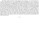And finally, another distraction which plagues many aspirants—viz. measuring how far they have 'progressed'. Let it be remembered that real meditation is not a journey to anywhere else, it is not even a pilgrimage to some distant holy land. Even when it is described as an 'inner' pilgrimage it is but figurative and indicatory. We only reach and become our own divine Self. We only become aware of what we really are all along. It is a question of giving up the wrong, distracting thoughts, feelings, actions. The only progress is to intensify the thought of the 'Sat', the real, good and auspicious which is our very stuff and core. It is healthy not to be diverted by even these distractions which come in the form of a frequent desire to measure and judge one's progress. Nowhere perhaps is Bhagavan Sri Krishna's teaching on Karma Yoga so relevant as in this context: "Your concern is with the work on hand—never with the results." Leave the care and anxieties about the results to the Lord, who is none other than the Soul of your soul—and with a quiet and confident, yet humble and reverent, faith apply yourself to the *sādhana.* And be not surprised if unconsciously and unheralded, you slide into perfection!

—o—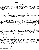# **MEDITATION AND SPIRITUAL ENLIGHTENMENT**

### **DR. ANIMA SEN GUPTA**

The sages of the Upanishads have a firm faith in the essentially spiritual nature of man. Hence, in their opinion, the true purpose of human life is to realise this essential nature. The method for this purpose, as suggested by them, consists of Sravana, Manana and Nididhyāsana.

Sravana is not merely hearing the truth from the preceptor. It also implies ascertainment of the fact that the Sruti establishes the one Brahman without the second. Manana or reflection refers to (i) rational thinking on self or Brahman already heard from the preceptor and (ii) removal of all doubt by rational argumentations. Nididhyāsana is constant musing on self or Brahman. The quest for the self is the real quest of the human life and realisation of one's own nature as self or pure consciousness is the final goal.

### **Purpose of Life**

So long as man is not aware of who he is or what his true nature is, he is not in a position to realise fully the meaning and purpose of his life as man. He is unable to apprehend his final fulfilment and is also ignorant of his real good. Owing to utter ignorance about the true nature of his being, he is also unfit for the realisation of his real relation with the world as a result of which his reactions to the world are generally confused and often become perverted. In other words, a man is not able to determine correctly his purpose and position in the world without having a clear knowledge of his own self. If he possesses wrong knowledge about himself, then his perspective of the world is bound to be vitiated. His value-sense, too, gets confused and he moves on the ocean of life precariously in the absence of appropriate guiding principles.

The Upanishads have declared repeatedly that man is nothing but the self infinite (*Tat tvam asi).* If this meaningful saying of the Upanishads can be grasped fully by a man, then he is sure to get inspired and is also sure to undertake an enquiry into the nature of his own true being. Sankara, too, has advised us to enquire into the meaning of *tvam* at the outset of our search for Truth. The search for the knowledge of self, however, involves self-analysis which is to be carried out rationally and in a regulated manner. If an aspirant can follow the path laid down by the Upanishads, with single- minded devotion, then only can he realise that beyond the conscious and the sub-conscious levels, there is another horizon of pure consciousness which constitutes the horizon of his real life. Nididhyāsana or repeated meditation on this illuminating light, opens the doors of his perception and he becomes fully conscious of his own true being. When repeated musing becomes so deep that thought process on the nature of the self appears as an unbroken flow, then this is called Meditation or Dhyāna. The Yogasūtra 3.2 has thus defined Meditation:

*"Tatra pratyaikatānatā dhyānam"* Meditation yields psychical power which can be utilised to obtain knowledge of any object of quest. It enables a man to have a correct and expert knowledge about the object of meditation. In meditation, only a single idea is present and the knowledge is continuous.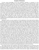### **Discipline Of Meditation**

To have correct knowledge of the self, meditation, therefore, is essential. It is the discipline of meditation that leads to the intuitive realisation of the spiritual truth in man. The psychical power, yielded by the process of meditation, illumines the mind from within and this inner illumination, then reveals to the meditator, the secrets of his real being and his relation to the world. It is only when this secret is revealed that an aspirant can understand fully that he is not a merely physical being, having only an unconscious heritage like other material things of the world. He is also not merely psychophysical in nature as he appears to be, from a superficial point of view. Both physical and psychical aspects are "not-self aspects", which have no essential and inseparable relation with this true self. Self or spiritual light is his true essence which lies beyond these physical and psychical aspects of his personality. The true 'I' is the pure consciousness, unconditioned by space, time and causation. It is different from the empirical ego which is the real actor in the drama of the world. It is only the knowledge of the self which can make a man free from all false notions that he has built up through ages of conditioning. Such self- knowledge, however, cannot be gained without meditation. Beyond the physical and the psychical, a man must go to discover his immortal spiritual being.

Meditation needs as its pre-requisites (i) the purification of the mind and the intellect, and (ii) full control over the body and sense- organs. The body, mind and the intellect should become *Sāttvika* and it is the *Sāttvika* Buddhi which is the only mirror that can reveal the self in its true form. Hence, in his attempt to discover his own true being, a man has got to acquire moral qualities on the awakening of which the impurities of the intellect, emotion and will are completely wiped out. Moral good is closely and essentially linked with the good of the spirit. One who meditates on the true nature of the self and has his intellect, emotion and will purified and harmoniously balanced, naturally becomes a man of elevated personality. He is regarded as a spiritually enlightened soul. With his enlightenment, he can visualise himself and the world around him correctly and clearly and the horizon of his spiritual vision becomes wide and universal. The world, then, unfolds itself in its true colour to the wise man and does not therefore cause uneasiness to his mind. Thus one who seeks to know the truth, must, first of all, make his mind pure and well balanced. Spiritual enlightenment, attained through meditation, pre-supposes moral awakening and moral progress of man. The mind of the meditator becomes calm and steady through constant practice of meditation. His mind does not get disturbed even in the midst of the vortex created continuously by the waves of the worldly life. The external world, with all its vibrating currents, is always viewed by him as external and is never identified with the inner world. Such a person is truly perfect and he never entertains any sort of illusion regarding the relation of the world with man. In fact, to enjoy the world in a detached but lively way is the real art of living. It enables the perfected personality to put necessary limitations and restraints on the different forms of enjoyment of the world. This he can do, because he understands life from a deep awareness of his spiritual nature which has been revealed to him through meditation on his own true form.

We should remember that meditation and spiritual enlightenment are essential not only for those gifted persons who embrace the life of total renunciation or Sannyasa, but also for all ordinary people, involved in active wordly life. One cannot achieve real greatness in the mundane life without being able to control his mind and sense organs and without having a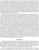correct awareness of himself and the world. It is only when a man can attain the state of control and steadiness of the mind that he can hope to reach the apex of glory of his empirical life and can discover that he has acquired the power of making even the insignificant events of the world happy and cheerful. He has freed himself from the clutches of his lower ego and has attained the power of looking at the world in an objective way. In fact, to be free from the clutches of a low, self- centred perspective of life is real freedom and this real freedom cannot be enjoyed if one is not spiritually enlightened. It is only in the state of his spiritual awareness that a man rises above the level of his limited individual self and prepares himself for the noble task of sacrificing his good and acting with energy and devotion for the good of the world. When a man can grasp clearly the distinction between the changing lower self and the unchangeable higher one, he attains the power of sacrificing his smaller ends for higher goals of life, whether empirical or transempirical.

To make sincere efforts to have a vision of the unchangeable and unaffected self of man is what is regarded as spiritual *Sādhanā* according to Indian tradition, and this *Sādhanā* in due course, finds its completion in spiritual enlightenment. Meditation is an essential limb of the spiritual discipline, because through meditation alone, man can discover his indwelling consciousness as his real being. When this spiritual gain is attained, a man is in a position to perform all his actions from a sacred sense of duty which is not linked with any egoistic motive of gain, arrogance, hatred and pride. A mind which is free from all impurities of thought, emotion and will is a healthy mind and its attitude towards the world is also a healthy one in the sense that he lives his life in this world in a planned and organized manner which is in tune with his own spiritual being. He understands in proper perspective his duties and responsibilities to others as well as to himself. He is prepared to discharge them sincerely so as to be able to promote effectively the solidarity and enduring welfare of society. The Mahābhārata has asserted that good character and good behaviour are the result of true knowledge and to attain true knowledge, one has to practise meditation along with all its necessary parts. Disciplined mind and virtuous conduct are the results of true knowledge of the self and the world. Spiritual awakening does not inspire a man to shun the world completely. On the other hand, the spiritual training makes a man conscious of his true being as a result of which he can link his empirical life with his life of the spirit in a harmonious and fruitful way. The self-knowledge gives him strength and courage to face the world. His soul being purified by true knowledge, he returns to active life with a longing to do good to the whole of mankind. Swami Vivekananda has said: "The spiritual ideal is for life and this must be lived in all spheres, private, social and international."

### **Yogic Postures**

In the present age, a great emphasis is being laid on the practice of Yogic postures as a form of highly effective physical exercise for keeping the body healthy and also for driving out germs of diseases from it. This no doubt is a very laudable step, because nobody can do any good work without being the possessor of a healthy body. Again, if a man fails to preserve his physical health in a proper manner, his mental health too suffers degeneration. Practice of Yogic postures is very efficacious in curing physical illnesses of different kinds.

If, however, we get interested only in the practice of yogic postures with the sole aim of keeping our body healthy and do not make efforts to cure our mind from perverse thoughts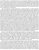and emotions, then our confused mind is sure to exert adverse influences on our physica frame. It is only when a man is ignorant of his true, immortal being that he becomes an easy prey to egoism, greed, hatred, fear, etc., which make his mind unhealthy and unhelpful. With such a diseased mind, nobody can hope to do any good work in his social life. A man should not only be physically healthy but he should also be spiritually awakened. The material basis of life is intimately connected with its spiritual flowering and so it is necessary for a man to have a healthy mind in a healthy body.

The ardent followers of Yogic postures have, no doubt, realised to a certain extent the need for the steadiness of mind which they aim at attaining through concentration *(dhāraṇā*), but they have failed to realise that this concentration should be directed to the realisation of the true nature of man and not to the things of the material world. Concentration on the things of the material world only, may result in an increase in the power of vision, but it will not enable the aspirant to grow in knowledge and pure emotions. The goal of Yoga is selfrealisation which enlightens and elevates the mind and character of the Yogin. This is spiritual achievement that enables him to discover the higher truth which is embedded in him. He can also grasp fully the meaning and purpose of life and can develop a dispassionate love and liking for things and beings of the world. When spiritual enlightenment penetrates each and every corner of a man's multicoloured life, he becomes a truly balanced person of profound serenity, who is in a position to overcome all divisions and rifts which trouble mundane life. Such an enlightened person alone can develop a liberal outlook and a spirit of toleration so as to be able to accommodate others' views and others' needs. He gives up the habit of hankering after wealth and property and whatever he does, he does for the good of mankind. It is only when a man can realise his essentially immortal nature which is wholly unaffected by colourful waves of the world that he can cultivate a detached but highly tender attitude towards life and the world. We should not forget that there is no gap between the empirical and the transempirical. The transempirical is to be sought by remaining in a social order and promoting social good. The empirical life, if led thoughtfully in the light of spiritual wisdom, will find its spontaneous completion in the transempirical state of liberation.

Hence, it is desirable that in adopting Yogic postures as a technique for healthy living, both concentration and meditation on self should be adopted as essential parts along with all other moral practices. The method of Rāja Yoga is moral through and through, because without the destruction of impurities of thought, will and emotion, the mind can never be turned towards self-knowledge. The five forms of restraints which constitute the first limb of Yoga are moral restraints. Again *tapas* (which is essential) implies moral discipline and control over thoughts, feelings and actions. Awakening of true knowledge through purification of mind is imperative, if the health of the mind is to be preserved.

What, after all, is our aim in practising Yogic postures as a form of exercise? We definitely want to be good and healthy members of the human society with noble tendencies and inspiring thoughts and emotions. Yoga should therefore, be followed as a practical method for the development of both the body and the mind in such a manner that higher fields of experience may be opened to the person who practises it. This will necessitate incorporation of concentration and meditation on higher truth of life so as to gain spiritual enlightenment. The Yogic training should give not only a physical poise but also an insight into the real nature of the self and the world, so that the practitioner may be able to cultivate correct attitudes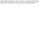towards all things and beings of the universe. In order to enjoy beauty and bliss through all relations which exist between man and man, one should not only be physically healthy but should also have a calm and pure mind, shining with the glow of knowledge and truth.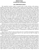## **MEDITATION: A SCIENTIFIC APPRAISAL**

### **DR. SAMPOORAN SINGH**

The superficial conscious mind is occupied with its daily activities, with earning a livelihood, deceiving others, exploiting others, running away from problems—all the petty daily activities of our existence. To observe and understand our hidden motives, responses, thoughts and feelings, there must be tranquillity in the conscious mind, so that the deep layers of the sub-conscious mind are projected at the conscious level. The mind cannot bring about tranquillity, stillness, peace by mere regimentation, by compulsion, by discipline; it can bring it about only by understanding its own activities, by observing them, by being aware of them. The right understanding of the deepest inner layers of the subconscious mind—the racial instincts, the animal instincts, the concealed pursuits will bring tranquillity and stillness; when the whole mind is unconditioned, unburdened, unfettered by all past memories, then it is in a state to receive the eternal. It is only through dispassionate observation and feelingful-understanding that this tangle can be unravelled and order can prevail. This is real meditation—understanding the nature of thought, not verbally but with our whole being. It is being aware of what is going on without any distortion, without any choice, without any resentment, bitterness, explanation or justification—the mind must just be aware. Meditation is to observe every movement of thought, attentive to its every detail.

Meditation is to see the fact in totality. The very seeing of it is the action; and for that one needs a clear, sharp, sensitive mind, which comes from intelligent awareness. The mind must act without any resistance, without any form of friction. Resistance is conflict, division. Resistance creates other forms of distortion, violence begets more violence. To see or observe a fact is to understand it in its totality; it is not a matter of overcoming or suppressing its resistance; true observing is a resistanceless or frictionless flow. Then the mind is meditative.

Since Nature is really one and our mind is part of it, it would be interesting to study the parallelism between the psychological field of the mind and the field of energy as comprehended by modern physics.

*Super-conductivity:* One of the most powerful methods discovered for working out the fine details of solid structure is through the use of very low temperatures. Under these conditions the thermal fluctuations of the lattice become small and effects which would not otherwise be noticed become obvious. Super-conduction, which is the vanishing of resistivity as the temperature approaches  $0^{\circ}$ K, is shown by a number of elements, such as zinc, gallium, titanium, cadmium, mercury, lead, tin and niobium, and many alloys and compounds. The flow of electric current without resistance at sufficiently low temperatures in certain solids is called super-conductivity. In super-conductivity, the specimen undergoes a phase transition from a state of normal electrical resistivity to a super-conducting state. The temperature at which the resistance disappears, in zero magnetic field, is called the transition temperature. The transition occurs over a very narrow temperature range. Its onset takes place at the highest temperature 11.2° Absolute in the metal technetium and at 7.2° Absolute in lead. In a super-conductor an electric charge can pass without any measurable voltage between its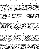ends. The extent to which the flow of electric current in a super-conductor is frictionless has been demonstrated by an experiment in which a persistent electric current has been observed to flow without measurable decrease in amplitude around a super-conducting lead ring for over 2 years. If a bar magnet is lowered near a lead dish which is at the temperature of liquid helium (—452° F), it hovers in the air, the chain slack. The magnet has induced a current in the lead; as it meets no resistance, the lead becomes a powerful electromagnet, repelling and holding the magnet above. Very strong magnetic fields destroy superconductivity, and the strength of a field that does this is a function of the temperature. This leads to the belief that the phenomenon is related in some fashion to the magnetic properties of the material. As a matter of fact, conductors in the super-conducting state exhibit perfect diamagnetic properties.

*Super-fluidity:* The behaviour of liquefied helium when it is cooled below 2.1° Absolute is most surprising, and this frictionless flow of matter is called "superfluidity". Liquid helium can flow without any apparent friction through slits so small that ordinary liquids and gases can hardly pass through. The liquid gas flows with ease through the finest capillaries and will siphon itself out of a container by flowing uphill in a film which quickly climbs over the container walls.

*Parallels Between Mind and Modern Physics:* The strange world of absolute zero showing frictionless flow of matter (Super-fluidity) and flow of electric current without resistance (super-conductivity) appears to have fascinating correspondences with the resistanceless and frictionless state of the mind. The parallels are: First, just as the properties of the material, e.g., superfluidity and super-conductivity, change within one hundredth of a degree centigrade, similarly the characteristics of the mind change when mind moves from a state having resistance to a resistanceless state. Second, the sudden transformation of properties in matters appears to be related in some fashion to the magnetic properties of the material and change of the ions in the metallic lattice, but these transformations are far from clear. Similarly,the sudden transformation of the characteristics of the state of mind with resistance to a state of mind without resistance appears to be due to some psychomagnetic changes (cortical neuronal changes) and change of circuitory due to some flip-flop switches, but we know nothing about it. It is an example of weak causality in the micro- cosmic region. Third, the strange world of absolute zero exists at the material plane. It appears that the properties of matter at low temperatures are controlled by the new set of physical laws which are necessary to describe atomic behaviour. The new set of physical laws will take into consideration the behaviour of elements and their compounds when the friction or the resistance is zero. The mind without resistance or without friction bestows on us the pure perception and gives us vision of the Absolute, the Truth. Thus the Truth self- manifests at the subtlest plane. It is not amenable to an experimental verification even with the help of the latest artifacts, due to its subtlest plan.

The movement of the mind from a state with resistance to a state without resistance is called the quantum jump of the mind from logical and scientific reason to unfettered philosophical reason; or from relative state (conscious-state) to an absolute state (superconscious state); or it is a leap from the lower plane of relational knowledge (intellectual knowledge) to a higher plane of ultrarelational knowledge (intuitional knowledge). As there is no matter which is self-effulgent, so we assume that the neurons of the mind receive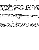illumination from the self-effulgent Self, the Atman, the Universal Consciousness. The state of mind with resistance is capable of receiving partial illumination, a state of mind without resistance is capable of receiving full illumination from the Self and as such is fully illumined with the pristine glory of the Self, and as such is fully bathed with truth. The state of mind without resistance is capable of pure perception and as such the mind perceives the present moment of the chronological space-time continuum, and there is a continuous flow of the present moment only, this is the vision of the Absolute where there is neither time, space, nor causation. This is the realisation of the eternal values in the chronological space- time continuum, which means, the attainment of the state of detachment, selfless service and eternal love for the entire humanity.

Meditation is a liberation from the resistance of the mind, which is the past conditioning. It is a movement of the state of mind with resistance to a state without resistance, or in other words to transcend the past and live in the present only.

The conditioning is due to the psychological knowledge, memories, total thought process, which implies resistance. Intelligence implies freedom, which means that intelligence will use knowledge when necessary and yet be free from knowledge. Meditation is the ending of resistance, which means ending of psychological knowledge, memoires, the past, the observer. The state of mind without resistance functions in a different dimension altogether which is intelligence. Intelligence implies freedom; freedom implies the cessation of all conflicts; intelligence comes into being and conflict comes to an end when the "observer" is the observed, for then there is no division, no resistance, no friction; this is the selfmanifestation of love. Love can only come into being when there is real freedom from the past as knowledge. Meditation is a movement from resistance to resistancelessness, from friction to frictionlessness, from psychological knowledge to intelligence, from bondage to freedom.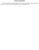# **ACKNOWLEDGEMENT**

I have drawn freely from the thoughts of Swami Vivekananda, Edwin Schrodinger, Albert Einstein, Dr. Fritjof Capra, and Krishnamurthi in composing this article.

 $-0-$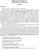# **MEDITATION ACCORDING TO MAZDAYASNA (Zoroastrianism)**

## **B.S. SURTI**

### **Introduction**

Mazdayasna attaches very great importance to Meditation.

A human being is a conglomerate of three functions, *viz.,* **Thoughts, Words,** and **Deeds.** Mazdayasna gives the first place to **Thoughts** (Meditation) because it comes first in order of sequence, *e.g.*, a man first thinks, then he reveals his **Thoughts** in words, spoken or written or both, and finally he translates his avowal into action. This sequence is always maintained in the immutable Divine scheme of things although in some cases the thinking may be so shallow or lacking so much in depth that a person's words or deeds may appear to have sprung spontaneously without any thinking at all. Whenever we say that a certain person is incapable of thinking what we mean is that that person is not capable of deep or serious thinking (Meditation). It is obvious that words and deeds arising out of deep and serious thinking (Meditation) will be a higher quality, and more responsible in nature, than those springing from shallow and frivolous thinking, *i.e.,* absence of Meditation. Therefore speaking or writing or performing deeds without Meditation is considered to be an irresponsible or irreligious act according to Mazdayasna.

Saadi (1184-1292 A.D.), in his Persian classic "Gulistaan" which is still regarded as a model of choicest Persian prose writing, relates the following story:—

A deputation of learned men from India had gone to the court of Emperor Naosheerwaan the Just (531-579 A.D.) of Iran, called Chosroes I by Greeks, whose sense of Justice and Impartiality has been praised by the Holy Prophet Mohammad. They held discussions there with Naosheerwaan's Prime Minister, Buzurgmeher, considered to be the wisest man of all ages. When asked to express their opinion about Buzurgmeher's reputed wisdom, the Indian savants declared that he was flawless except for the fact that he took a long time to answer any question, thereby taxing the listeners' patience. When Buzurg- meher was informed of this he explained:**"To think what I should say is better than to repent why I said it".** Saadi sermonizes on the basis of the story:

### **"Sakhundaan-e parwardah peer-e-kuhan"**

(An experienced and cultured conversationalist)

### **"Ba-yendeeshad, angaah ba-gooyad sukhan"** (Thinks, and then speaks)

## **"Mazan bi-taammul ba guftaar dam"**

(Do not open your mouth to speak, without reflection)

### **"Neko gooy, gar deer gooyi cheh gham?"**

(Answer rightly and to the point; what harm is there if you do so somewhat late?)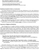### **"Be-yendeesh o angah bar aavar nafas"**

(Think well, and then open your mouth to speak)

**"Vazaan peesh bas kun keh gooyand bas"**

(And stop speaking before the audience asks you to stop).

## **Meditation should be Positive or Constructive**

According to Mazdayasna, Meditation for the sake of Meditation is of no value. Meditation should always be a means of expression in words (spoken and or written) and of performance of deeds, and not an end in itself.

It is clear that the quality of words and deeds will depend upon the quality of Meditation. Negative and Destructive thinking, called **Dush-mata** in Avesta, will lead to words that will injure the feelings, called **Duzh-ukta** in Avesta, and to deeds that will pollute the body, debase the mind, and dampen the spirit of the thinker as well as that of the persons around him. Such a deed is called **Duzh-varshta** in Avesta.

That is why Mazdayasna places the utmost emphasis on Positive Constructive thinking, called **Hu-mata** in Avesta. **Hu-mata** by itself, is useless unless it is followed by **Hu-ukta** *i.e.,*

Positive or Constructive words, and **Hu-varshta,** *i.e.,* Positive or Constructive deeds.

## **Importance of Righteous Meditation**

Since Thought Force is capable of limitless possibilities and potentialities, both for Good and for Evil, Mazdayasna severely warns against evil thinking and exhorts Righteous thinking with single-minded devotion and concentration. The Holy Prophet Zarathushtra, while meditating on the top of Mount Ushidarena, exerted his utmost at every step to ward off evil thoughts and licentious reveries that were threatening to overpower him. It was only after fifteen years of superhuman struggle with evil thoughts that he felt that he had conquered evil passions and harmful emotions sufficiently to come down from the mountain, and proclaim to the world:—

## **"Vispa Hu-mata, Vispa Hu-ukta Vispa Hu-Varshta baodho varshta".**

(All Righteous Thoughts and their sequelae, *viz,* all Righteous Words, and all Righteous Deeds, spring from Wisdom).

## **"Vispa Dush-mata, Vispa Duzh-ukta, Vispa Duzh-varshta,** *noit* **baodho varshta".**

(All evil thoughts—and their sequelae such as—all evil words, all evil deeds **do not** spring from Wisdom).

(Prayer in Khordeh Avesta)

Henceforth, therefore, in the course of this article, the word "Meditation" should be understood as meaning Righteous Meditation, **Hu-mata** and not evil meditation, Dushmata.

The seat or source of Meditation is the Mind, called **Mano** or *Manas* in Avesta. Since it is Righteous Meditation that we are extolling, the Mind which is the seat or source of such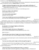meditation is called **Vohu Mano**(Righteous Mind).

In one of the three most ancient Mazday-asnian prayers, dating back to thousands of years before Zarathushtra, known as **Ahuna Vairya** it is revealed:

## **"Vanghe-ush dazdaa Manangh-ho, shyo- thana-naam anghe-ush Mazdaa-ee".**

(Righteous Meditation enables one to do Righteous Deeds for the Good of the creation and the Glory of God) (Yas. 27: 13)

Zarathushtra, himself, exhorts his followers in the following words:—

## **'Sarotaa- ge-ooshaa-eesh vahishtaa"**

(Hear properly with your ears)

## **"Ava-entaa soochaa mananghaa"**

(Meditate with Pure Mind)

## **"Avare-naao viochith-hyaa narem narem khakhyaa-ee tanoo-ye"**

(Let every man, individually, choose what is best for himself).

(Yas. 30: 2)

Zarathushtra reveals, thus, the importance of Righteous Meditation in upholding the dignity of the individual, and in not following blindly what others say without thinking for oneself. Faith without Reason is prohibited according to Zarathushtra's interpretation of Mazdayasna.

## **Zarathushtra's Yearning for Righteous Meditation.**

Zarathushtra prays to God:—

## **"Daao Ashaa Vanghe-ush maayaa-o Manangh-ho"**

(Give us Purity through Righteous Mind [Meditation].) (Yas. 43: 2)

Again, he prays:—

## **"Daaeedi Ashaa taam Asheem Vanghe-ush aayaptaa Manangh-ho"**

(Give us Purity which is the reward for Righteous Mind, *i.e.,* Meditation).

(Yas. 28: 7)

As an earnest pupil imploring his teacher, Zarathushtra pleads with Ahura Mazda(Avestan name for God):—

## **"Sees haa naao Ashaa patho Vanghe-ush khwaitengh Manangh-ho"**

(Yas 34: 12)

(Teach us the path of Purity through Righteous Mind, i.e. Meditation) (Yas. 34: 12)

So impatient is he to attain Purity that he finds it difficult to exercise self-control and exclaims in desparation:—

# **"Ashaa kwat thwaa daresaani Manascha Vohu va-e-demno"?**

(Purity! when shall I see thee through the eyes of Righteous Mind. *i.e.* Meditation?)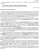So much importance is given to Purity that it is regarded as the only Path to God realization:—

#### **"Aevo Pantaao, yo Ashahe; Vispe anyeshaam apantaam"**

(There is only one path, that of Purity; all others are no paths.)

(Yas. 72: 11)

#### **Ahura Mazda and Amesha Spentas.**

Observant readers might have noticed in the Gatha passage quoted above, just before last, and must have wondered why, Zara-thushtra, instead of asking Ahura Mazda as is his wont, addresses Purity **(Ashaa)** directly in this case! To understand the rationale and logic of Zarathushtra's action one must have a clear-cut idea of the term **Amesha pentas.** Amesha means immortal. Spenta means Holy. **Amesha Spentas,** therefore, can be translated as Immortal Holies. Who or what are these Immortal Holies? and how many are they?

Answering the second question first, they are seven in number, hence they are called Haft Amesha Spentas, haft means seven. The nature of the **Amesha Spentas** will become manifest as we describe the seven one by one:—

The ϐirst and foremost of the seven is named **Ahura Mazda. Ahu** means Life or Spirit, from the root **"Ah"** meaning "to be". **"Ra"** means "giver". The Sanskrit equivalent of **Mazda** is **"Mahada"**, (**"Maha"** meaning "great", and **"da"** meaning "give". **Ahura Mazda,** therefore means "Life giver, the Great giver", *i.e.*, "the Great Creator". So, Creation is the first and **foremost and most important attribute of Gods.**

2. The second attribute is called **Vohu Mano. Vohu** means Righteous, and **Mano** means Mind which is the source of Meditation. **Vohu Mano,** therefore, means Righteous Meditation. It is thus obvious that Mazdayasna attaches so much importance to Righteous Meditation as to consider it to be a Divine Quality.

3. We have already quoted from the Gathas that Righteous Mind (Meditations) leads to Purity **(Ashaa).** The third Divine attribute, therefore, is **Asha Vahista, Ashaa** meaning Purity, and **Vahishta** meaning highest or 'in excelsis'. Hence **Asha Vahishta** means Purity in excelsis.

4. Armed with Righteous Mind (Meditation) and the Highest Purity, one is fit to exercise Power as desired for the Good of the world and the Glory of God. Hence, the fourth Divine attribute is **Khshatra Vairya. Khshathra** means Power, **Vairya** means "desired". **Khshathra Vairya** means "Power as desired".

5. Righteous Mind (Meditation), a Pure Heart, and exercise of the desired Power cannot but foster Devotion which is another name for Love, fervour, rapture, enthusiasm, which is so essential for the Good of the World and the Glory of God. Hence the fifth Divine attribute is **Spenta Aarmaiti. Spenta** means Holy, and **Aarmaiti** means Devotion. **Spenta Aarmaiti,**therefore, means Holy Devotion or any of its equivalents mentioned above.

6. One who is equipped with Righteous Mind (Meditation), Pure Heart, Power or Potency, and Holy Devotion, can aspire to the sixth Divine characteristic, **Haurvataat** which means Perfection.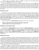7. All the above six qualities make one eligible to aspire for the seventh Divine characteristic, **Amertaat** which means Immortality.

It must be noted that all the seven qualities mentioned above *viz.*: Creator, Righteous Meditator, Pure, Powerful, Devoted,Perfect, and Immortal, are to be found in to in God Himself. The entire creation, including Human Beings, can only aspire to possess them but can never acquire them to the extent of one hundred percent. The extent to which a human being tries his level best to approach this composite concept of Divinity marks him out as being Godly to that extent.

#### **Meditation on Fire**

As mentioned in my article "Essence of Mazdayasna (Zoroastrainism) in *Vedanta Kesari* of July, 1977, it is not possible for anyone except the most spiritually advanced souls to meditate on an abstract entity such as God. A con- cerete symbol is a '*sine qua non*' for fruitful meditation. Zarathushtra's exhortation to his listeners: **"Contemplate the Beams of Fire with a Most Pious Mind"** and the reasons why Fire is the most appropriate symbol of Divinity, and what all should one meditate about Fire, have been given in great detail in the article mentioned above.

In the Avestan Prayer,**"Aatash Niyayash"** (Salutation to Fire) it is mentioned:—

#### **"Vispa-e-eebio sasteem baraiti Aatarsh Mazdaa-o Ahura-he"**

(Ahura Mazda's Fire carries a lesson for all).

### **Meditation on Immortality of Soul**

If one believes in **Ahura Mazda** as the Universal Soul **(Paramaatman)**who is the sum total of all the souls **(Jeevaatmas)** in the entire creation, it automatically implies unqualified belief in the immortality of individual souls**(Jeevaatmas).** This teaching of Mazdayasna that there is a world of Matter, **Anghe-ush Astavaiti,** as well as a world of spirits, **Anghe-ush Mainyu,** has been corroborated by all the great religions and philosophies that followed Mazdayasna.

### **Meditation on Death**

From the beginning of creation nothing has held people in greater awe or mystery than the phenomenon of Death. Mazdayasna was the first philosophical system to point out that so called Death is nothing but the discarding of its outer vesture, the body, by a soul in the same manner as one discards one's cloths. The only difference is that if the cloths are removed one can still see the body of the individual because cloths and body are both, material, and can be easily seen with the physical eyes; whereas if an individual removes his own body one cannot see the soul since it is not material but etherial.

Although all religions are agreed about the immortality of the Soul or Spirit, different religions have different opinions about the immediate and ultimate goal of the Soul. According to some, the soul, liberated from a body, puts on a body of the same species, *i.e.,* after discarding one human body it puts on another human body. This goes by the name of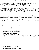**Re-incarnation.** After going through a number of such re-births, the highly evolved soul, **Jeevaatma,**finally merges into the Universal Spirit **(Paramaatman).**

According to some others, the soul, which discards a human body, may put on the body of another species, *e.g.,* an animal. This is called **Metempsychosis.**

No religion has clearly mentioned how long after discarding one body the soul puts on another.

According to Judaism, Christianity, and Islam, each and everyone of the souls will arise from the grave in flesh and blood on the day of Resurrection, and be answerable for their deeds to God who will sentence them accordingly, to a permanent abode in Heaven or Hell.

Mazdayasna tells us that after shedding its mortal coil the soul passes away into the world of spirits to lead there either a happy or a sorrowful life depending upon its performance in the world of Matter. It remains for ever in the world of Spirits; but always ends its blessings upon us, invokes God's blessings upon us, and helps us to the best of its ability whenever we remember it in our sincere prayers to Ahura Mazda and invoke His blessings upon it. It yearns and feels happy to be remembered by those with whom it was in close contact in the world of Matter.

So, according to Mazdayasna, so called Death is only a "*passing away*" of the soul from the world of Matter into the world of Spirits. The great Mazdayasni poet, Firdausi (935-1025 A.D.) advises human beings:—

#### **"Ze roos-e guzar kardan andeeshah kun"**

(Think of the day when you shall pass away)

#### **"Parasteedan-e Daadgar peeshah kun"**

(Make worship of God your profession and way)

### **"Ba neeki garaay-o mayaazaar kas"**

(Indulge in Righteousness and harm no one)

### **"Ra-he rastagaari hameenast o bas"**

(That is how your salvation will be won).

Regarding the Mazdayasnian conception of Immortality of Spirit and the desire of the soul not to be forgotten by us, the Mazdayasni poet, Nizaami Ganjawi (1140-1203 A.D.) clarifies:—

### **"Fishaani tu bar man sarishki ze door"**

(Shower a tear from afar on me)

### **"Fishaanam man az aasmaan bar tu noor"**

(And Heaven its blessings will shower on thee)

#### **"Duaa-e tu bar bar cheh daarad shitaab"** (Whatever thy sincere desires may be)

### **"Man aameen kunam taa shavad mustajaab"**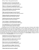(I'll say "Amen", they granted may be)

#### **"Daroodam rasaani, rasaanam darood"** (Send thou thy prayers, and I shall send mine)

### **"Biyaa-ee, biyaayam ze gumbad farood"**

(Come here and I'll come from this tomb of mine)

# **"Maraa zindah pindaar choon kheeshtan"**

(Consider me as alive as thou art)

# **"Man aayam ba jaan gar tu aayee ba tan"**

(I'll come with my soul if you come with your heart)

# **"Madaan khaali as hamnasheeni maraa"**

(Think not that bereft of friends I may be)

# **"Keh beenam turaa gar na beeni maraa"**

(If you cannot see me, I can see thee)

# **"Lab az khufta-e chand khaamush makun"**

(Let not thy lips cease to praise those who slept)

## **"Farookhuftagaan raa faraamush makun"**

(Forget, O never, all those who have slept).

A Mazdyasni poet of the Pahlavi regime, whose poetic pen name is Spenta, after frankly confessing that one does not know the purpose of one's earthly existence, where we come from, and whither we go after our earthly existence is over, draws the analogy of a ray of the Sun which, temporarily, gets obscured by a passing cloud and gets cut off from the Sun. Once the cloud passes away, the ray of light once again rejoins the Sun. The poet wishes to convey through this charming analogy the idea of an individual soul. **Jeevaatma,** merging into the Universal Spirit, **Paramaatman.** Here is how he sings:—

**"Nadaaneem azeen jaa kujaa mee raveem"**

(We know not. from here, whither do we go)

# **"Charaa aamadeem o charaa mee raveem."**

(Why did we come and why do we go.)

#### **"Kas asz sarr-e een raah aagaah neest"** (The secret of this has been revealed to none)

**"Pas-e pardah kas raa digar raah neest"** (Behind the curtain there is access to none)

# **"Judaa shud yeki zarrah az aaftaab"**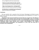(A ray of light from the Sun strayed away)

### **"Nehaan maand yekchand andar sahaab"**

(And remained in the cloud quite hidden away)

# **"Chu az teerah-goon ab re- hasti guzasht"**

(When it from the cloud of existence emerged)

# **Ze khursheed-e taabindah paivastah gasht"**

(Into the radiant Sun it merged).

# **Conclusion.**

We may conclude with a quotation from the famous Physiologist and Nobel Laureate Alexis Carrel. We have taken the liberty of substituting the word "Meditation" for "Prayer" in Carrel's original.

**"Meditation is the most powerful form of energy that one can generate. The influence of Meditation on the human mind and body is as demonstrable as that of secreting glands. Its results can be measured in terms of increased physical buoyancy, greater intellectual vigour moral stamina and a deeper understanding of the realities underlying human relationships. True Meditation is a way of life; the truest life is literally a way of Meditation."**

 $-0-$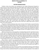## **MEDITATION ACCORDING TO SUFISM**

### **SWAMI PRABHANANDA**

Tradition claims that Sufism was developed by the Prophet Mohammed through his cousin and son-in-law Ali Ibn Abi Taleb, the fourth Caliph, whose abdication led finally to the schism between Sunni and Shia. The Prophet is said to have invested Ali with a cloak of Kherqa and initiated him into the esoteric mysteries. The Koran, the book of Allah's revelation to Mohammed, contains passages of a mystical nature and the Sufis seized upon them 'to buttress their own claim to personal trafficking with God.' As an indispensable prerequisite to mystical communion, the ascetic outlook and practices characterised the life of Mohammed himself and many of his followers. Towards the end of the 8th century A.D. austere Muslims, whose lives were consumed by the fire of God's love, cut themselves off from the mundane world, and devoted themselves to the recollection of God, took to wearing wool to proclaim their other- worldliness and were therefore nicknamed Sufis. Lexicographers, however, offer different interpretations of the word 'Sufi'. Bishr Ivn Al-Harit says, "The Sufi is he whose heart is *safa* (pure) towards God." According to others 'Sufis' are those who can be placed in the first rank or *'saff'* before God through the excellence of their spiritual development. Again, some others opine that Sufi comes from 'suffah' which means a person who is not a slave of desires.

The genesis of Sufism emphasises the esoteric doctrine of the Prophet, as may be found in stray references in the Quran and the Hadis. Some consider it as a reaction of the Aryan mind against a Semitic religion thrust upon it. Some think that Plotinus, who visited Iran with seven neo-Platonist philosophers, exerted this influence on Islam in the time of Naushirwan and the result was the emergence of this faith. Sufism is based on Islamic faith which has six pillars: (a) God exists; (b) God is one; (c) there are Angels; (d) there are Prophets; (e) there is a day of restoration and (f) there is Fate.

Different interpretations of lexicographers notwithstanding, the Sufis regard their Creator as their '*Leah*' or deity and worship Him alone and believe that there is none other than He and no other true relation that exists between them and their Creator. Sufis call the ideas of God, the "essences of things" which when created are called external objects or created things of the world. God is "one", His ideas are "many". Ideas depend on God for their existence but God exists independently. The essence of God is obviously different from the essence of created beings but there exists a relationship between the two.

Ideas of God or "essences" are uncreated, perfect and immutable. Every essence has its own characteristic which is called *Shakilat.* Ibn-Al-Arabi says, "Glory be to God who created things being Himself their essences." External beings derive their attributes like life, knowledge, will power, hearing, sight and speech from God alone. A Sufi in his highest realisation discovers that all these attributes are borrowed and metaphysically applied to himself, whereas they really belong to God.

Though existence is one, the essences are many. A true Sufi knows that he is internally but an idea in the mind of God and he is, therefore, co-eternal with God. Externally he is a created being. In him God has manifested Himself in accordance with the aptitudes or the *shakilat* of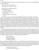the Sufi.

The Sufistic doctrine that God is the only Being extant has been expressed by Jalaluddin Rumi in his *Masnavi.*

If He makes me a cup, a cup am I, If He makes of me a dagger, a dagger I.

... ..... ..... ..... .....

If He makes me fire, I give forth heat..... If He makes me a friend, I serve my friends. I am as the pen in the fingers of the writer, I am not in a position to obey or not at will.

The Reality is one, and all apparent multiplicity is but a mode of unity. An existence is merely an objectifieation of His essesence. This realisation is possible only with the progressive annihilation of the individual self which, encrusted with material dross, stands separate from God. The problem of evil has been dealt with by the Sufis in their characteristic fashion. The universe is essentially good. What man calls evil is privation, not- being. In relation to the One it is nothing; it appears only in the phenomenal world. A pool of standing water becomes dirty when some dirt is thrown into it; it takes the colour of whatever it comes in contact with. However, if it is joined with a perennially flowing stream, it becomes purified sooner or later. Similarly if an individual is able to get in contact with the Universal Self, the individual's pettiness and dross have no effect whatsoever on the path of his spiritual progress.

Al-Junaid defined Sufism *(tasauwuf*), "God should cause thee to die from thyself and live in Him." The supreme mystical experience consists in the passing away of the temporal ego into the Eternal Ego. This dying off is *fana* and the life-in-him is *baqā.* By the elevation of the self the mystic is perfected, transmuted and eternalised through God and in God alone. Following the mystic's return to the state in which he was before *i.e.,* union with God, God separates him from Himself and grants him his individuality again. Al-Junaid writes:

> So in a manner we United are, and One; Yet otherwise disunion Is our estate eternally.

His contemporary Al-Hallaj's utterance, "I am the Truth" *(ana'l haqq)* illustrates how the intoxicated Sufi got absorbed in serving the will of God-but he was condemned for blasphemy and was brutally executed. Thereafter the majority of Sufis laboured to work out an understanding between Sufism and traditionalism and accepted theology. Like Rābia of Basra, Dhal'l-Nun al-Mesi, the great mystic, fixed a tradition when he wrote,

> I die and yet not die in me, The ardour of my love for Thee,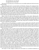Nor hath Thy love, my only goal, Assuaged the fever of my soul.

The doctrine of passing away in God *(fana)* was successfully synthesized with the doctrine of Divine Unity.

Ahmed Al-Ghazali tried to reconcile Sufism with Muslim orthodoxy. He emphasised that the Muslim life of devotion to the One God could not be lived perfectly save by following the 'Suϐi' way. In his master-piece, *"Ihyā utum al-din"* (Revival of religious science) he succeeded in assuring the mystical or introspective attitude a place within the framework of official Islam side by side with the legalism of the lawyers and the intellectualism of theologians. The Logos doctrine states that God's vice-regent controlling the internal material universe is the "Idea of Muhammad". If a man aspires to know God he may first achieve union with the "Idea of Muhammad", projected by God in pre-eternity to be His likeness and to lead mankind back to Him. This idea was fully developed by Ibn al-Farid of Cairo.

Muhyi al-Din Ib'n Arabi was the greatest mystical genius of the Arabs. Following Ib'n Arabi's conception of the Unity of Being *(wahdat al-wajūd),* Abd al-Karim al-Jil traces the descent of the pure Being through three stages of Oneness (*ahadiya*), He-ness (*hu-wiya),* and I-ness (*anῑya*) and points out that this path can be retraced through corresponding stages of illumination (*tajalli*) till he becomes the Perfect Man, being shorn of attributes, and returns once more as Absolute to the Absolute.

Sufism centres on the questions, *i.e.*, (a) How is man to realize God in himself? and (b) What is God in relation to the individual and the creation? Sufism offers *tarigat* in answer to the first and imparts *ma'rifat* or knowledge which describes God, in answer to the second. It is obvious that importance is attached more to the inner self and its activities than the outward religious practices and rituals.

Sufi psychology, so far as it bears on the ecstatic life, focusses attention to (a) *nafs*, the appetitive soul; (b) *ruh,* the spirit; (c) *qalb,* the heart and (d) *'aql,* the intelligence. The *nqfs,* being the seat of passions, is to be fought by means of asceticism. The *qalb* and the *ruh,* though they cannot be clearly distinguished from one another, are the organs the mystic depends upon for his spiritual growth. *Qalb* is a non-material essence whereby the realities of all things are perceived as in a mirror. The more the heart is free from sin, egoism, traditional beliefs etc., the vision of reality becomes more perfect. God alone can purify it perfectly but this act of divine grace becomes more effective when the heart is purged of evil thoughts by means of *dhikr* or method of recollection and *murāqabat* i.e. meditation. Hunger, solitude and silence are the chief weapons used to conquer *nafs.* The aspirant has to traverse through a progressive series of stations (*maqāmat*) and the highest end is attained by means of exercises in spiritual meditation and recollectedness which prepare the aspirant for ecstatic experience. Ecstasy here recognizes two aspects of the experience of oneness with God, symbolized by negative terms like *fana* (losing individuality), *faqd* (self-loss), *sukr* (intoxication) and their positive counterparts *baga* (abiding in God), *wajd* (finding God) and *sahw* (sobriety). To abide in God *(baga)* after having passed away from selfhood *(fana)* is the mark of the Perfect man, who not only journeys to God, but in and with God, he returns with God to the phenomenal world from which he set out.

Like leaders of other religious traditions the Sufi leaders too considered meditation as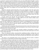essential for spiritual growth. Meditation does not mean philosophical thought or poetic flight, but something more. It is by means of meditation that an aspirant is able to penetrate the very depths of reality. Meditation is a means of concentration which the aspirant makes use of in order to elevate his consciousness far above the normal plane. In the beginning human consciousness remains intimately attached to the lower aspects of its individuality. In order to effect separation of these two aspects one should gradually warm up the whole of his psychic being, until it has purged out of the inmost layers of our subconscious all evil thoughts.

Meditation demands uninterrupted flow of the same thought of God. The mind easily succumbs to a thought which it is subjected to uninterruptedly for a long time. The human mind is like a laundered cloth which takes the colour of the dye in which it is dipped. Meditation is well-established concentration of mind and it is a useful source of strength. Swami Vivekananda said, "There is no limit to the power of the human mind. The more concentrated it is, the more power is brought to bear on one point."

To gain control over the *nafs* and for *muraqabat* (meditation) and *muhasab* (self examination) the aspirant follows a struggle called by the sufis al-Jihad al-Akbar (inner struggle). It consists of the following basic stages:

*(a) Muraqabat* (Meditation): It means being alive to the conviction that God sees man and man sees God. Tradition says "Righteousness consists in worshipping God as if thou seest Him; for if thou seest Him not, yet He sees thee." It creates in the heart an all-impelling reverence for God. It serves to exalt the supreme majesty and glory of God, which practice leads man to his absorption in God.

*(b) Muhasaba* (self-examination): The practicant must take account of his actions at every step and examine them carefully. If he finds himself guilty, he must chastise himself, through punishment, lest it should occur again.

*(c) Fiqr* (Reasoning): Reasoning is the essential condition of *muraqabat.* Its utility is twofold. On the one hand it gives knowledge of self and on the other hand it gives rise to the various stages of the self.

These are followed by *Ikhlas* (sincerity) *Sidq* (truthfulness), *Khauf* and *Raja* (fear and hope), *Tawwakul* (reliance), *Riza* (satisfaction) and *Shukr* (thankfulness). At this stage he believes that God is his well-wisher more than he himself and really knows what is good for him.

The mind is a very changeable entity. A man is serene only when he reaches a condition mentioned above in which he has burned his bridges behind him.

The practice of Sufism is built upon two corner stones: (a) Spiritual teacher, *pir, murshid* or *Shaikh* and *(b)* love. *Murshid* is the person who is able to satisfy the seeking impulse of a *talib* (disciple). The love should be voluntary, selfless, abundant, all-encompassing. This love is a way to truth, to knowledge and to action. The initiation into Sufism is considered a second birth or spiritual birth. Suhrawardi recommends a forty days' seclusion for prayer and fasting once a year. Shorn of worldly belongings, the aspirant should pray two *Rakas* in clean dress and sitting on a clean prayer carpet and repent for his past sins with weeping and humility. During his retirment he should regularly perform ablutions; he should sleep only when overpowered by fatigue. He should continue repeating his *dhikr* until he grows weary.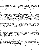The broad outline of Sufi asceticism as has been dealt by Ghazali comprises an ordinary religious duty of purification, prayers, almsgiving, fasting and pilgrimage. And to their aid comes additional acts of devotion like recitation of Quran, praise of God (*dhikr)* supplication *(dua)* and vigils.

For attaining spiritual perfection one has to follow purgative and unitive methods— the first one purifies the heart by subduing the passions, while the other leads to union with God by the acquisition of virtues and faculties. Before entering on his novitiate an aspirant must renounce wealth, reputation, mechanical conformity (*Taqlid*) and sin. He must then cling to his *Shaikh* who will provide him with four weapons against the assault of Satan, *viz.,* solitude, silence, fasting and sleeplessness. Now begins the long inward struggle against lusts and passions. When these are vanquished the aspirant should only continually repeat some *dhikr* like '*Allah! Allah! Subhana' llah* !" (Glory to God), until the essential meaning of it fills his heart. Then the *Shaikh* may enjoin him to apprehend rightly the divine reality (*Haqiqat*). He will bid him to meditate assiduously in order to have illumination. This is a perilous path and the *Shaikh* has to take great care of his disciple. The weak should stick to simple faith and practical devotion. However, all those engaged in devotion have to be aware of pitfalls, like vain glory, hypocrisy, delight in visions and miracles. After this resume of the *purgative way,* Ghazali treats in detail the various passions and vices, from lust and gluttony to the spiritual pride, their nature, symptoms, diagnosis and the effective remedies in each case.

The *unitive way* may be expounded under the heads, (i) repentance, (ii) patience and thanksgiving, (iii) fear and hope, (iv) poverty and renunciation, (v) unification (*tauhid*) and trust in God, (vi) love, desire, intimacy and acquiescence, (vii) intention, sincerity and truth (viii) contemplation (*muraqabat*) and self- examination (*muhasaba*), (ix) reϐlexion (*tapkkur* and (x) meditation on death and what comes after it.

A1-Qushairi, while analysing the moral and psychological advancement of a mystic, pointed out fortyfive steps. His predecessor A1-Sarraj enumerated seven stations (conversion, abstinence, renunciation, poverty, patience, trust in God and satisfaction.) and ten states (meditation, nearness to God, love, fear, hope, longing, intimacy, tranquillity, contemplation and certainty). Here *Magam* (or station) is a stage of attainment in the pilgrim's progress to God. It results mostly from the mystic's personal endeavour. But *hal* is a spiritual mood gifted by God. The aspirant after winning over his animal soul at one *maqam* steps forward for the next with the help of *hal.*

Though each Order has its own rules they generally agree in the following points for every aspirant: (i) an elaborate ceremony of initiation, which is preceded by a long and arduous apprenticeship; (ii) the wearing of a peculiar habit or costume; (iii) a severe discipline of solitude, prayer, fasting and other austerities; (iv) the immoderate use of *dhikr* with the help of music, dancing, etc., to excite ecstasy; (v) belief in extraordinary 'spiritual powers' vouchsafed to adepts, which they display by chewing live coals, etc., and (vi) veneration, approaching to deification of the *Shaikh* or head of the Order.

In spite of general agreement there are striking differences in the methods pursued and recommended by great *murshids.* The aspirant's task is that he shoud break down the different enclosures by which his ego is isolated from the ultimate Totality. He should be careful that he does not reduce or mutilate his existence; on the other hand he should ensure that it is one of continuous growth and of infinite enlargement. Thus he approaches, step by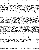step, towards the ultimate truth. The passions, impulses, greeds and desires are the hidden enemies. Subtle thoughts and desires lie hidden in the human mind, waiting to spring up at the first opportunity. We have to keep a great part of our mind free from the domination of derogatory impulses and desires, so that the mind, thus freed, can think of God. Muhammed Amini's method of meditating the *dhikr* formula *lā ilāha illa' llāh* recommends: Keep the tongue fixed firmly to the roof of the mouth. After drawing a deep breath, you should hold it, and make a beginning with the word *lā*. Imagine that you are taking it from below the navel; let it extend along the organs *qalb*—heart, *rih*—spirit, *sirr*—inmost conscience, *khafi* hidden depth, *akhfā*—most hidden depth, and finally bring it up to the rational soul(*al-nafs al-nātiqa)* which is in the first lobe of the brain. Follow this up by taking the *hamza* of *ilāha*—in imagination—from the brain, then let it descend until it finishes at the right shoulder blades; then draw it down the *ruh* (two fingers' breadth below the right nipple towards the breast). Now imagine that you are taking the *hamza* of *ilia' llāh* from the shoulder-blade; let it slide down the edge of the middle of the breast until it finishes at the *qalb* (heart, two fingers' breadth below the nipple towards the side), which may be imagined at this point as beating to the World of Majesty, with all the force of the pent-up breath pressing against the core of the heart, until its effect and heat are felt throughout the body. Its heat will burn up all the corrupt practicles of the body, while the sound particles will be irradiated by the Light of Majesty. This process is to be repeated 21 times, not automatically but reflectively and with due regard to the meaning of the formula meditated. At the end of this exertion, the *jhākir* will experience the result of his *dhikr qalbi;* he will lose all consciousness of being a man and a part of creation, and his pettiness will be entirely destroyed in the attraction of the Divine Essence.

To achieve the perfect view of the Sufis *(Muraquiba-i-Nizami), i.e.*, realisation of multiplicity in unity and unity in multiplicity, the spiritual aspirant has to contemplate on the phenomenal existence. He must be convinced that all things are but shadows or reflections of the ideas of God or essence of things reflected in the mirror of the existence of God. Next he should contemplate on the Divine by being convinced that God subsists in His own self and possesses His attributes. Without any substantive change He has manifested Himself in the form of phenomenal things through the attributes of Light. Closing his eyes the aspirant should contemplate that his well-known self was not his true self. In fact. God has manifested Himself in that form. By meditating on the concept, "I do not exist, God alone exists", he perceives God within. Then contemplating God without he ushers in a state of "selfforgetfulness". The aspirant must devote his life to prayer, contemplation and communion with God, feeling God's intimate presence within and sensing his presence without. When such remembrance continues without break the aspirant enters permanently into the presence of God. The stage is called *Yaddasht.* If God wills, this contemplation may lead to the state declared by the Prophet, "I have sometimes a moment in God which neither the most intimate angels of God nor his Messengers can attain thereto."

A cautious pilgrim is aware that the mind tricks an aspirant in many different ways. The mind like a spirited horse will try to dislodge the aspirant, but upon finding that he cannot be shaken off, it will become his slave. Once the aspirant makes the determination to ride it and this determination is coupled with concentration of mind he becomes sure of victory. A welldisciplined aspirant easily wins over the *nafs* and advances in his journey from the outward to the inward. An aspirant must become aware of what one has always been from eternity (*azal*),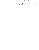but this is not possible until the entire transformation is brought about in the soul through Divine presence (*hadur).* When the knowledge of divine presence illumines the mind it is filled with the love of God. Together with such perfect gnosis, love and devotion gush up in the mind of the gnostic and in such a state he, though living in the world, enters into Heaven.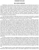### **WORSHIP IN ISLAM**

### **MD. ZAINULABEDEEN**

1. Meditation, concentration and worship are spiritual exercises that draw man nearer to God and make him dearer to his Creator. In these exercises there is involvement of mind, soul and body. Body is the vehicle of mind, and mind is the mirror which focusses on the divine soul which in its turn guides in spiritual realisation. To hasten this process cleanliness of body to a certain extent, and purity and steadiness of mind to the greatest possible degree are highly essential. Man's living conditions have to be evaluated in the light of the above objective so that the whole human system can be geared to achieve his spiritual goal in a steady systematic manner. Life based on correctly evaluated principles is indeed the successful life. To have what is good in this life, and consequently a good hereafter, are indeed the real objectives of human existence.

2. The Holy Quran teaches an important expression of entreaty to God which is repeated daily again and again by Muslims. "O Lord! give unto us in the world that which is good and in the Hereafter that which is good, and guard us from the doom of fire." (2:201)

3. Worship is a comprehensive term which includes all modes of spiritual exercises practised by the body, mind and soul of an individual or by a group of persons together. This is generally called prayer in common parlance, and is used in respect of God. Prayer means experiencing the presence of God, strengthening bonds of attachment, hymning His praise and humbly expressing gratitude for all the blessings. These spiritual exercises during certain times of day and night infuse a deep consciousness of His beneficent existence, whatever be the other avocations of our day to day life, with all its stresses and strains. This experience is aptly described by Sri Ramakrishna through the example of a servant maid who works in the house of her master, deeply involved in all activities and completely identifying herself with them all the day round; but still not forgetting the fact that she has a sweet home of her own wherein live her children. It all depends on the intensity of attachment one develops, and every wave of consciousness of this attachment to the Divine Presence gives one absolute satisfaction and profound peace. "Verily in the remembrance of God do hearts find rest," says the Holy Quran (13:28). To achieve this lasting consciousness is the fulfilment of human experience; and one has to develop this consciousness and guard it as the most precious possession.

4. In Islam, worship of God is an obligatory duty for every Muslim. It should be very clearly understood, that Islam is a pure and unadulterated monotheism. God is one and to Him alone is our prayer or worship due. This is the first article of Muslim faith. There is no compromise on this. He is the Absolute: His sovereignty is not shared by another. So that in Islam, worship of minor deities, saints and other lesser beings amounts to rank apostasy. The Muslim prayer is a direct relationship between man and God and does not recognise any intermediary. God says in the Holy Quran: "Pray unto Me and I will hear your prayer." (40: 60) "Verily We created man and We know what his soul whispers and We are nearer to him than his jugular vem" (50: 16).

5. The obligatory prayer in Islam called *salat* has been standardised by the Holy Prophet Muhammad under Divine guidance. *Salat* is the humble supplication of the individual to his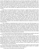Creator, glorifying Him and seeking His mercy, protection and guidance. Evil thoughts and desires are expelled from the minds of those who regularly offer *salat.* The Holy Quran says, "Surely, *salat* restrains (one) from indecent and evil deeds; and the remembrance of God is the greatest (thing in life) without doubt"  $(29: 45)$ . It is a stream that purifies man every time he takes a dip in it. It results in closer bonds with the Creator and develops submission and peace. In fact it lays the foundations of a real successful life. The call for prayer from every mosque five times a day, includes two significant brief sentences: "Come for *salat*, come for success."

6. *Salat* has to be frequently observed for it to become a regular feature of daily life. The wavering mind can thus be trained to attune itself to constant remembrance of God. "Establish prayer for My remembrance", says God in the Holy Quran (20: 14). Consciousness of God is the controlling force which guards and guides, and maintains the purity of action in human thought, word and deed. Thus human endeavour in any aspect, with this Divine Consciousness, becomes itself an act of worship. While engaged in work in such mental climate, one feels supreme satisfaction and develops perfect peace. The mode of life or the type of work is not by itself the criterion. Tensions, stresses and strains do not come in the way. Avarice and jealously will be foreign to the aspirant. Such a life in this world is really successful and fulfilling and serves as a good preparation and base for success in the hereafter too. Therefore, response to the call of *salat* is indeed the means for realisation of success in both the worlds.

7. The compulsory standardised *salat* is fixed at five times a day. The first prayer is at dawn, when in the calm and peaceful atmosphere God is remembered and glorified. The day thus begins with a holy consciousness. The next two prayers are in early and late afternoons, when in the midst of worldly activities God is not forgotten. The fourth prayer is just after sun-set, and the fifth and final for the day is at any time before midnight, so that the end of the day's activity is also marked by a prayer. The mode of offering *salat* is also unique in Islam. Mind, word and body are simultaneously involved in the observance of *salat.* It starts with a steady standing posture facing the Kaba (the first house of God in Mecca) with arms folded and with the consciousness of being face to face with God.

8. "Lo! I have turned my face towards Him who has created the heavens and the earth and I am not one of those that associate others with Divine sovereignty" (Quran 6:79)

9. The first chapter or *surah* of the Holy Quran containing seven brief sentences is the most important oft-repeated *surah* in the standing posture. This is called *Al Fatihah.* This is followed by any other short *surah* or part of any other long *surah* from the Holy Quran. This standing posture is followed by two other postures indicating extreme humility namely bowing with palms on knees, and prostrating on folded legs with forehead touching the ground, hymning praise and glory of God. This is followed by sitting for awhile in a comfortable position, invoking God's mercy and peace on the Prophet and his kin and on himself and those connected with him.

10. *Al Fatihah* is universal in its scope and profound in its content. It is the essence of the Holy Ouran and the heart of Muslim prayer. The rest of the Qurani chapters are a graphic commentary on Al Fatihah, whose translation reads as follows:—

1. In the name of God, Most Gracious, Most Merciful.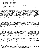2. Praise is only to God, The Cherisher and Sustainer of the worlds,

- 3. Most Gracious, Most Merciful,
- 4. Master of the Day of Judgement,
- 5. Thee (alone) do we worship And to Thee (alone) we pray for help.
- 6. Show us the straight way,
- 7. The way of those whom thou hast blessed; not (the way) of those who incur Thine wrath, not of those who go astray.

This *surah* can be divided into three distinct parts. It starts with the praise of God, and lays down that He alone deserves praise. This cuts at the root of the tendency in man to praise any other person or object. It mentions the most important attributes of God—Rab, Rahman, Rahim, and Malik. It is difficult to translate these words; but they indicate His Sovereignty, abiding Grace and limitless Mercy (1 to 4). In the second part (item 5) man's relationship is firmly established with that Almighty alone, elevating man to the status of his direct devotee, and affirming the supreme and undivided sovereignty of God. In the third part man beseeches God to guide him along the correct and straight path which leads to success in this and the next worlds. The sequence in the presentation of *Al Fatihah* shows that it is a petition or address to the Almighty submitted by the whole humanity without distiction of caste or community.

11. In addition to the compulsory, subsidiary or optional *salat,* it can also be offered during other parts of the day and the night depending on one's convenience. The Holy Quran recommends offering of optional prayer in the small hours of the night. This is called "tahajjud". Some Muslims regularly observe this in addition to the five compulsory prayers. *Salat* can be observed in any clean place treating the whole universe as the temple of God. It can be done individually or in congregation in the nearest mosque. Joining in the congregational prayers is highly recommended, because it develops brotherhood land fellowfeeling.

12. In effect the Qurani teachings and its revelations lead to an understanding of the working of the universe and the universal Power behind. Says God in the Holy Quran: "Lo! in the creation of the heavens and the earth and (in) the alternation of night and day are signs (of His sovereignty) for men of understanding. Such (men) remember God standing, sitting and reclining, and consider the creation of the heavens and the earth, and say "O Lord! Thou did not create this in vain; Glory be to Thee; save us from the doom of fire"(3:190,191).

It should however be understood that this exercise, however intense, does not absolve any Muslim from offering the compulsory *salat.*

13. Another important feature of Muslim worship has also to be emphasised. Mere belief in God's unity and sovereignty, followed however regularly by obligatory prayers, does not by itself lead to spiritual fulfilment. Faith and worship must be followed by righteous conduct. Otherwise this exercise is in vain. The Holy Quran is very clear on this. It says, 'Lo! the noblest of you, in the sight of God, are those best in conduct". (49: 13).

What is righteous conduct is detailed in the chapters of the Holy Quran. Thus, Muslim worship consists not only of *salat* but also of good conduct following it.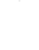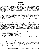# **SADHANA IN SRI MADHVA'S PHILOSOPHY**

## **Dr. P. Nagaraja Rao**

The Philosophy of Sri Madhva is not merely a theory of reality working out a well- rounded system satisfying the intellectual's instinct for consistency and non-contradiction. It is that and something more. It is a way of life for the attainment of *mokṣa,* which state of existence puts not only an end to the threefold suffering man is heir to but also secures him eternal bliss. To secure this, man has to follow a way of life adumbrated by the triple texts. The way is called the Sadhana.

Sadhana is a complex term which blends all the resources of man for the attainment of *mokṣa.* One obtains the knowledge of philosophical truths through reverent study of the scriptures with devotion under the guidance of a competent Guru. Going to the Guru is not an act of formality. It is a spiritual necessity. For the Guru knows the path as he has trodden it. It is called *śravaṇa.* Self-study is not *śravaṇa.*

What is taught by the Guru must be thought out in a dialectical way by the Sadhaka examining its pros and cons until the scripture-taught doctrines become his settled conviction. This is called *manana.* Intellectual examination supported by scripture has a place, though limited, in the philosophy of Madhva. Any belief is not philosophy. Examined belief is philosophy. After *manana,* the Sadhaka contemplates the Lord until such time as he has His direct vision called *aparokṣajnāna.* God-vision enables the Sadhaka to love the Lord intensely because he knows the Lord first hand. He practises *parā bhakti*. This results in the grace of the Lord, *prasāda,* which removes the bondage of the soul, which is real. The removal of the bondage makes the soul realize his own true nature, *svasvarūpatā.* Such a realization is called *mokṣa. Mokṣa* is through grace and not through mere self-effort, which is necessary but not sufficient.

In all the stages of spiritual*sādhana,* right from the *śravaṇa* stage, Bhakti is necessary. Śravaṇaṁ mananaṁ caiva dhyānaṁ bhaktistathaiva ca Sādhanaṁ jñānasampattau pradhānaṁ nānyadiṣyate Bhaktyā jñānaṁ tato bhaktiḥ tato drṣṭistataśca sā-Tato muktistato bhaktiḥ saiva syāt sukha rūpiṇī:

From Bhakti arises Jnana, from that arises further Bhakti, from that the vision of God. Vision strengthens further *parā bhakti.* That releases the soul, and the state of release and devotion to Lord consitutes bliss. In short Sri Madhva's philosophy is a *bhakti-siddhānta.* Release is obtained only through the grace of the Lord and without it there is no hope for it.

Narāyaṇa prasādaṁṛte na mokṣaḥ

If it is so, what should the individual do? Should he sit with folded hands or practise intense *sādhana* to obtain the grace of the Lord? Sri Madhva asks the simple question: what should man do after learning the scriptures and understanding their chief import?

Samanvayāvirodhābhyāṁ samjāte vastunirṇaye

Kim mayā kāryamityeva syād buddhiradhikāriṇaḥ

Man, being not an insentient object, has to practise a course of *sādhana,* which goes into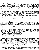two types—scriptural study and contemplation.

Sopāsanā caidvividhā śāstrābhyāsasvarūpiṇī

Dhyānarūpā parā caiva tadaṅgaṁ dhāraṇādikam

Sri Madhva believes that scriptural study requires more concentration than contemplation. So he is all praise for it. The *sādhaka* undertakes *upāsanā,* worship of the Lord, suited to his svar $\bar{U}$ pa and worships the Lord according to his eligibility. In the eloquent words of Jayatirtha—"The Lord is unmanifest by His nature. Without the aid of His grace it is not possible to have His vision in spite of a thousand human efforts. Lo! When His grace visits us we have His direct vision by His powers."

The means for His immediate vision is His grace and blessing. This cannot be had except by worshipful devotion to the Lord who is free of all defects and is full of auspicious attributes. The devotion must be continuous and constant with detachment towards objects and practised for a long time. This is called Nididhyāsana.

Na ca avyaktasvabhāvo bhagavān sahasrenāpi prayatnena śakyaḥ sākṣatkartum vinā tadanugrahāt.

Prasannastu ananyacintyayogāt ātmānaṁ darśayāti iti yujyatc

Darśanasādhanaṁ cānugrahaḥ. Svayog- yaguṇopetasya nirdoṣasya bhagavadvigrahaviśeṣasya ādaranairantaryābhyām viṣayavairāgyabhaktisahitāt bahukalopacitāt nididhyāsanāparanāmakāt vici- nvatāt ṛte na labhyate.

The devotee must not sit with folded arms, waiting for the Lord to do everything. He must roll up the sleeves and go to work. Though the Lord does not need man's work, yet His resolve in the governance of the world is that men should make some effort and ask the Lord for refuge.

Sarvajno'pi hi viśveśaḥ sadā kāruṇiko'pi san

Samsāratantravāhitvāt rakṣāpekṣām pratīkṣate.

Sādhana, Jayatirtha observes, is of two types—that which is there already (siddha) and that which has to be attained (sādhya) The Lord is the *siddha sādhana.* Man, by his effort and devotion has to activate the grace of the Lord as the wood cutter splits the wood with the axe and the sacrificer derives the fruit by the sacrifice.

Sādhanam ca dvividhaṁ, siddhamasiddharṁ ca.

Tatra asiddham utpādyaṁ phalakāmena, yatha yāgād

Siddhaṁ tu savyāpārīkaraṇīyam, yathakuṭhārādi.

Siddhaṁ ca sādhana bhagavān iti mumukṣuṇā savyāpārīkaraṇīyaḥ.

Having all this in mind. Sri Madhva ascribes a certain limited sense of agency to man (Jivo'pi kārtā). After God-vision the individual soul becomes directly aware of the glory of the Lord and practises supreme 'devotion', which is a steady continuous flow of deep attachment to the Lord, unsurmountable by any kind of impediment and a love that transcends love of self, love of kith and kin, and love of cherished belongings. He must also be fortified and inspired by the firm conviction of the transcendent majesty of God as the abode of all perfections and free from all blemishes. Such a devotion invokes the grace of the Lord and removes man's bondage and makes him realize his own svarūpa, which is mokṣa.

Parameśvara bhaktirnāma niravadhi-kānan- tānavadhyakalyāṇa guṇatvatānupūrvakaḥ, s v ā - tmātmīyasamastavastubhyo' nekaguṇādhikaḥ, antarāyasahasreṇāpi apratibaddho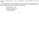nirantara- premapravāhaḥ. Na casau tat sākṣatkāram antareṇa nipadyate. Loke tathā darsanāt.

The aspirant leads a life of ceremonial purity, which he keeps or cannot keep when he is lost in contemplation, with ethical excellence and constant devotion. Through the grace of the Lord earned through the *sādhana* of bhakti he attains mokṣa.

> Ajñanāṁ jñānado viṣṇuḥ jñāninām mokṣadaṣca sah Ānandadaścamuktānam sa evaiko janārdanaḥ.

> > $-0-$